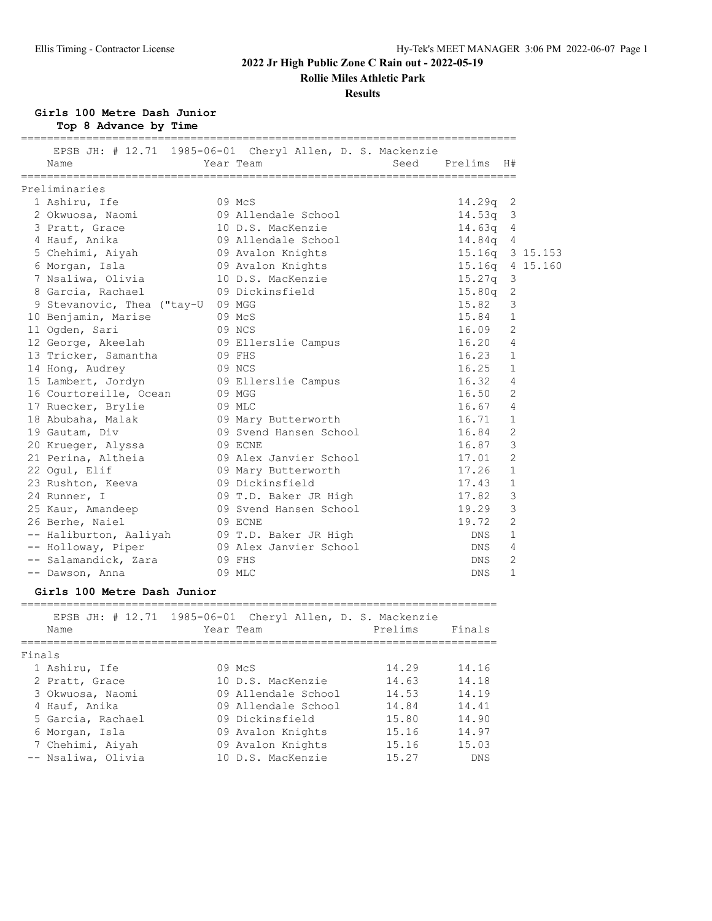**Rollie Miles Athletic Park**

### **Results**

### **Girls 100 Metre Dash Junior**

**Top 8 Advance by Time**

| EPSB JH: # 12.71 1985-06-01 Cheryl Allen, D. S. Mackenzie |        |                        |         |                 |              |  |
|-----------------------------------------------------------|--------|------------------------|---------|-----------------|--------------|--|
| Name                                                      |        | Year Team              | Seed    | Prelims         | H#           |  |
| Preliminaries                                             |        |                        |         |                 |              |  |
| 1 Ashiru, Ife                                             |        | 09 McS                 |         | 14.29q          | 2            |  |
| 2 Okwuosa, Naomi                                          |        | 09 Allendale School    |         | 14.53q          | $\mathsf 3$  |  |
| 3 Pratt, Grace                                            |        | 10 D.S. MacKenzie      |         | 14.63q          | 4            |  |
| 4 Hauf, Anika                                             |        | 09 Allendale School    |         | 14.84q 4        |              |  |
| 5 Chehimi, Aiyah                                          |        | 09 Avalon Knights      |         | 15.16q 3 15.153 |              |  |
| 6 Morgan, Isla                                            |        | 09 Avalon Knights      |         | 15.16q 4 15.160 |              |  |
| 7 Nsaliwa, Olivia                                         |        | 10 D.S. MacKenzie      |         | 15.27q          | 3            |  |
| 8 Garcia, Rachael                                         |        | 09 Dickinsfield        |         | 15.80q          | 2            |  |
| 9 Stevanovic, Thea ("tay-U 09 MGG                         |        |                        |         | 15.82           | 3            |  |
| 10 Benjamin, Marise                                       |        | 09 McS                 |         | 15.84           | $\mathbf{1}$ |  |
| 11 Ogden, Sari                                            |        | 09 NCS                 |         | 16.09           | 2            |  |
| 12 George, Akeelah                                        |        | 09 Ellerslie Campus    |         | 16.20           | 4            |  |
| 13 Tricker, Samantha                                      |        | 09 FHS                 |         | 16.23           | $\mathbf{1}$ |  |
| 14 Hong, Audrey                                           |        | 09 NCS                 |         | 16.25           | $\mathbf 1$  |  |
| 15 Lambert, Jordyn                                        |        | 09 Ellerslie Campus    |         | 16.32           | 4            |  |
| 16 Courtoreille, Ocean                                    | 09 MGG |                        |         | 16.50           | 2            |  |
| 17 Ruecker, Brylie                                        |        | 09 MLC                 |         | 16.67           | 4            |  |
| 18 Abubaha, Malak                                         |        | 09 Mary Butterworth    |         | 16.71           | $\mathbf{1}$ |  |
| 19 Gautam, Div                                            |        | 09 Svend Hansen School |         | 16.84           | 2            |  |
| 20 Krueger, Alyssa                                        |        | 09 ECNE                |         | 16.87           | 3            |  |
| 21 Perina, Altheia                                        |        | 09 Alex Janvier School |         | 17.01           | $\mathbf{2}$ |  |
| 22 Ogul, Elif                                             |        | 09 Mary Butterworth    |         | 17.26           | $\mathbf{1}$ |  |
| 23 Rushton, Keeva                                         |        | 09 Dickinsfield        |         | 17.43           | $\mathbf{1}$ |  |
| 24 Runner, I                                              |        | 09 T.D. Baker JR High  |         | 17.82           | 3            |  |
| 25 Kaur, Amandeep                                         |        | 09 Svend Hansen School |         | 19.29           | 3            |  |
| 26 Berhe, Naiel                                           |        | 09 ECNE                |         | 19.72           | 2            |  |
| -- Haliburton, Aaliyah 09 T.D. Baker JR High              |        |                        |         | DNS             | $\mathbf{1}$ |  |
| -- Holloway, Piper                                        |        | 09 Alex Janvier School |         | DNS             | 4            |  |
| -- Salamandick, Zara                                      |        | 09 FHS                 |         | <b>DNS</b>      | 2            |  |
| -- Dawson, Anna                                           |        | 09 MLC                 |         | DNS             | $\mathbf{1}$ |  |
| Girls 100 Metre Dash Junior                               |        |                        |         |                 |              |  |
| EPSB JH: # 12.71 1985-06-01 Cheryl Allen, D. S. Mackenzie |        |                        |         |                 |              |  |
| Name                                                      |        | Year Team              | Prelims | Finals          |              |  |
|                                                           |        |                        |         |                 |              |  |
| Finals                                                    |        |                        |         |                 |              |  |
| 1 Ashiru, Ife                                             |        | 09 McS                 | 14.29   | 14.16           |              |  |
| 2 Pratt, Grace                                            |        | 10 D.S. MacKenzie      | 14.63   | 14.18           |              |  |
| 3 Okwuosa, Naomi                                          |        | 09 Allendale School    | 14.53   | 14.19           |              |  |
| 4 Hauf, Anika                                             |        | 09 Allendale School    | 14.84   | 14.41           |              |  |
| 5 Garcia, Rachael                                         |        | 09 Dickinsfield        | 15.80   | 14.90           |              |  |
| 6 Morgan, Isla                                            |        | 09 Avalon Knights      | 15.16   | 14.97           |              |  |
| 7 Chehimi, Aiyah                                          |        | 09 Avalon Knights      | 15.16   | 15.03           |              |  |
| -- Nsaliwa, Olivia                                        |        | 10 D.S. MacKenzie      | 15.27   | ${\rm DNS}$     |              |  |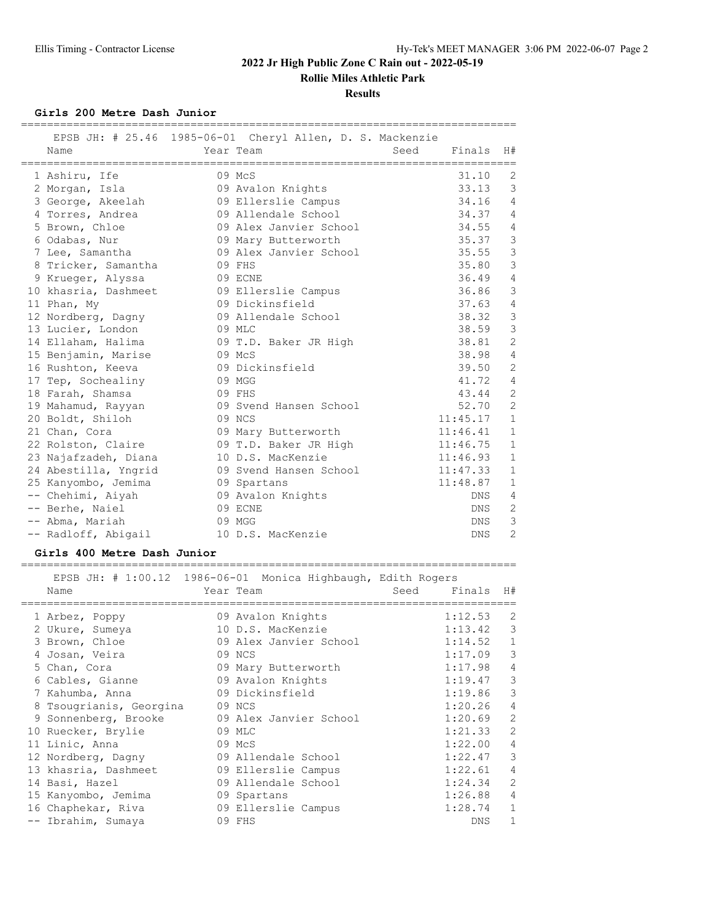**Rollie Miles Athletic Park**

#### **Results**

**Girls 200 Metre Dash Junior**

|                      | EPSB JH: # 25.46 1985-06-01 Cheryl Allen, D. S. Mackenzie |                |                |
|----------------------|-----------------------------------------------------------|----------------|----------------|
| Name                 | Year Team                                                 | Finals<br>Seed | H#             |
| 1 Ashiru, Ife        | 09 McS                                                    | 31.10          | 2              |
| 2 Morgan, Isla       | 09 Avalon Knights                                         | 33.13          | 3              |
| 3 George, Akeelah    | 09 Ellerslie Campus                                       | 34.16          | 4              |
| 4 Torres, Andrea     | 09 Allendale School                                       | 34.37          | $\overline{4}$ |
| 5 Brown, Chloe       | 09 Alex Janvier School                                    | 34.55          | 4              |
| 6 Odabas, Nur        | 09 Mary Butterworth                                       | 35.37          | $\mathcal{S}$  |
| 7 Lee, Samantha      | 09 Alex Janvier School                                    | 35.55          | $\mathfrak{Z}$ |
| 8 Tricker, Samantha  | 09 FHS                                                    | 35.80          | $\mathcal{S}$  |
| Krueger, Alyssa      | 09 ECNE                                                   | 36.49          | $\overline{4}$ |
| 10 khasria, Dashmeet | 09 Ellerslie Campus                                       | 36.86          | $\mathcal{S}$  |
| 11 Phan, My          | 09 Dickinsfield                                           | 37.63          | 4              |
| 12 Nordberg, Dagny   | 09 Allendale School                                       | 38.32          | $\mathcal{S}$  |
| 13 Lucier, London    | 09 MLC                                                    | 38.59          | $\mathfrak{Z}$ |
| 14 Ellaham, Halima   | 09 T.D. Baker JR High                                     | 38.81          | $\overline{c}$ |
| 15 Benjamin, Marise  | 09 McS                                                    | 38.98          | $\overline{4}$ |
| 16 Rushton, Keeva    | 09 Dickinsfield                                           | 39.50          | $\overline{c}$ |
| 17 Tep, Sochealiny   | 09 MGG                                                    | 41.72          | $\overline{4}$ |
| 18 Farah, Shamsa     | 09 FHS                                                    | 43.44          | $\overline{2}$ |
| 19 Mahamud, Rayyan   | 09 Svend Hansen School                                    | 52.70          | $\overline{2}$ |
| 20 Boldt, Shiloh     | 09 NCS                                                    | 11:45.17       | $\mathbf{1}$   |
| 21 Chan, Cora        | 09 Mary Butterworth                                       | 11:46.41       | $\mathbf{1}$   |
| 22 Rolston, Claire   | 09 T.D. Baker JR High                                     | 11:46.75       | $\mathbf{1}$   |
| 23 Najafzadeh, Diana | 10 D.S. MacKenzie                                         | 11:46.93       | $\mathbf{1}$   |
| 24 Abestilla, Yngrid | 09 Svend Hansen School                                    | 11:47.33       | $\mathbf{1}$   |
| 25 Kanyombo, Jemima  | 09 Spartans                                               | 11:48.87       | $\mathbf{1}$   |
| -- Chehimi, Aiyah    | 09 Avalon Knights                                         | <b>DNS</b>     | $\overline{4}$ |
| -- Berhe, Naiel      | 09 ECNE                                                   | <b>DNS</b>     | 2              |
| -- Abma, Mariah      | 09 MGG                                                    | <b>DNS</b>     | 3              |
| -- Radloff, Abigail  | 10 D.S. MacKenzie                                         | <b>DNS</b>     | $\overline{2}$ |

#### **Girls 400 Metre Dash Junior**

 EPSB JH: # 1:00.12 1986-06-01 Monica Highbaugh, Edith Rogers Name Year Team Seed Finals H# ============================================================================ 1 Arbez, Poppy 09 Avalon Knights 1:12.53 2 2 Ukure, Sumeya 10 D.S. MacKenzie 1:13.42 3 3 Brown, Chloe 09 Alex Janvier School 1:14.52 1 4 Josan, Veira 09 NCS 1:17.09 3 5 Chan, Cora 09 Mary Butterworth 1:17.98 4 6 Cables, Gianne 09 Avalon Knights 1:19.47 3 7 Kahumba, Anna 09 Dickinsfield 1:19.86 3 8 Tsougrianis, Georgina 199 NCS 1:20.26 4 9 Sonnenberg, Brooke 609 Alex Janvier School 1:20.69 2 10 Ruecker, Brylie 09 MLC 1:21.33 2 11 Linic, Anna 09 McS 1:22.00 4 12 Nordberg, Dagny 1:22.47 3 13 khasria, Dashmeet 09 Ellerslie Campus 1:22.61 4 14 Basi, Hazel 09 Allendale School 1:24.34 2 15 Kanyombo, Jemima 09 Spartans 1:26.88 4 16 Chaphekar, Riva 09 Ellerslie Campus 1:28.74 1 -- Ibrahim, Sumaya 09 FHS DNS 1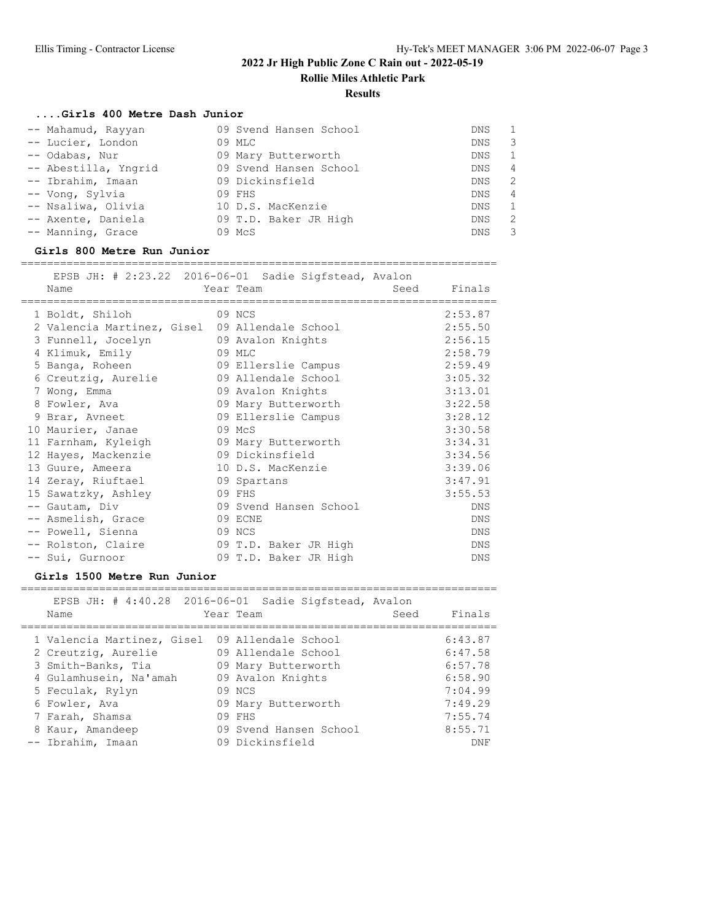**Rollie Miles Athletic Park**

#### **Results**

### **....Girls 400 Metre Dash Junior**

| -- Mahamud, Rayyan   | 09 Svend Hansen School | DNS.       |               |
|----------------------|------------------------|------------|---------------|
| -- Lucier, London    | 09 MLC                 | DNS.       | 3             |
| -- Odabas, Nur       | 09 Mary Butterworth    | DNS.       |               |
| -- Abestilla, Yngrid | 09 Svend Hansen School | DNS.       | 4             |
| -- Ibrahim, Imaan    | 09 Dickinsfield        | DNS.       | 2             |
| -- Vong, Sylvia      | 09 FHS                 | DNS.       | 4             |
| -- Nsaliwa, Olivia   | 10 D.S. MacKenzie      | DNS.       |               |
| -- Axente, Daniela   | 09 T.D. Baker JR High  | DNS.       | $\mathcal{L}$ |
| -- Manning, Grace    | 09 McS                 | <b>DNS</b> |               |

#### **Girls 800 Metre Run Junior**

=========================================================================

| EPSB JH: # 2:23.22 2016-06-01 Sadie Sigfstead, Avalon |                        |      |            |
|-------------------------------------------------------|------------------------|------|------------|
| Name                                                  | Year Team              | Seed | Finals     |
|                                                       |                        |      |            |
| 1 Boldt, Shiloh                                       | 09 NCS                 |      | 2:53.87    |
| 2 Valencia Martinez, Gisel 09 Allendale School        |                        |      | 2:55.50    |
| 3 Funnell, Jocelyn                                    | 09 Avalon Knights      |      | 2:56.15    |
| 4 Klimuk, Emily                                       | 09 MLC                 |      | 2:58.79    |
| 5 Banga, Roheen                                       | 09 Ellerslie Campus    |      | 2:59.49    |
| 6 Creutzig, Aurelie                                   | 09 Allendale School    |      | 3:05.32    |
| 7 Wong, Emma                                          | 09 Avalon Knights      |      | 3:13.01    |
| 8 Fowler, Ava                                         | 09 Mary Butterworth    |      | 3:22.58    |
| 9 Brar, Avneet                                        | 09 Ellerslie Campus    |      | 3:28.12    |
| 10 Maurier, Janae                                     | 09 McS                 |      | 3:30.58    |
| 11 Farnham, Kyleigh                                   | 09 Mary Butterworth    |      | 3:34.31    |
| 12 Hayes, Mackenzie                                   | 09 Dickinsfield        |      | 3:34.56    |
| 13 Guure, Ameera                                      | 10 D.S. MacKenzie      |      | 3:39.06    |
| 14 Zeray, Riuftael                                    | 09 Spartans            |      | 3:47.91    |
| 15 Sawatzky, Ashley                                   | 09 FHS                 |      | 3:55.53    |
| -- Gautam, Div                                        | 09 Svend Hansen School |      | DNS        |
| -- Asmelish, Grace                                    | 09 ECNE                |      | <b>DNS</b> |
| -- Powell, Sienna                                     | 09 NCS                 |      | <b>DNS</b> |
| -- Rolston, Claire                                    | 09 T.D. Baker JR High  |      | DNS        |
| -- Sui, Gurnoor                                       | 09 T.D. Baker JR High  |      | <b>DNS</b> |

#### **Girls 1500 Metre Run Junior**

| EPSB JH: # 4:40.28 2016-06-01 Sadie Sigfstead, Avalon<br>Name | Year Team              | Seed | Finals  |
|---------------------------------------------------------------|------------------------|------|---------|
| 1 Valencia Martinez, Gisel                                    | 09 Allendale School    |      | 6:43.87 |
| 2 Creutzig, Aurelie                                           | 09 Allendale School    |      | 6:47.58 |
| 3 Smith-Banks, Tia                                            | 09 Mary Butterworth    |      | 6:57.78 |
| 4 Gulamhusein, Na'amah                                        | 09 Avalon Knights      |      | 6:58.90 |
| 5 Feculak, Rylyn                                              | 09 NCS                 |      | 7:04.99 |
| 6 Fowler, Ava                                                 | 09 Mary Butterworth    |      | 7:49.29 |
| 7 Farah, Shamsa                                               | $09$ FHS               |      | 7:55.74 |
| 8 Kaur, Amandeep                                              | 09 Svend Hansen School |      | 8:55.71 |
| -- Ibrahim, Imaan                                             | 09 Dickinsfield        |      | DNF     |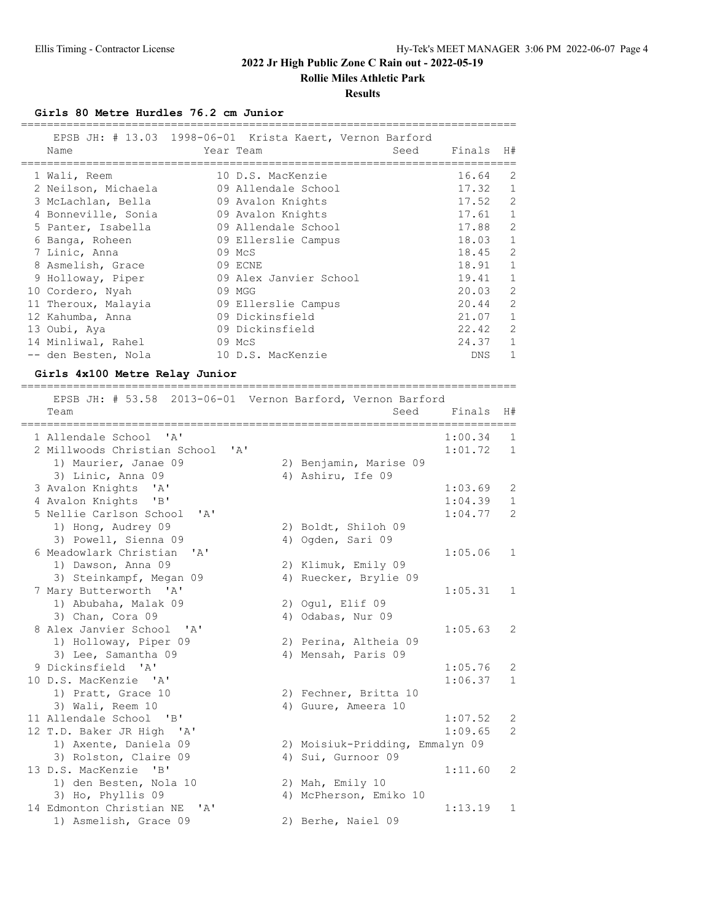**Rollie Miles Athletic Park**

#### **Results**

## **Girls 80 Metre Hurdles 76.2 cm Junior**

|  | Name                | EPSB JH: # 13.03 1998-06-01 Krista Kaert, Vernon Barford<br>Seed<br>Year Team | Finals H#  |                            |
|--|---------------------|-------------------------------------------------------------------------------|------------|----------------------------|
|  |                     |                                                                               |            |                            |
|  | 1 Wali, Reem        | 10 D.S. MacKenzie                                                             | 16.64      | 2                          |
|  | 2 Neilson, Michaela | 09 Allendale School                                                           | 17.32      | $\mathbf{1}$               |
|  | 3 McLachlan, Bella  | 09 Avalon Knights                                                             | 17.52 2    |                            |
|  | 4 Bonneville, Sonia | 09 Avalon Knights                                                             | $17.61$ 1  |                            |
|  |                     | 5 Panter, Isabella 69 Allendale School                                        | 17.88 2    |                            |
|  | 6 Banga, Roheen     | 09 Ellerslie Campus                                                           | 18.03      | $\overline{1}$             |
|  | 7 Linic, Anna       | 09 McS                                                                        | 18.45 2    |                            |
|  | 8 Asmelish, Grace   | 09 ECNE                                                                       | 18.91      | $\mathbf{1}$               |
|  | 9 Holloway, Piper   | 09 Alex Janvier School                                                        | $19.41$ 1  |                            |
|  | 10 Cordero, Nyah    | 09 MGG                                                                        | $20.03$ 2  |                            |
|  | 11 Theroux, Malayia | 09 Ellerslie Campus                                                           | 20.44      | $\overline{\phantom{0}}^2$ |
|  | 12 Kahumba, Anna    | 09 Dickinsfield                                                               | 21.07      | $\mathbf{1}$               |
|  | 13 Oubi, Aya        | 09 Dickinsfield                                                               | 22.42      | 2                          |
|  | 14 Minliwal, Rahel  | 09 McS                                                                        | 24.37      | 1                          |
|  | -- den Besten, Nola | 10 D.S. MacKenzie                                                             | <b>DNS</b> | $\mathbf{1}$               |
|  |                     |                                                                               |            |                            |

### **Girls 4x100 Metre Relay Junior**

| EPSB JH: # 53.58 2013-06-01 Vernon Barford, Vernon Barford |                                 |         |                |
|------------------------------------------------------------|---------------------------------|---------|----------------|
| Team                                                       | Seed                            | Finals  | H#             |
| 1 Allendale School<br>$\mathsf{I} \wedge \mathsf{I}$       |                                 | 1:00.34 | $\mathbf{1}$   |
| 2 Millwoods Christian School<br>' A'                       |                                 | 1:01.72 | 1              |
| 1) Maurier, Janae 09                                       | 2) Benjamin, Marise 09          |         |                |
| 3) Linic, Anna 09                                          | 4) Ashiru, Ife 09               |         |                |
| 3 Avalon Knights<br>$\mathsf{A}$                           |                                 | 1:03.69 | 2              |
| 4 Avalon Knights<br>"B"                                    |                                 | 1:04.39 | $\mathbf{1}$   |
| 5 Nellie Carlson School<br>$\mathbf{A}$                    |                                 | 1:04.77 | 2              |
| 1) Hong, Audrey 09                                         | 2) Boldt, Shiloh 09             |         |                |
| 3) Powell, Sienna 09                                       | 4) Ogden, Sari 09               |         |                |
| 6 Meadowlark Christian<br>' A'                             |                                 | 1:05.06 | $\mathbf{1}$   |
| 1) Dawson, Anna 09                                         | 2) Klimuk, Emily 09             |         |                |
| 3) Steinkampf, Megan 09                                    | 4) Ruecker, Brylie 09           |         |                |
| 7 Mary Butterworth 'A'                                     |                                 | 1:05.31 | $\mathbf{1}$   |
| 1) Abubaha, Malak 09                                       | 2) Ogul, Elif 09                |         |                |
| 3) Chan, Cora 09                                           | 4) Odabas, Nur 09               |         |                |
| 8 Alex Janvier School<br>$^{\prime}$ A $^{\prime}$         |                                 | 1:05.63 | 2              |
| 1) Holloway, Piper 09                                      | 2) Perina, Altheia 09           |         |                |
| 3) Lee, Samantha 09                                        | 4) Mensah, Paris 09             |         |                |
| 9 Dickinsfield 'A'                                         |                                 | 1:05.76 | 2              |
| 10 D.S. MacKenzie 'A'                                      |                                 | 1:06.37 | $\mathbf{1}$   |
| 1) Pratt, Grace 10                                         | 2) Fechner, Britta 10           |         |                |
| 3) Wali, Reem 10                                           | 4) Guure, Ameera 10             |         |                |
| 11 Allendale School 'B'                                    |                                 | 1:07.52 | 2              |
| 12 T.D. Baker JR High 'A'                                  |                                 | 1:09.65 | $\overline{2}$ |
| 1) Axente, Daniela 09                                      | 2) Moisiuk-Pridding, Emmalyn 09 |         |                |
| 3) Rolston, Claire 09                                      | 4) Sui, Gurnoor 09              |         |                |
| 13 D.S. MacKenzie 'B'                                      |                                 | 1:11.60 | 2              |
| 1) den Besten, Nola 10                                     | 2) Mah, Emily 10                |         |                |
| 3) Ho, Phyllis 09                                          | 4) McPherson, Emiko 10          |         |                |
| 14 Edmonton Christian NE<br>' A'                           |                                 | 1:13.19 | $\mathbf{1}$   |
| 1) Asmelish, Grace 09                                      | 2) Berhe, Naiel 09              |         |                |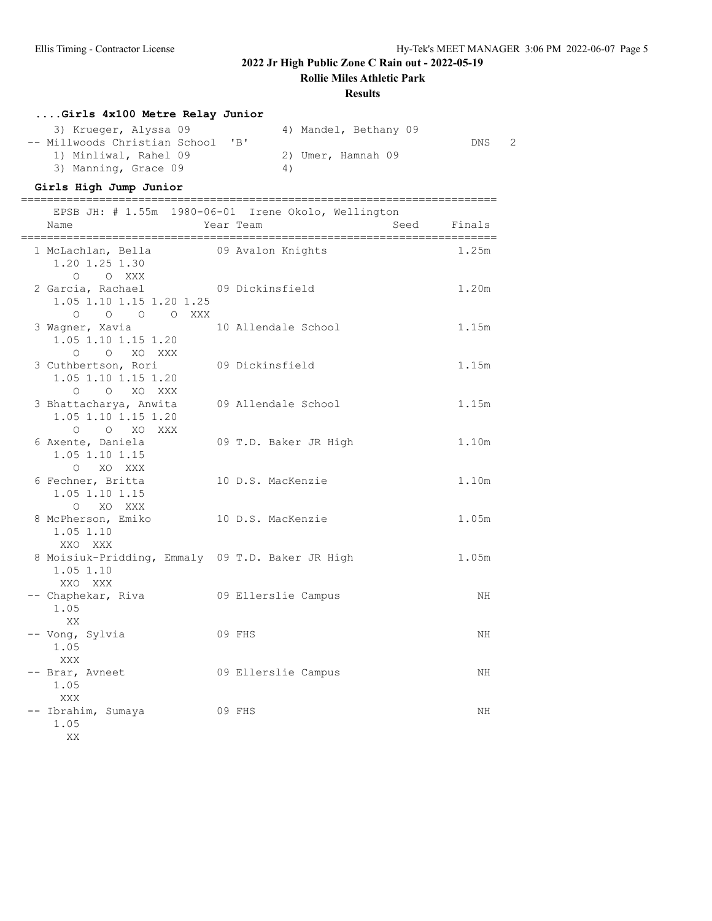**Rollie Miles Athletic Park**

### **Results**

| Girls 4x100 Metre Relay Junior                                                                          |                                                                          |          |
|---------------------------------------------------------------------------------------------------------|--------------------------------------------------------------------------|----------|
| 3) Krueger, Alyssa 09<br>-- Millwoods Christian School<br>1) Minliwal, Rahel 09<br>3) Manning, Grace 09 | 4) Mandel, Bethany 09<br>"B"<br>2) Umer, Hamnah 09<br>4)                 | 2<br>DNS |
| Girls High Jump Junior                                                                                  |                                                                          |          |
| Name                                                                                                    | EPSB JH: # 1.55m 1980-06-01 Irene Okolo, Wellington<br>Seed<br>Year Team | Finals   |
| 1 McLachlan, Bella 69 Avalon Knights<br>1.20 1.25 1.30<br>O O XXX                                       |                                                                          | 1.25m    |
| 2 Garcia, Rachael<br>1.05 1.10 1.15 1.20 1.25<br>$O$ $O$ $O$ $O$ $XXX$                                  | 09 Dickinsfield                                                          | 1.20m    |
| 3 Wagner, Xavia<br>1.05 1.10 1.15 1.20<br>$O$ $O$ $XO$ $XXX$                                            | 10 Allendale School                                                      | 1.15m    |
| 3 Cuthbertson, Rori<br>1.05 1.10 1.15 1.20<br>O O XO XXX                                                | 09 Dickinsfield                                                          | 1.15m    |
| 3 Bhattacharya, Anwita<br>1.05 1.10 1.15 1.20<br>$O$ $O$ $XO$ $XXX$                                     | 09 Allendale School                                                      | 1.15m    |
| 6 Axente, Daniela<br>1.05 1.10 1.15<br>O XO XXX                                                         | 09 T.D. Baker JR High                                                    | 1.10m    |
| 6 Fechner, Britta<br>1.05 1.10 1.15<br>O XO XXX                                                         | 10 D.S. MacKenzie                                                        | 1.10m    |
| 8 McPherson, Emiko<br>1.05 1.10<br>XXO XXX                                                              | 10 D.S. MacKenzie                                                        | 1.05m    |
| 8 Moisiuk-Pridding, Emmaly 09 T.D. Baker JR High<br>1.05 1.10<br>XXO XXX                                |                                                                          | 1.05m    |
| -- Chaphekar, Riva<br>1.05<br>XX                                                                        | 09 Ellerslie Campus                                                      | NΗ       |
| -- Vong, Sylvia<br>1.05<br>XXX                                                                          | 09 FHS                                                                   | ΝH       |
| -- Brar, Avneet<br>1.05<br>XXX                                                                          | 09 Ellerslie Campus                                                      | ΝH       |
| Ibrahim, Sumaya<br>1.05<br>XX                                                                           | 09 FHS                                                                   | ΝH       |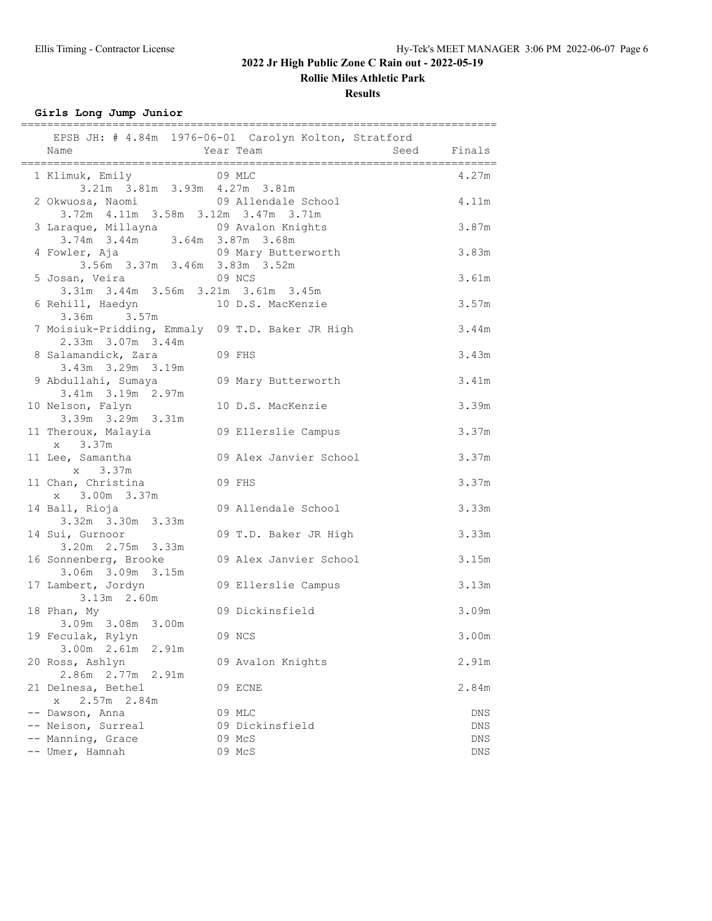**Rollie Miles Athletic Park**

**Results**

**Girls Long Jump Junior**

|                                                                                  | EPSB JH: # 4.84m 1976-06-01 Carolyn Kolton, Stratford |             |
|----------------------------------------------------------------------------------|-------------------------------------------------------|-------------|
| Name                                                                             | Year Team                                             | Seed Finals |
| 1 Klimuk, Emily 09 MLC<br>3.21m 3.81m 3.93m 4.27m 3.81m                          |                                                       | 4.27m       |
| 2 Okwuosa, Naomi<br>3.72m  4.11m  3.58m  3.12m  3.47m  3.71m                     | 09 Allendale School                                   | 4.11m       |
| 3 Laraque, Millayna 69 Avalon Knights<br>$3.74m$ $3.44m$ $3.64m$ $3.87m$ $3.68m$ |                                                       | 3.87m       |
| 4 Fowler, Aja<br>3.56m 3.37m 3.46m 3.83m 3.52m                                   | 09 Mary Butterworth                                   | 3.83m       |
| 5 Josan, Veira<br>3.31m 3.44m 3.56m 3.21m 3.61m 3.45m                            | 09 NCS                                                | 3.61m       |
| 6 Rehill, Haedyn<br>3.36m 3.57m                                                  | 10 D.S. MacKenzie                                     | 3.57m       |
| 7 Moisiuk-Pridding, Emmaly 09 T.D. Baker JR High<br>2.33m 3.07m 3.44m            |                                                       | 3.44m       |
| 8 Salamandick, Zara<br>3.43m 3.29m 3.19m                                         | 09 FHS                                                | 3.43m       |
| 9 Abdullahi, Sumaya<br>3.41m 3.19m 2.97m                                         | 09 Mary Butterworth                                   | 3.41m       |
| 10 Nelson, Falyn<br>3.39m 3.29m 3.31m                                            | 10 D.S. MacKenzie                                     | 3.39m       |
| 11 Theroux, Malayia<br>x 3.37m                                                   | 09 Ellerslie Campus                                   | 3.37m       |
| 11 Lee, Samantha<br>x 3.37m                                                      | 09 Alex Janvier School                                | 3.37m       |
| 11 Chan, Christina<br>x 3.00m 3.37m                                              | 09 FHS                                                | 3.37m       |
| 14 Ball, Rioja<br>3.32m 3.30m 3.33m                                              | 09 Allendale School                                   | 3.33m       |
| 14 Sui, Gurnoor<br>3.20m 2.75m 3.33m                                             | 09 T.D. Baker JR High                                 | 3.33m       |
| 16 Sonnenberg, Brooke<br>3.06m 3.09m 3.15m                                       | 09 Alex Janvier School                                | 3.15m       |
| 17 Lambert, Jordyn<br>3.13m 2.60m                                                | 09 Ellerslie Campus                                   | 3.13m       |
| 18 Phan, My<br>3.09m 3.08m 3.00m                                                 | 09 Dickinsfield                                       | 3.09m       |
| 19 Feculak, Rylyn<br>$3.00m$ $2.61m$<br>2.91m                                    | 09 NCS                                                | 3.00m       |
| 20 Ross, Ashlyn<br>2.86m 2.77m 2.91m                                             | 09 Avalon Knights                                     | 2.91m       |
| 21 Delnesa, Bethel<br>$2.57m$ $2.84m$<br>X                                       | 09 ECNE                                               | 2.84m       |
| -- Dawson, Anna                                                                  | 09 MLC                                                | DNS         |
| -- Neison, Surreal                                                               | 09 Dickinsfield                                       | DNS         |
| -- Manning, Grace                                                                | 09 McS                                                | DNS         |
| -- Umer, Hamnah                                                                  | 09 McS                                                | DNS         |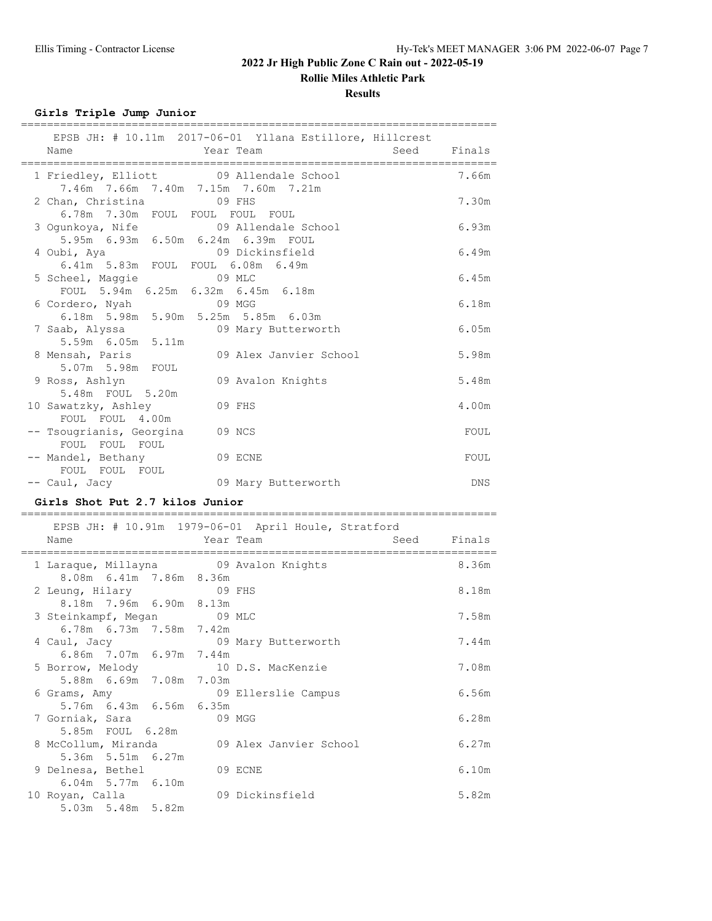**Rollie Miles Athletic Park**

**Results**

### **Girls Triple Jump Junior**

|                                 | Name                                                             | EPSB JH: # 10.11m 2017-06-01 Yllana Estillore, Hillcrest<br>Seed<br>Year Team | Finals                                                      |  |  |  |
|---------------------------------|------------------------------------------------------------------|-------------------------------------------------------------------------------|-------------------------------------------------------------|--|--|--|
|                                 | 1 Friedley, Elliott                                              | 09 Allendale School<br>7.46m 7.66m 7.40m 7.15m 7.60m 7.21m                    | 7.66m                                                       |  |  |  |
|                                 | 2 Chan, Christina                                                | 09 FHS                                                                        | 7.30m                                                       |  |  |  |
|                                 | 6.78m 7.30m FOUL FOUL FOUL<br>3 Ogunkoya, Nife                   | FOUL<br>09 Allendale School                                                   | 6.93m                                                       |  |  |  |
|                                 | 5.95m 6.93m 6.50m 6.24m 6.39m FOUL<br>4 Oubi, Aya                | 09 Dickinsfield                                                               | 6.49m                                                       |  |  |  |
|                                 | 6.41m 5.83m FOUL FOUL 6.08m 6.49m<br>5 Scheel, Maggie            | 09 MLC                                                                        | 6.45m                                                       |  |  |  |
|                                 | FOUL 5.94m 6.25m 6.32m 6.45m 6.18m<br>6 Cordero, Nyah            | 09 MGG                                                                        | 6.18m                                                       |  |  |  |
|                                 | 7 Saab, Alyssa<br>5.59m 6.05m 5.11m                              | 6.18m 5.98m 5.90m 5.25m 5.85m 6.03m<br>09 Mary Butterworth                    | 6.05m                                                       |  |  |  |
|                                 | 8 Mensah, Paris<br>5.07m 5.98m FOUL                              | 09 Alex Janvier School                                                        | 5.98m                                                       |  |  |  |
|                                 | 9 Ross, Ashlyn<br>5.48m FOUL 5.20m                               | 09 Avalon Knights                                                             | 5.48m                                                       |  |  |  |
|                                 | 10 Sawatzky, Ashley<br>FOUL FOUL 4.00m                           | 09 FHS                                                                        | 4.00m                                                       |  |  |  |
|                                 | -- Tsougrianis, Georgina<br>FOUL FOUL FOUL                       | 09 NCS                                                                        | FOUL                                                        |  |  |  |
|                                 | -- Mandel, Bethany<br>FOUL FOUL FOUL                             | 09 ECNE                                                                       | FOUL                                                        |  |  |  |
|                                 | -- Caul, Jacy                                                    | 09 Mary Butterworth                                                           | DNS                                                         |  |  |  |
| Girls Shot Put 2.7 kilos Junior |                                                                  |                                                                               |                                                             |  |  |  |
|                                 | Name                                                             | EPSB JH: # 10.91m 1979-06-01 April Houle, Stratford<br>Seed<br>Year Team      | Finals                                                      |  |  |  |
|                                 | 1 Laraque, Millayna 69 Avalon Knights<br>8.08m 6.41m 7.86m 8.36m |                                                                               | 8.36m                                                       |  |  |  |
|                                 | 2 Leung, Hilary                                                  | 09 FHS                                                                        | 8.18m                                                       |  |  |  |
|                                 | 8.18m 7.96m 6.90m 8.13m<br>3 Steinkampf, Megan                   | 09 MLC                                                                        | 7.58m                                                       |  |  |  |
|                                 | 6.78m 6.73m 7.58m 7.42m<br>4 Caul, Jacy                          | 09 Mary Butterworth                                                           | $7\,\raisebox{1pt}{\text{\circle*{1.5}}}\,4\,4\,\mathrm{m}$ |  |  |  |
|                                 | 6.86m 7.07m 6.97m 7.44m<br>5 Borrow, Melody                      | 10 D.S. MacKenzie                                                             | 7.08m                                                       |  |  |  |
|                                 | 5.88m 6.69m 7.08m<br>6 Grams, Amy                                | 7.03m<br>09 Ellerslie Campus                                                  | 6.56m                                                       |  |  |  |
|                                 | 5.76m 6.43m 6.56m 6.35m<br>7 Gorniak, Sara                       | 09 MGG                                                                        | 6.28m                                                       |  |  |  |
|                                 | 5.85m FOUL 6.28m<br>8 McCollum, Miranda                          | 09 Alex Janvier School                                                        | 6.27m                                                       |  |  |  |

 5.36m 5.51m 6.27m 9 Delnesa, Bethel 09 ECNE 6.10m 6.04m 5.77m 6.10m 10 Royan, Calla 09 Dickinsfield 5.82m 5.03m 5.48m 5.82m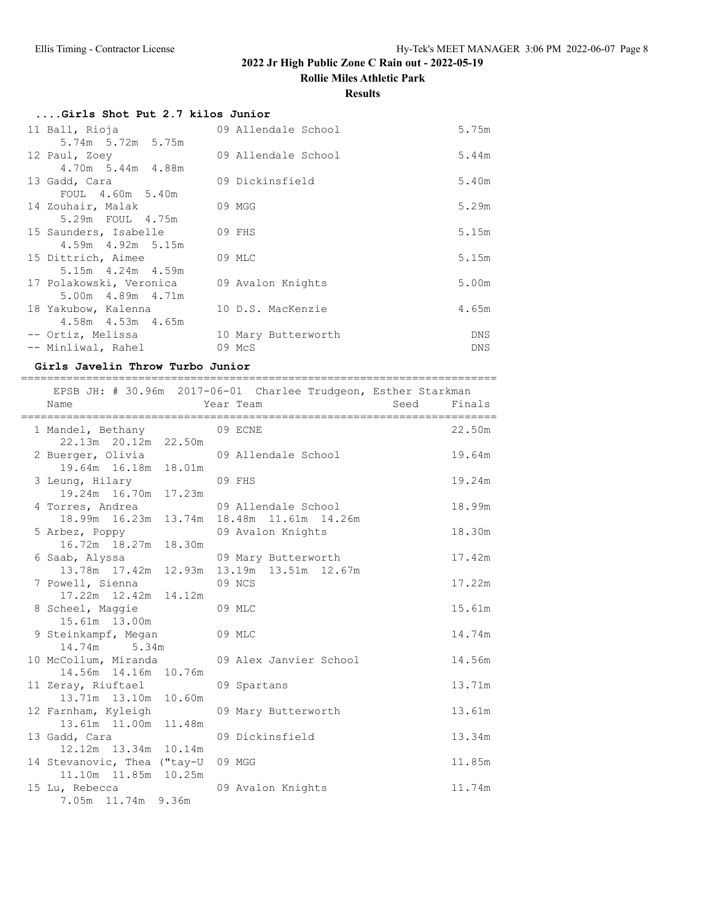**Rollie Miles Athletic Park**

### **Results**

|  | Girls Shot Put 2.7 kilos Junior |  |  |  |  |  |
|--|---------------------------------|--|--|--|--|--|
|--|---------------------------------|--|--|--|--|--|

| 11 Ball, Rioja                                              | 09 Allendale School           | 5.75m                    |
|-------------------------------------------------------------|-------------------------------|--------------------------|
| 5.74m 5.72m 5.75m<br>12 Paul, Zoey<br>$4.70m$ 5.44m $4.88m$ | 09 Allendale School           | 5.44m                    |
| 13 Gadd, Cara<br>FOUL 4.60m 5.40m                           | 09 Dickinsfield               | 5.40m                    |
| 14 Zouhair, Malak<br>5.29m FOUL 4.75m                       | 09 MGG                        | 5.29m                    |
| 15 Saunders, Isabelle<br>4.59m  4.92m  5.15m                | 09 FHS                        | 5.15m                    |
| 15 Dittrich, Aimee<br>$5.15m$ $4.24m$ $4.59m$               | 09 MLC                        | 5.15m                    |
| 17 Polakowski, Veronica<br>5.00m 4.89m 4.71m                | 09 Avalon Knights             | 5.00m                    |
| 18 Yakubow, Kalenna<br>$4.58m$ $4.53m$ $4.65m$              | 10 D.S. MacKenzie             | 4.65m                    |
| -- Ortiz, Melissa<br>-- Minliwal, Rahel                     | 10 Mary Butterworth<br>09 McS | <b>DNS</b><br><b>DNS</b> |

### **Girls Javelin Throw Turbo Junior**

| EPSB JH: # 30.96m 2017-06-01 Charlee Trudgeon, Esther Starkman<br>Name | Year Team                                                             | Seed<br>Finals |
|------------------------------------------------------------------------|-----------------------------------------------------------------------|----------------|
| 1 Mandel, Bethany 09 ECNE<br>22.13m  20.12m  22.50m                    |                                                                       | 22.50m         |
| 2 Buerger, Olivia 69 Allendale School                                  |                                                                       | 19.64m         |
| 19.64m  16.18m  18.01m<br>3 Leung, Hilary 09 FHS                       |                                                                       | 19.24m         |
| 19.24m  16.70m  17.23m                                                 |                                                                       |                |
| 4 Torres, Andrea 69 Allendale School                                   | 18.99m  16.23m  13.74m  18.48m  11.61m  14.26m                        | 18.99m         |
| 5 Arbez, Poppy                                                         | 09 Avalon Knights                                                     | 18.30m         |
| 16.72m  18.27m  18.30m                                                 |                                                                       |                |
| 6 Saab, Alyssa                                                         | 09 Mary Butterworth<br>13.78m  17.42m  12.93m  13.19m  13.51m  12.67m | 17.42m         |
| 7 Powell, Sienna                                                       | 09 NCS                                                                | 17.22m         |
| 17.22m  12.42m  14.12m<br>8 Scheel, Maggie<br>MAGNETIC DEL MAGNETICI   |                                                                       | 15.61m         |
| 15.61m 13.00m                                                          |                                                                       |                |
| 9 Steinkampf, Megan 09 MLC                                             |                                                                       | 14.74m         |
| 14.74m 5.34m<br>10 McCollum, Miranda                                   | 09 Alex Janvier School                                                | 14.56m         |
| 14.56m 14.16m 10.76m                                                   |                                                                       |                |
| 11 Zeray, Riuftael<br>13.71m  13.10m  10.60m                           | 09 Spartans                                                           | 13.71m         |
| 12 Farnham, Kyleigh                                                    | 09 Mary Butterworth                                                   | 13.61m         |
| 13.61m  11.00m  11.48m                                                 | 09 Dickinsfield                                                       | 13.34m         |
| 13 Gadd, Cara<br>12.12m  13.34m  10.14m                                |                                                                       |                |
| 14 Stevanovic, Thea ("tay-U                                            | 09 MGG                                                                | 11.85m         |
| 11.10m  11.85m  10.25m<br>15 Lu, Rebecca                               | 09 Avalon Knights                                                     | 11.74m         |
| 7.05m 11.74m 9.36m                                                     |                                                                       |                |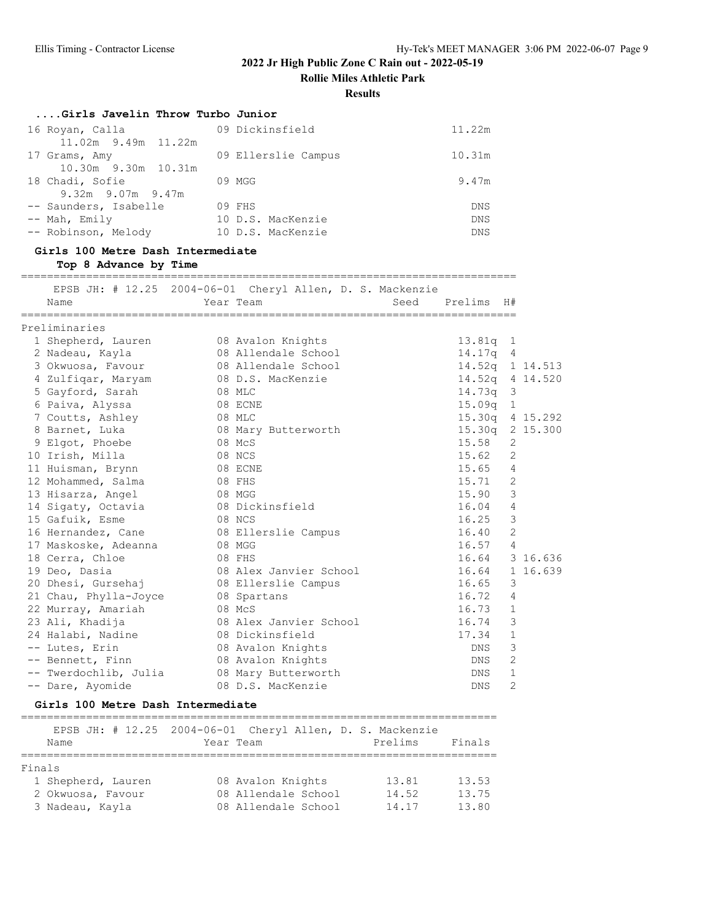**Rollie Miles Athletic Park**

#### **Results**

| Girls Javelin Throw Turbo Junior |                     |            |
|----------------------------------|---------------------|------------|
| 16 Royan, Calla                  | 09 Dickinsfield     | 11.22m     |
| 11.02m 9.49m 11.22m              |                     |            |
| 17 Grams, Amy                    | 09 Ellerslie Campus | 10.31m     |
| 10.30m 9.30m 10.31m              |                     |            |
| 18 Chadi, Sofie                  | 09 MGG              | 9.47m      |
| $9.32m$ $9.07m$ $9.47m$          |                     |            |
| -- Saunders, Isabelle            | $09$ FHS            | DNS        |
| $--$ Mah, Emily                  | 10 D.S. MacKenzie   | <b>DNS</b> |
| -- Robinson, Melody              | 10 D.S. MacKenzie   | <b>DNS</b> |
|                                  |                     |            |

### **Girls 100 Metre Dash Intermediate Top 8 Advance by Time**

### ============================================================================

|                       | EPSB JH: # 12.25 2004-06-01 Cheryl Allen, D. S. Mackenzie |      |                    |                |                 |
|-----------------------|-----------------------------------------------------------|------|--------------------|----------------|-----------------|
| Name                  | Year Team                                                 | Seed | Prelims            | H#             |                 |
| Preliminaries         |                                                           |      |                    |                |                 |
| 1 Shepherd, Lauren    | 08 Avalon Knights                                         |      | 13.81q             | $\mathbf{1}$   |                 |
| 2 Nadeau, Kayla       | 08 Allendale School                                       |      | 14.17q             | 4              |                 |
| 3 Okwuosa, Favour     | 08 Allendale School                                       |      |                    |                | 14.52q 1 14.513 |
| 4 Zulfigar, Maryam    | 08 D.S. MacKenzie                                         |      | 14.52q             |                | 4 14.520        |
| 5 Gayford, Sarah      | 08 MLC                                                    |      | 14.73q             | 3              |                 |
| 6 Paiva, Alyssa       | 08 ECNE                                                   |      | 15.09q             | $\mathbf{1}$   |                 |
| 7 Coutts, Ashley      | 08 MLC                                                    |      | 15.30 <sub>q</sub> |                | 4 15.292        |
| 8 Barnet, Luka        | 08 Mary Butterworth                                       |      | 15.30q             |                | 2 15.300        |
| 9 Elgot, Phoebe       | 08 McS                                                    |      | 15.58              | 2              |                 |
| 10 Irish, Milla       | 08 NCS                                                    |      | 15.62              | $\overline{2}$ |                 |
| 11 Huisman, Brynn     | 08 ECNE                                                   |      | 15.65              | 4              |                 |
| 12 Mohammed, Salma    | 08 FHS                                                    |      | 15.71              | 2              |                 |
| 13 Hisarza, Angel     | 08 MGG                                                    |      | 15.90              | 3              |                 |
| 14 Sigaty, Octavia    | 08 Dickinsfield                                           |      | 16.04              | 4              |                 |
| 15 Gafuik, Esme       | 08 NCS                                                    |      | 16.25              | $\mathcal{S}$  |                 |
| 16 Hernandez, Cane    | 08 Ellerslie Campus                                       |      | 16.40              | $\mathbf{2}$   |                 |
| 17 Maskoske, Adeanna  | 08 MGG                                                    |      | 16.57              | $\overline{4}$ |                 |
| 18 Cerra, Chloe       | 08 FHS                                                    |      | 16.64              |                | 3 16.636        |
| 19 Deo, Dasia         | 08 Alex Janvier School                                    |      | 16.64              |                | 1 16.639        |
| 20 Dhesi, Gursehaj    | 08 Ellerslie Campus                                       |      | 16.65              | 3              |                 |
| 21 Chau, Phylla-Joyce | 08 Spartans                                               |      | 16.72              | 4              |                 |
| 22 Murray, Amariah    | $08$ McS                                                  |      | 16.73              | 1              |                 |
| 23 Ali, Khadija       | 08 Alex Janvier School                                    |      | 16.74              | 3              |                 |
| 24 Halabi, Nadine     | 08 Dickinsfield                                           |      | 17.34              | $\mathbf{1}$   |                 |
| -- Lutes, Erin        | 08 Avalon Knights                                         |      | DNS                | 3              |                 |
| -- Bennett, Finn      | 08 Avalon Knights                                         |      | <b>DNS</b>         | 2              |                 |
| -- Twerdochlib, Julia | 08 Mary Butterworth                                       |      | <b>DNS</b>         | $\mathbf{1}$   |                 |
| -- Dare, Ayomide      | 08 D.S. MacKenzie                                         |      | <b>DNS</b>         | $\overline{2}$ |                 |

### **Girls 100 Metre Dash Intermediate**

| Finals |
|--------|
|        |
|        |
| 13.53  |
| 13.75  |
| 13.80  |
|        |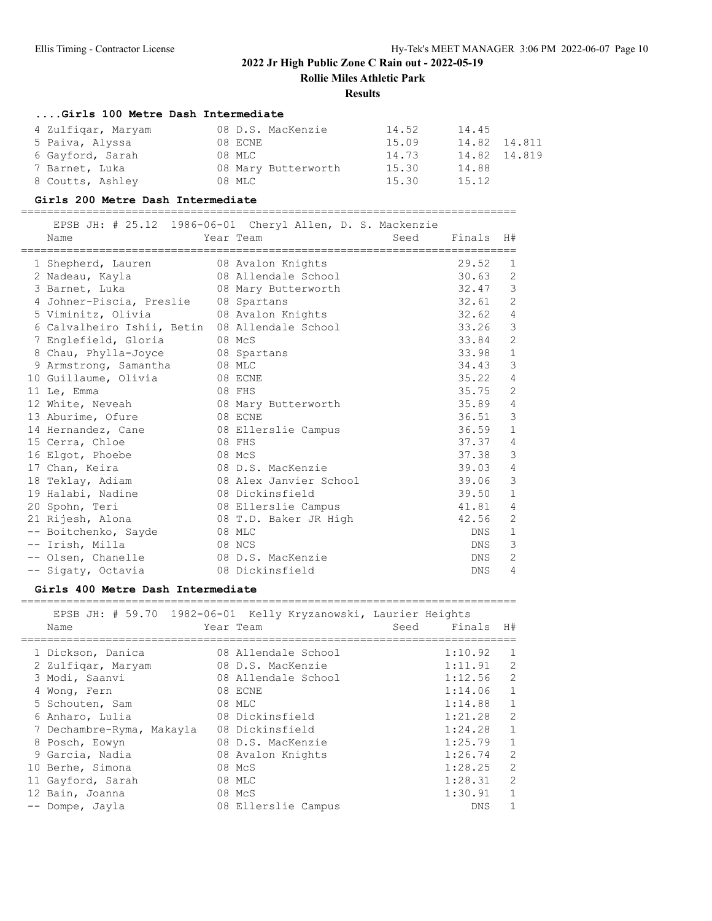**Rollie Miles Athletic Park**

#### **Results**

### **....Girls 100 Metre Dash Intermediate**

| 4 Zulfigar, Maryam | 08 D.S. MacKenzie   | 14.52 | 14.45        |
|--------------------|---------------------|-------|--------------|
| 5 Paiva, Alyssa    | 08 ECNE             | 15.09 | 14.82 14.811 |
| 6 Gayford, Sarah   | 08 MLC              | 14.73 | 14.82 14.819 |
| 7 Barnet, Luka     | 08 Mary Butterworth | 15.30 | 14.88        |
| 8 Coutts, Ashley   | 08 MLC              | 15.30 | 15.12        |

#### **Girls 200 Metre Dash Intermediate**

============================================================================

| Name                                           | EPSB JH: # 25.12 1986-06-01 Cheryl Allen, D. S. Mackenzie<br>Seed<br>Year Team | Finals     | H#             |
|------------------------------------------------|--------------------------------------------------------------------------------|------------|----------------|
| 1 Shepherd, Lauren                             | 08 Avalon Knights                                                              | 29.52      | 1              |
| 2 Nadeau, Kayla                                | 08 Allendale School                                                            | 30.63      | 2              |
| 3 Barnet, Luka                                 | 08 Mary Butterworth                                                            | 32.47      | 3              |
| 4 Johner-Piscia, Preslie 08 Spartans           |                                                                                | 32.61      | 2              |
| 5 Viminitz, Olivia                             | 08 Avalon Knights                                                              | 32.62      | $\overline{4}$ |
| 6 Calvalheiro Ishii, Betin 08 Allendale School |                                                                                | 33.26      | $\mathcal{S}$  |
| 7 Englefield, Gloria                           | 08 McS                                                                         | 33.84      | $\overline{c}$ |
| 8 Chau, Phylla-Joyce 08 Spartans               |                                                                                | 33.98      | $\mathbf{1}$   |
| 9 Armstrong, Samantha                          | 08 MLC                                                                         | 34.43      | 3              |
| 10 Guillaume, Olivia                           | 08 ECNE                                                                        | 35.22      | 4              |
| 11 Le, Emma                                    | 08 FHS                                                                         | 35.75      | $\overline{c}$ |
| 12 White, Neveah                               | 08 Mary Butterworth                                                            | 35.89      | $\overline{4}$ |
| 13 Aburime, Ofure                              | 08 ECNE                                                                        | 36.51      | $\mathfrak{Z}$ |
| 14 Hernandez, Cane                             | 08 Ellerslie Campus                                                            | 36.59      | $\mathbf{1}$   |
| 15 Cerra, Chloe                                | 08 FHS                                                                         | 37.37      | $\overline{4}$ |
| 16 Elgot, Phoebe                               | 08 McS                                                                         | 37.38      | $\mathfrak{Z}$ |
| 17 Chan, Keira                                 | 08 D.S. MacKenzie                                                              | 39.03      | $\overline{4}$ |
| 18 Teklay, Adiam                               | 08 Alex Janvier School                                                         | 39.06      | $\mathcal{S}$  |
| 19 Halabi, Nadine                              | 08 Dickinsfield                                                                | 39.50      | $\mathbf{1}$   |
| 20 Spohn, Teri                                 | 08 Ellerslie Campus                                                            | 41.81      | 4              |
| 21 Rijesh, Alona                               | 08 T.D. Baker JR High                                                          | 42.56      | 2              |
| -- Boitchenko, Sayde                           | 08 MLC                                                                         | DNS        | $\mathbf{1}$   |
| -- Irish, Milla                                | 08 NCS                                                                         | DNS        | 3              |
| -- Olsen, Chanelle                             | 08 D.S. MacKenzie                                                              | DNS        | 2              |
| -- Sigaty, Octavia                             | 08 Dickinsfield                                                                | <b>DNS</b> | $\overline{4}$ |

#### **Girls 400 Metre Dash Intermediate**

| EPSB JH: # 59.70 1982-06-01 Kelly Kryzanowski, Laurier Heights<br>Name | Year Team           | Seed | Finals H#  |              |
|------------------------------------------------------------------------|---------------------|------|------------|--------------|
| 1 Dickson, Danica                                                      | 08 Allendale School |      | 1:10.92    | 1            |
| 2 Zulfigar, Maryam                                                     | 08 D.S. MacKenzie   |      | 1:11.91    | 2            |
| 3 Modi, Saanvi                                                         | 08 Allendale School |      | 1:12.56    | 2            |
| 4 Wong, Fern                                                           | 08 ECNE             |      | 1:14.06    | $\mathbf{1}$ |
| 5 Schouten, Sam                                                        | 08 MLC              |      | 1:14.88    | $\mathbf{1}$ |
| 6 Anharo, Lulia                                                        | 08 Dickinsfield     |      | 1:21.28    | 2            |
| 7 Dechambre-Ryma, Makayla                                              | 08 Dickinsfield     |      | 1:24.28    | $\mathbf{1}$ |
| 8 Posch, Eowyn                                                         | 08 D.S. MacKenzie   |      | 1:25.79    | $\mathbf{1}$ |
| 9 Garcia, Nadia                                                        | 08 Avalon Knights   |      | 1:26.74    | 2            |
| 10 Berhe, Simona                                                       | 08 McS              |      | 1:28.25    | 2            |
| 11 Gayford, Sarah                                                      | 08 MLC              |      | 1:28.31    | 2            |
| 12 Bain, Joanna                                                        | 08 McS              |      | 1:30.91    | $\mathbf{1}$ |
| -- Dompe, Jayla                                                        | 08 Ellerslie Campus |      | <b>DNS</b> | $\mathbf{1}$ |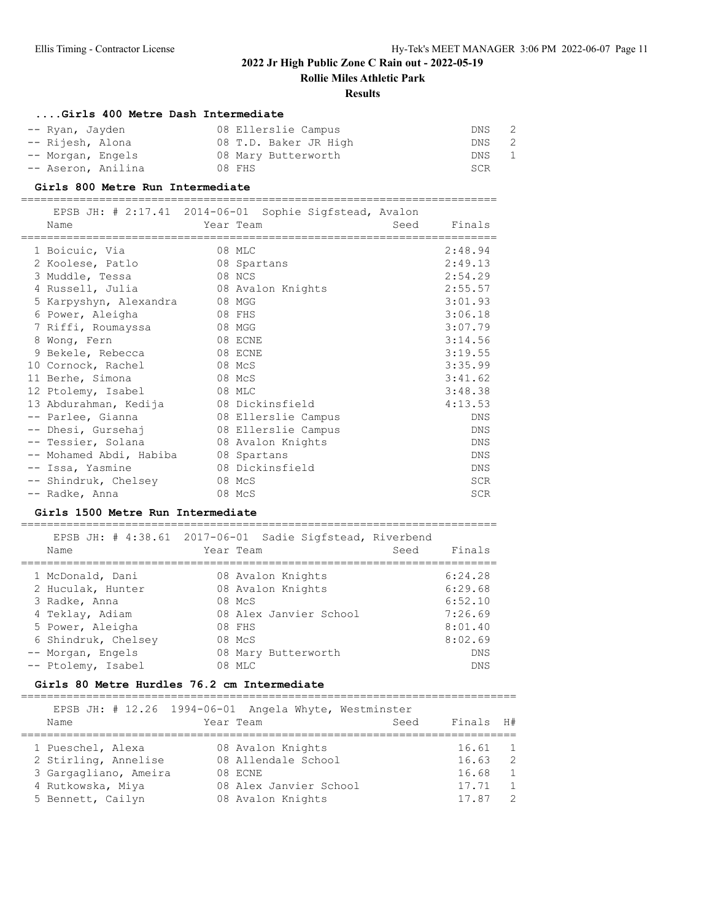**Rollie Miles Athletic Park**

#### **Results**

### **....Girls 400 Metre Dash Intermediate**

| -- Ryan, Jayden    | 08 Ellerslie Campus   | DNS   | $\overline{2}$ |
|--------------------|-----------------------|-------|----------------|
| -- Rijesh, Alona   | 08 T.D. Baker JR High | DNS 2 |                |
| -- Morgan, Engels  | 08 Mary Butterworth   | DNS 1 |                |
| -- Aseron, Anilina | 08 FHS                | SCR   |                |

#### **Girls 800 Metre Run Intermediate**

=========================================================================

| Name                    | EPSB JH: # 2:17.41 2014-06-01 Sophie Sigfstead, Avalon<br>Seed<br>Year Team | Finals     |
|-------------------------|-----------------------------------------------------------------------------|------------|
| 1 Boicuic, Via          | 08 MLC                                                                      | 2:48.94    |
| 2 Koolese, Patlo        | 08 Spartans                                                                 | 2:49.13    |
| 3 Muddle, Tessa         | 08 NCS                                                                      | 2:54.29    |
| 4 Russell, Julia        | 08 Avalon Knights                                                           | 2:55.57    |
| 5 Karpyshyn, Alexandra  | 08 MGG                                                                      | 3:01.93    |
| 6 Power, Aleigha        | 08 FHS                                                                      | 3:06.18    |
| 7 Riffi, Roumayssa      | 08 MGG                                                                      | 3:07.79    |
| 8 Wong, Fern            | 08 ECNE                                                                     | 3:14.56    |
| 9 Bekele, Rebecca       | 08 ECNE                                                                     | 3:19.55    |
| 10 Cornock, Rachel      | 08 McS                                                                      | 3:35.99    |
| 11 Berhe, Simona        | 08 McS                                                                      | 3:41.62    |
| 12 Ptolemy, Isabel      | 08 MLC                                                                      | 3:48.38    |
| 13 Abdurahman, Kedija   | 08 Dickinsfield                                                             | 4:13.53    |
| -- Parlee, Gianna       | 08 Ellerslie Campus                                                         | <b>DNS</b> |
| -- Dhesi, Gursehaj      | 08 Ellerslie Campus                                                         | <b>DNS</b> |
| -- Tessier, Solana      | 08 Avalon Knights                                                           | <b>DNS</b> |
| -- Mohamed Abdi, Habiba | 08 Spartans                                                                 | <b>DNS</b> |
| -- Issa, Yasmine        | 08 Dickinsfield                                                             | <b>DNS</b> |
| -- Shindruk, Chelsey    | 08 McS                                                                      | <b>SCR</b> |
| -- Radke, Anna          | 08 McS                                                                      | <b>SCR</b> |

### **Girls 1500 Metre Run Intermediate**

=========================================================================

| Name                | EPSB JH: # 4:38.61 2017-06-01 Sadie Sigfstead, Riverbend<br>Year Team | Finals<br>Seed |
|---------------------|-----------------------------------------------------------------------|----------------|
| 1 McDonald, Dani    | 08 Avalon Knights                                                     | 6:24.28        |
| 2 Huculak, Hunter   | 08 Avalon Knights                                                     | 6:29.68        |
| 3 Radke, Anna       | 08 McS                                                                | 6:52.10        |
| 4 Teklay, Adiam     | 08 Alex Janvier School                                                | 7:26.69        |
| 5 Power, Aleigha    | 08 FHS                                                                | 8:01.40        |
| 6 Shindruk, Chelsey | 08 McS                                                                | 8:02.69        |
| -- Morgan, Engels   | 08 Mary Butterworth                                                   | <b>DNS</b>     |
| -- Ptolemy, Isabel  | 08 MLC                                                                | DNS            |

#### **Girls 80 Metre Hurdles 76.2 cm Intermediate**

| Name                  | EPSB JH: $\#$ 12.26 1994-06-01 Angela Whyte, Westminster<br>Year Team<br>Seed | Finals H# |                |
|-----------------------|-------------------------------------------------------------------------------|-----------|----------------|
| 1 Pueschel, Alexa     | 08 Avalon Knights                                                             | 16.61     | $\overline{1}$ |
| 2 Stirling, Annelise  | 08 Allendale School                                                           | 16.63     | $\overline{2}$ |
| 3 Gargagliano, Ameira | 08 ECNE                                                                       | 16.68     | $\mathbf{1}$   |
| 4 Rutkowska, Miya     | 08 Alex Janvier School                                                        | 17.71     | $\overline{1}$ |
| 5 Bennett, Cailyn     | 08 Avalon Knights                                                             | 17.87     | $\overline{2}$ |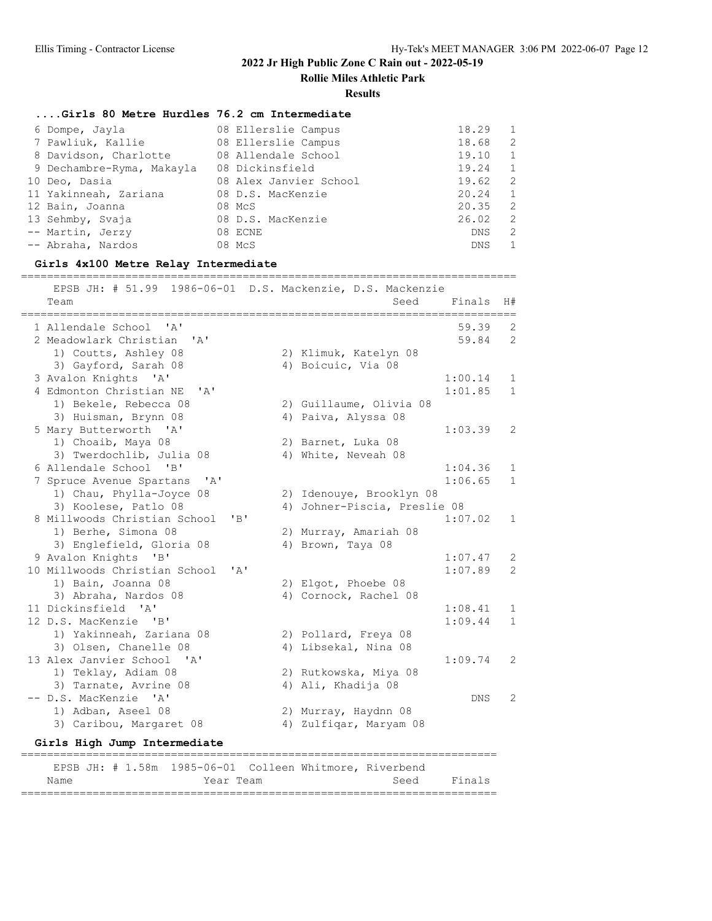**Rollie Miles Athletic Park**

#### **Results**

# **....Girls 80 Metre Hurdles 76.2 cm Intermediate**

| 6 Dompe, Jayla            | 08 Ellerslie Campus    | 18.29      | $\overline{1}$ |
|---------------------------|------------------------|------------|----------------|
| 7 Pawliuk, Kallie         | 08 Ellerslie Campus    | 18.68      | $\overline{2}$ |
| 8 Davidson, Charlotte     | 08 Allendale School    | 19.10      | $\sqrt{1}$     |
| 9 Dechambre-Ryma, Makayla | 08 Dickinsfield        | 19.24      | $\overline{1}$ |
| 10 Deo, Dasia             | 08 Alex Janvier School | 19.62      | $\overline{2}$ |
| 11 Yakinneah, Zariana     | 08 D.S. MacKenzie      | 20.24      | $\sqrt{1}$     |
| 12 Bain, Joanna           | 08 McS                 | 20.35      | 2              |
| 13 Sehmby, Svaja          | 08 D.S. MacKenzie      | 26.02      | $\overline{2}$ |
| -- Martin, Jerzy          | 08 ECNE                | DNS        | -2             |
| -- Abraha, Nardos         | 08 McS                 | <b>DNS</b> | -1             |

### **Girls 4x100 Metre Relay Intermediate**

============================================================================

| EPSB JH: # 51.99<br>Team                                                  | 1986-06-01 D.S. Mackenzie, D.S. Mackenzie<br>Seed<br>================= | Finals  | H#                  |
|---------------------------------------------------------------------------|------------------------------------------------------------------------|---------|---------------------|
| 1 Allendale School<br>$\mathsf{A}$                                        |                                                                        | 59.39   | 2                   |
| 2 Meadowlark Christian<br>$\mathbf{A}$                                    |                                                                        | 59.84   | 2                   |
| 1) Coutts, Ashley 08                                                      | 2) Klimuk, Katelyn 08                                                  |         |                     |
| 3) Gayford, Sarah 08                                                      | 4) Boicuic, Via 08                                                     |         |                     |
| 3 Avalon Knights 'A'                                                      |                                                                        | 1:00.14 | 1                   |
| 4 Edmonton Christian NE<br>$\mathsf{r}_{\mathsf{A}}$                      |                                                                        | 1:01.85 | $\mathbf{1}$        |
| 1) Bekele, Rebecca 08                                                     | 2) Guillaume, Olivia 08                                                |         |                     |
| 3) Huisman, Brynn 08                                                      | 4) Paiva, Alyssa 08                                                    |         |                     |
| 5 Mary Butterworth 'A'                                                    |                                                                        | 1:03.39 | 2                   |
| 1) Choaib, Maya 08                                                        | 2) Barnet, Luka 08                                                     |         |                     |
| 3) Twerdochlib, Julia 08                                                  | 4) White, Neveah 08                                                    |         |                     |
| 6 Allendale School 'B'                                                    |                                                                        | 1:04.36 | $\mathbf{1}$        |
| 7 Spruce Avenue Spartans<br>$\mathsf{A}$                                  |                                                                        | 1:06.65 | $\mathbf{1}$        |
| 1) Chau, Phylla-Joyce 08                                                  | 2) Idenouye, Brooklyn 08                                               |         |                     |
| 3) Koolese, Patlo 08                                                      | 4) Johner-Piscia, Preslie 08                                           |         |                     |
| 8 Millwoods Christian School<br>"B"                                       |                                                                        | 1:07.02 | $\mathbf{1}$        |
| 1) Berhe, Simona 08                                                       | 2) Murray, Amariah 08                                                  |         |                     |
| 3) Englefield, Gloria 08                                                  | 4) Brown, Taya 08                                                      |         |                     |
| 9 Avalon Knights<br>$\mathbf{B}$<br>10 Millwoods Christian School<br>' A' |                                                                        | 1:07.47 | 2<br>$\overline{2}$ |
|                                                                           |                                                                        | 1:07.89 |                     |
| 1) Bain, Joanna 08<br>3) Abraha, Nardos 08                                | 2) Elgot, Phoebe 08<br>4) Cornock, Rachel 08                           |         |                     |
| 11 Dickinsfield 'A'                                                       |                                                                        | 1:08.41 | 1                   |
| 12 D.S. MacKenzie 'B'                                                     |                                                                        | 1:09.44 | $\mathbf{1}$        |
| 1) Yakinneah, Zariana 08                                                  | 2) Pollard, Freya 08                                                   |         |                     |
| 3) Olsen, Chanelle 08                                                     | 4) Libsekal, Nina 08                                                   |         |                     |
| 13 Alex Janvier School 'A'                                                |                                                                        | 1:09.74 | 2                   |
| 1) Teklay, Adiam 08                                                       | 2) Rutkowska, Miya 08                                                  |         |                     |
| 3) Tarnate, Avrine 08                                                     | 4) Ali, Khadija 08                                                     |         |                     |
| -- D.S. MacKenzie 'A'                                                     |                                                                        | DNS.    | 2                   |
| 1) Adban, Aseel 08                                                        | 2) Murray, Haydnn 08                                                   |         |                     |
| 3) Caribou, Margaret 08                                                   | 4) Zulfiqar, Maryam 08                                                 |         |                     |
| Girls High Jump Intermediate                                              |                                                                        |         |                     |
|                                                                           |                                                                        |         |                     |

========================================================================= EPSB JH: # 1.58m 1985-06-01 Colleen Whitmore, Riverbend Name Year Team Seed Finals =========================================================================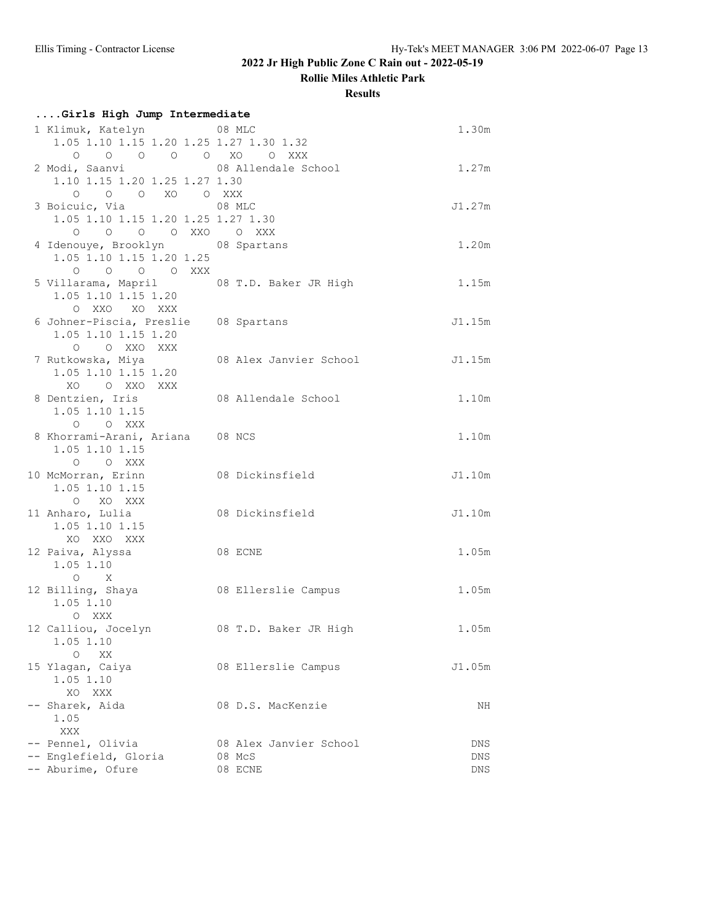**Rollie Miles Athletic Park**

### **Results**

| Girls High Jump Intermediate              |                        |        |
|-------------------------------------------|------------------------|--------|
| 1 Klimuk, Katelyn 08 MLC                  |                        | 1.30m  |
| 1.05 1.10 1.15 1.20 1.25 1.27 1.30 1.32   |                        |        |
| 0 0 0 0 0 XO 0 XXX                        |                        |        |
| 2 Modi, Saanvi Mood 08 Allendale School   |                        | 1.27m  |
| 1.10 1.15 1.20 1.25 1.27 1.30             |                        |        |
| 0 0 0 XO 0 XXX                            |                        |        |
| 3 Boicuic, Via                            | 08 MLC                 | J1.27m |
| 1.05 1.10 1.15 1.20 1.25 1.27 1.30        |                        |        |
| 0 0 0 0 XXO 0 XXX                         |                        |        |
|                                           |                        |        |
| 4 Idenouye, Brooklyn 08 Spartans          |                        | 1.20m  |
| 1.05 1.10 1.15 1.20 1.25                  |                        |        |
| 0 0 0 0 XXX                               |                        |        |
| 5 Villarama, Mapril 68 T.D. Baker JR High |                        | 1.15m  |
| 1.05 1.10 1.15 1.20                       |                        |        |
| O XXO XO XXX                              |                        |        |
| 6 Johner-Piscia, Preslie 08 Spartans      |                        | J1.15m |
| 1.05 1.10 1.15 1.20                       |                        |        |
| O O XXO XXX                               |                        |        |
| 7 Rutkowska, Miya                         | 08 Alex Janvier School | J1.15m |
| 1.05 1.10 1.15 1.20                       |                        |        |
| XO O XXO XXX                              |                        |        |
| 8 Dentzien, Iris                          | 08 Allendale School    | 1.10m  |
| 1.05 1.10 1.15                            |                        |        |
| O O XXX                                   |                        |        |
| 8 Khorrami-Arani, Ariana 08 NCS           |                        | 1.10m  |
| 1.05 1.10 1.15                            |                        |        |
| O O XXX                                   |                        |        |
| 10 McMorran, Erinn                        | 08 Dickinsfield        | J1.10m |
| 1.05 1.10 1.15                            |                        |        |
| O XO XXX                                  |                        |        |
| 11 Anharo, Lulia                          | 08 Dickinsfield        | J1.10m |
| 1.05 1.10 1.15                            |                        |        |
| XO XXO XXX                                |                        |        |
| 12 Paiva, Alyssa                          | 08 ECNE                | 1.05m  |
| 1.05 1.10                                 |                        |        |
| $\circ$ X                                 |                        |        |
| 12 Billing, Shaya                         | 08 Ellerslie Campus    | 1.05m  |
| 1.05 1.10                                 |                        |        |
| O XXX                                     |                        |        |
| 12 Calliou, Jocelyn                       | 08 T.D. Baker JR High  | 1.05m  |
| 1.05 1.10                                 |                        |        |
| $\circ$<br>XX                             |                        |        |
| 15 Ylagan, Caiya                          | 08 Ellerslie Campus    | J1.05m |
| 1.05 1.10                                 |                        |        |
| XO<br>XXX                                 |                        |        |
| -- Sharek, Aida                           | 08 D.S. MacKenzie      | ΝH     |
| 1.05                                      |                        |        |
| XXX                                       |                        |        |
| -- Pennel, Olivia                         | 08 Alex Janvier School | DNS    |
| -- Englefield, Gloria                     | 08 McS                 | DNS    |
| -- Aburime, Ofure                         | 08 ECNE                | DNS    |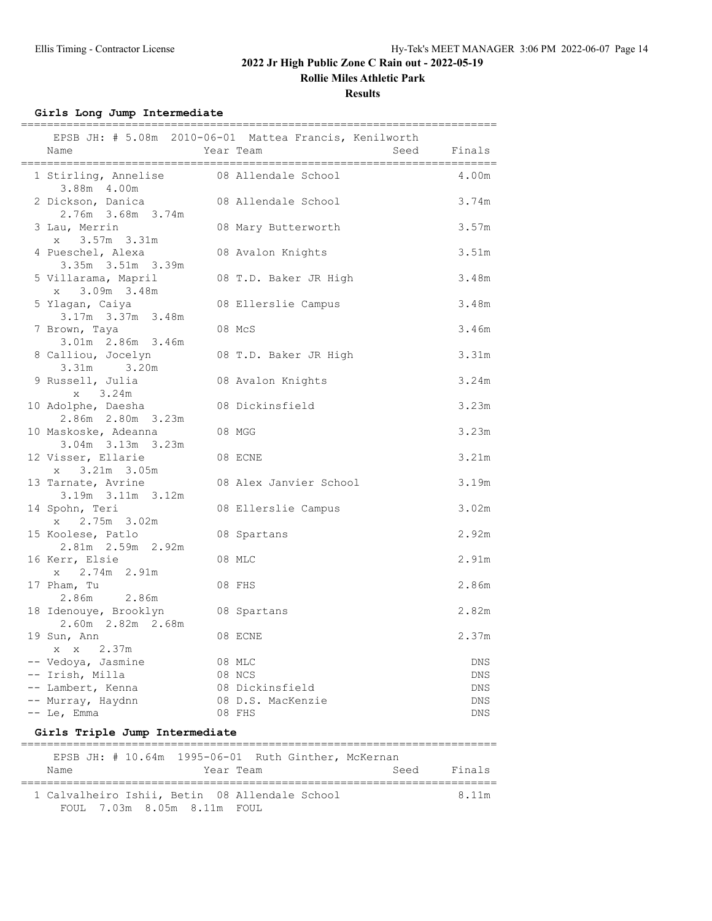**Rollie Miles Athletic Park**

**Results**

**Girls Long Jump Intermediate**

| Name                                                                          | EPSB JH: # 5.08m 2010-06-01 Mattea Francis, Kenilworth<br>Year Team<br>Seed | Finals |
|-------------------------------------------------------------------------------|-----------------------------------------------------------------------------|--------|
|                                                                               |                                                                             |        |
| 1 Stirling, Annelise 08 Allendale School<br>3.88m 4.00m                       |                                                                             | 4.00m  |
| 2 Dickson, Danica<br>2.76m 3.68m 3.74m                                        | 08 Allendale School                                                         | 3.74m  |
| 3 Lau, Merrin<br>x 3.57m 3.31m                                                | 08 Mary Butterworth                                                         | 3.57m  |
| 4 Pueschel, Alexa<br>3.35m 3.51m 3.39m                                        | 08 Avalon Knights                                                           | 3.51m  |
| 5 Villarama, Mapril<br>x 3.09m 3.48m                                          | 08 T.D. Baker JR High                                                       | 3.48m  |
| 5 Ylagan, Caiya<br>3.17m 3.37m 3.48m                                          | 08 Ellerslie Campus                                                         | 3.48m  |
| 7 Brown, Taya<br>3.01m 2.86m 3.46m                                            | 08 McS                                                                      | 3.46m  |
| 8 Calliou, Jocelyn<br>3.31m 3.20m                                             | 08 T.D. Baker JR High                                                       | 3.31m  |
| 9 Russell, Julia<br>$x \quad 3.24m$                                           | 08 Avalon Knights                                                           | 3.24m  |
| 10 Adolphe, Daesha<br>2.86m 2.80m 3.23m                                       | 08 Dickinsfield                                                             | 3.23m  |
| 10 Maskoske, Adeanna<br>3.04m 3.13m 3.23m                                     | 08 MGG                                                                      | 3.23m  |
| 12 Visser, Ellarie<br>x 3.21m 3.05m                                           | 08 ECNE                                                                     | 3.21m  |
| 13 Tarnate, Avrine<br>3.19m 3.11m 3.12m                                       | 08 Alex Janvier School                                                      | 3.19m  |
| 14 Spohn, Teri<br>x 2.75m 3.02m                                               | 08 Ellerslie Campus                                                         | 3.02m  |
| 15 Koolese, Patlo<br>2.81m 2.59m 2.92m                                        | 08 Spartans                                                                 | 2.92m  |
| 16 Kerr, Elsie<br>x 2.74m 2.91m                                               | 08 MLC                                                                      | 2.91m  |
| 17 Pham, Tu<br>2.86m 2.86m                                                    | 08 FHS                                                                      | 2.86m  |
| 18 Idenouye, Brooklyn<br>2.60m 2.82m 2.68m                                    | 08 Spartans                                                                 | 2.82m  |
| 19 Sun, Ann<br>2.37m                                                          | 08 ECNE                                                                     | 2.37m  |
| X<br>X<br>-- Vedoya, Jasmine                                                  | 08 MLC                                                                      | DNS.   |
| -- Irish, Milla                                                               | 08 NCS                                                                      | DNS.   |
| -- Lambert, Kenna                                                             | 08 Dickinsfield                                                             | DNS    |
| -- Murray, Haydnn                                                             | 08 D.S. MacKenzie                                                           | DNS    |
| -- Le, Emma                                                                   | 08 FHS                                                                      | DNS    |
| Girls Triple Jump Intermediate                                                |                                                                             |        |
|                                                                               | EPSB JH: # 10.64m 1995-06-01 Ruth Ginther, McKernan                         |        |
| Name                                                                          | Year Team<br>Seed<br>===================                                    | Finals |
| 1 Calvalheiro Ishii, Betin 08 Allendale School<br>FOUL 7.03m 8.05m 8.11m FOUL |                                                                             | 8.11m  |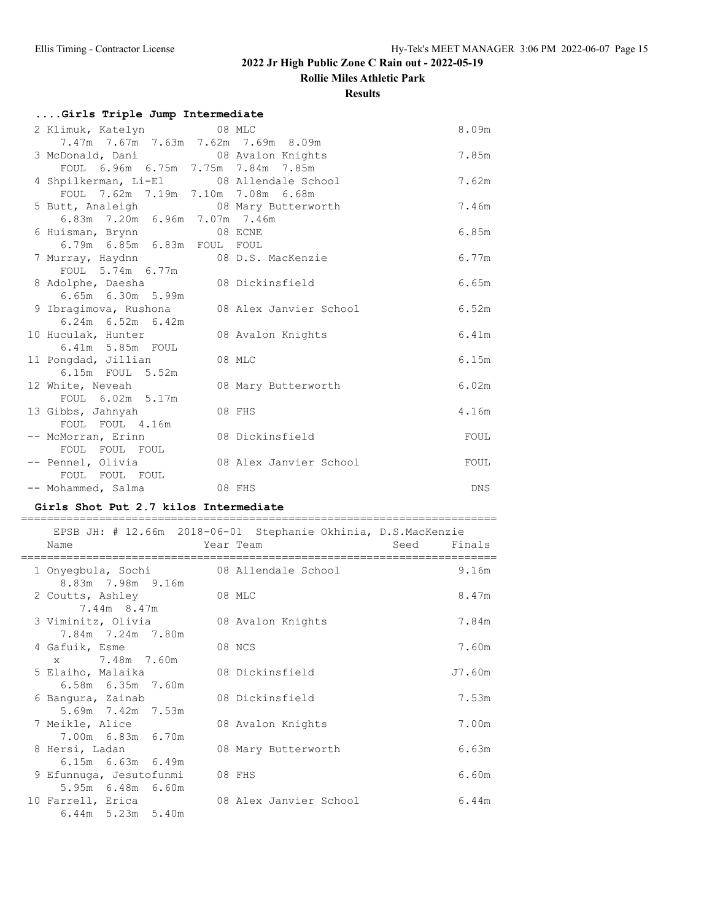**Rollie Miles Athletic Park**

#### **Results**

# **....Girls Triple Jump Intermediate**

| 2 Klimuk, Katelyn 68 MLC                     |        |                        | 8.09m      |
|----------------------------------------------|--------|------------------------|------------|
| 7.47m 7.67m 7.63m 7.62m 7.69m 8.09m          |        |                        |            |
| 3 McDonald, Dani (08 Avalon Knights          |        |                        | 7.85m      |
| FOUL 6.96m 6.75m 7.75m 7.84m 7.85m           |        |                        |            |
| 4 Shpilkerman, Li-El 08 Allendale School     |        |                        | 7.62m      |
| FOUL 7.62m 7.19m 7.10m 7.08m 6.68m           |        |                        |            |
| 5 Butt, Analeigh 68 Mary Butterworth         |        |                        | 7.46m      |
| 6.83m 7.20m 6.96m 7.07m 7.46m                |        |                        |            |
| 6 Huisman, Brynn 68 ECNE                     |        |                        | 6.85m      |
| 6.79m 6.85m 6.83m FOUL FOUL                  |        |                        |            |
| 7 Murray, Haydnn 68 D.S. MacKenzie           |        |                        | 6.77m      |
| FOUL 5.74m 6.77m                             |        |                        |            |
| 8 Adolphe, Daesha (8 Dickinsfield            |        |                        | 6.65m      |
| 6.65m 6.30m 5.99m                            |        |                        |            |
| 9 Ibragimova, Rushona 68 Alex Janvier School |        |                        | 6.52m      |
| $6.24m$ $6.52m$ $6.42m$                      |        |                        |            |
| 10 Huculak, Hunter                           |        | 08 Avalon Knights      | 6.41m      |
| 6.41m 5.85m FOUL                             |        |                        |            |
| 11 Pongdad, Jillian                          | 08 MLC |                        | 6.15m      |
| 6.15m FOUL 5.52m                             |        |                        |            |
| 12 White, Neveah                             |        | 08 Mary Butterworth    | 6.02m      |
| FOUL 6.02m 5.17m                             |        |                        |            |
| 13 Gibbs, Jahnyah                            | 08 FHS |                        | 4.16m      |
| FOUL FOUL 4.16m                              |        |                        |            |
| -- McMorran, Erinn                           |        | 08 Dickinsfield        | FOUL       |
| FOUL FOUL FOUL                               |        |                        |            |
| -- Pennel, Olivia                            |        | 08 Alex Janvier School | FOUL       |
| FOUL FOUL FOUL                               |        |                        |            |
| -- Mohammed, Salma                           |        | 08 FHS                 | <b>DNS</b> |

#### **Girls Shot Put 2.7 kilos Intermediate**

| EPSB JH: # 12.66m 2018-06-01 Stephanie Okhinia, D.S.MacKenzie |        |                        |                |  |
|---------------------------------------------------------------|--------|------------------------|----------------|--|
| Name                                                          |        | Year Team              | Seed<br>Finals |  |
| 1 Onyeqbula, Sochi 68 Allendale School<br>8.83m 7.98m 9.16m   |        |                        | 9.16m          |  |
| 2 Coutts, Ashley<br>7.44m 8.47m                               | 08 MLC |                        | 8.47m          |  |
| 3 Viminitz, Olivia<br>7.84m 7.24m 7.80m                       |        | 08 Avalon Knights      | 7.84m          |  |
| 4 Gafuik, Esme<br>x 7.48m 7.60m                               |        | 08 NCS                 | 7.60m          |  |
| 5 Elaiho, Malaika<br>6.58m 6.35m 7.60m                        |        | 08 Dickinsfield        | J7.60m         |  |
| 6 Bangura, Zainab<br>5.69m 7.42m 7.53m                        |        | 08 Dickinsfield        | 7.53m          |  |
| 7 Meikle, Alice<br>7.00m 6.83m 6.70m                          |        | 08 Avalon Knights      | 7.00m          |  |
| 8 Hersi, Ladan<br>$6.15m$ $6.63m$ $6.49m$                     |        | 08 Mary Butterworth    | 6.63m          |  |
| 9 Efunnuga, Jesutofunmi<br>5.95m 6.48m 6.60m                  |        | 08 FHS                 | 6.60m          |  |
| 10 Farrell, Erica<br>$6.44m$ 5.23m 5.40m                      |        | 08 Alex Janvier School | 6.44m          |  |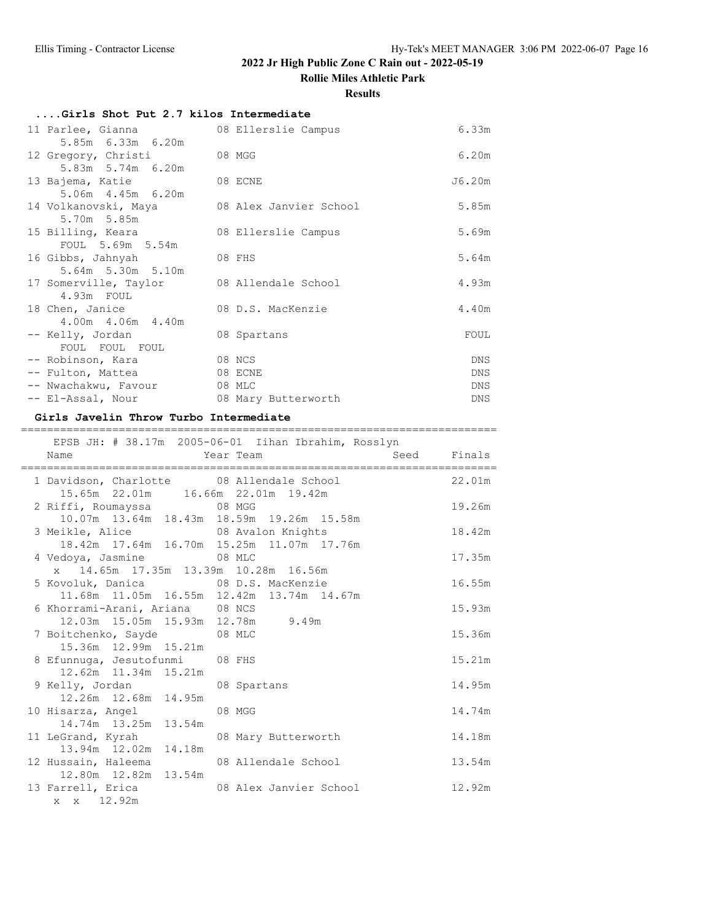**Rollie Miles Athletic Park**

### **Results**

| Girls Shot Put 2.7 kilos Intermediate       |                     |            |
|---------------------------------------------|---------------------|------------|
| 11 Parlee, Gianna                           | 08 Ellerslie Campus | 6.33m      |
| 5.85m 6.33m 6.20m                           |                     |            |
| 12 Gregory, Christi                         | 08 MGG              | 6.20m      |
| 5.83m 5.74m 6.20m                           |                     |            |
| 13 Bajema, Katie                            | 08 ECNE             | J6.20m     |
| 5.06m 4.45m 6.20m                           |                     |            |
| 14 Volkanovski, Maya 68 Alex Janvier School |                     | 5.85m      |
| 5.70m 5.85m                                 |                     |            |
| 15 Billing, Keara                           | 08 Ellerslie Campus | 5.69m      |
| FOUL 5.69m 5.54m                            |                     |            |
| 16 Gibbs, Jahnyah                           | 08 FHS              | 5.64m      |
| 5.64m 5.30m 5.10m                           |                     |            |
| 17 Somerville, Taylor                       | 08 Allendale School | 4.93m      |
| 4.93m FOUL                                  |                     |            |
| 18 Chen, Janice                             | 08 D.S. MacKenzie   | 4.40m      |
| 4.00m  4.06m  4.40m                         |                     |            |
| -- Kelly, Jordan                            | 08 Spartans         | FOUL       |
| FOUL FOUL FOUL                              |                     |            |
| -- Robinson, Kara                           | 08 NCS              | <b>DNS</b> |
| -- Fulton, Mattea                           | 08 ECNE             | <b>DNS</b> |
| -- Nwachakwu, Favour                        | 08 MLC              | DNS.       |
| -- El-Assal, Nour                           | 08 Mary Butterworth | <b>DNS</b> |

#### **Girls Javelin Throw Turbo Intermediate**

| <b>Example 21 Year Team</b><br>Name                                                   | EPSB JH: $#$ 38.17m 2005-06-01 Iihan Ibrahim, Rosslyn | Seed Finals |
|---------------------------------------------------------------------------------------|-------------------------------------------------------|-------------|
| 1 Davidson, Charlotte 08 Allendale School                                             |                                                       | 22.01m      |
| 2 Riffi, Roumayssa 08 MGG<br>10.07m  13.64m  18.43m  18.59m  19.26m  15.58m           |                                                       | 19.26m      |
| 3 Meikle, Alice 68 Avalon Knights<br>18.42m 17.64m 16.70m 15.25m 11.07m 17.76m        |                                                       | 18.42m      |
| 4 Vedoya, Jasmine 08 MLC<br>x 14.65m 17.35m 13.39m 10.28m 16.56m                      |                                                       | 17.35m      |
| 5 Kovoluk, Danica 68 D.S. MacKenzie<br>11.68m  11.05m  16.55m  12.42m  13.74m  14.67m |                                                       | 16.55m      |
| 6 Khorrami-Arani, Ariana 08 NCS<br>12.03m  15.05m  15.93m  12.78m  9.49m              |                                                       | 15.93m      |
| 7 Boitchenko, Sayde 08 MLC<br>15.36m  12.99m  15.21m                                  |                                                       | 15.36m      |
| 8 Efunnuga, Jesutofunmi 08 FHS<br>12.62m  11.34m  15.21m                              |                                                       | 15.21m      |
| 9 Kelly, Jordan 68 Spartans<br>12.26m  12.68m  14.95m                                 |                                                       | 14.95m      |
| 10 Hisarza, Angel 08 MGG<br>14.74m 13.25m 13.54m                                      |                                                       | 14.74m      |
| 11 LeGrand, Kyrah 608 Mary Butterworth<br>13.94m  12.02m  14.18m                      |                                                       | 14.18m      |
| 12 Hussain, Haleema 68 Allendale School<br>12.80m  12.82m  13.54m                     |                                                       | 13.54m      |
| 13 Farrell, Erica 68 Alex Janvier School<br>x x 12.92m                                |                                                       | 12.92m      |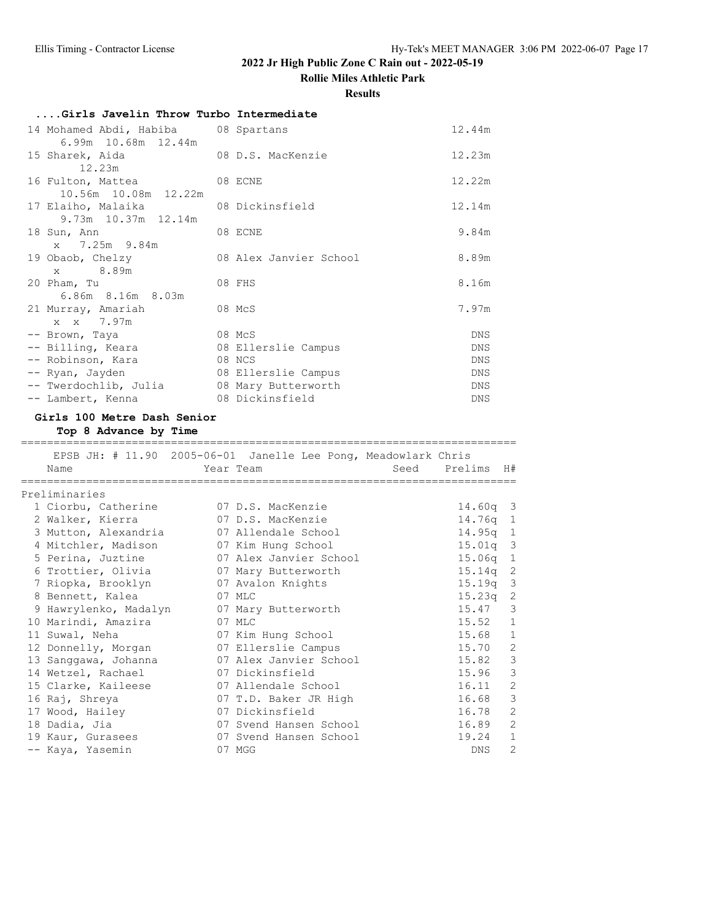**Rollie Miles Athletic Park**

### **Results**

| Girls Javelin Throw Turbo Intermediate                     |                        |            |
|------------------------------------------------------------|------------------------|------------|
| 14 Mohamed Abdi, Habiba (8 Spartans<br>6.99m 10.68m 12.44m |                        | 12.44m     |
| 15 Sharek, Aida 68 D.S. MacKenzie<br>12.23m                |                        | 12.23m     |
| 16 Fulton, Mattea 68 ECNE<br>10.56m 10.08m 12.22m          |                        | 12.22m     |
| 17 Elaiho, Malaika<br>9.73m 10.37m 12.14m                  | 08 Dickinsfield        | 12.14m     |
| 18 Sun, Ann<br>x 7.25m 9.84m                               | 08 ECNE                | 9.84m      |
| 19 Obaob, Chelzy<br>x 8.89m                                | 08 Alex Janvier School | 8.89m      |
| 20 Pham, Tu<br>$6.86m$ $8.16m$ $8.03m$                     | 08 FHS                 | 8.16m      |
| 21 Murray, Amariah<br>x x 7.97m                            | 08 McS                 | 7.97m      |
| -- Brown, Taya                                             | 08 McS                 | <b>DNS</b> |
| -- Billing, Keara                                          | 08 Ellerslie Campus    | <b>DNS</b> |
| -- Robinson, Kara                                          | 08 NCS                 | <b>DNS</b> |
| -- Ryan, Jayden                                            | 08 Ellerslie Campus    | <b>DNS</b> |
| -- Twerdochlib, Julia 68 Mary Butterworth                  |                        | DNS        |
| -- Lambert, Kenna                                          | 08 Dickinsfield        | DNS        |

### **Girls 100 Metre Dash Senior**

**Top 8 Advance by Time**

| EPSB JH: # 11.90 2005-06-01 Janelle Lee Pong, Meadowlark Chris |                        |      |            |              |
|----------------------------------------------------------------|------------------------|------|------------|--------------|
| Name                                                           | Year Team              | Seed | Prelims    | H#           |
| Preliminaries                                                  |                        |      |            |              |
| 1 Ciorbu, Catherine 07 D.S. MacKenzie                          |                        |      | $14.60q$ 3 |              |
| 2 Walker, Kierra                                               | 07 D.S. MacKenzie      |      | $14.76q$ 1 |              |
| 3 Mutton, Alexandria                                           | 07 Allendale School    |      | $14.95q$ 1 |              |
| 4 Mitchler, Madison 07 Kim Hung School                         |                        |      | $15.01q$ 3 |              |
| 5 Perina, Juztine 67 Alex Janvier School                       |                        |      | $15.06q$ 1 |              |
| 6 Trottier, Olivia 67 Mary Butterworth                         |                        |      | $15.14q$ 2 |              |
| 7 Riopka, Brooklyn 17 Avalon Knights                           |                        |      | $15.19q$ 3 |              |
| 8 Bennett, Kalea                                               | 07 MLC                 |      | $15.23q$ 2 |              |
| 9 Hawrylenko, Madalyn 07 Mary Butterworth                      |                        |      | 15.47 3    |              |
| 10 Marindi, Amazira                                            | 07 MLC                 |      | 15.52 1    |              |
| 11 Suwal, Neha                                                 | 07 Kim Hung School     |      | $15.68$ 1  |              |
| 12 Donnelly, Morgan                                            | 07 Ellerslie Campus    |      | 15.70 2    |              |
| 13 Sanggawa, Johanna                                           | 07 Alex Janvier School |      | 15.82 3    |              |
| 14 Wetzel, Rachael 67 Dickinsfield                             |                        |      | 15.96      | $\mathbf{3}$ |
| 15 Clarke, Kaileese 67 Allendale School                        |                        |      | $16.11$ 2  |              |
| 16 Raj, Shreya                                                 | 07 T.D. Baker JR High  |      | $16.68$ 3  |              |
| 17 Wood, Hailey                                                | 07 Dickinsfield        |      | 16.78 2    |              |
| 18 Dadia, Jia                                                  | 07 Svend Hansen School |      | 16.89      | 2            |
| 19 Kaur, Gurasees                                              | 07 Svend Hansen School |      | 19.24      | $\mathbf{1}$ |
| -- Kaya, Yasemin                                               | 07 MGG                 |      | DNS        | 2            |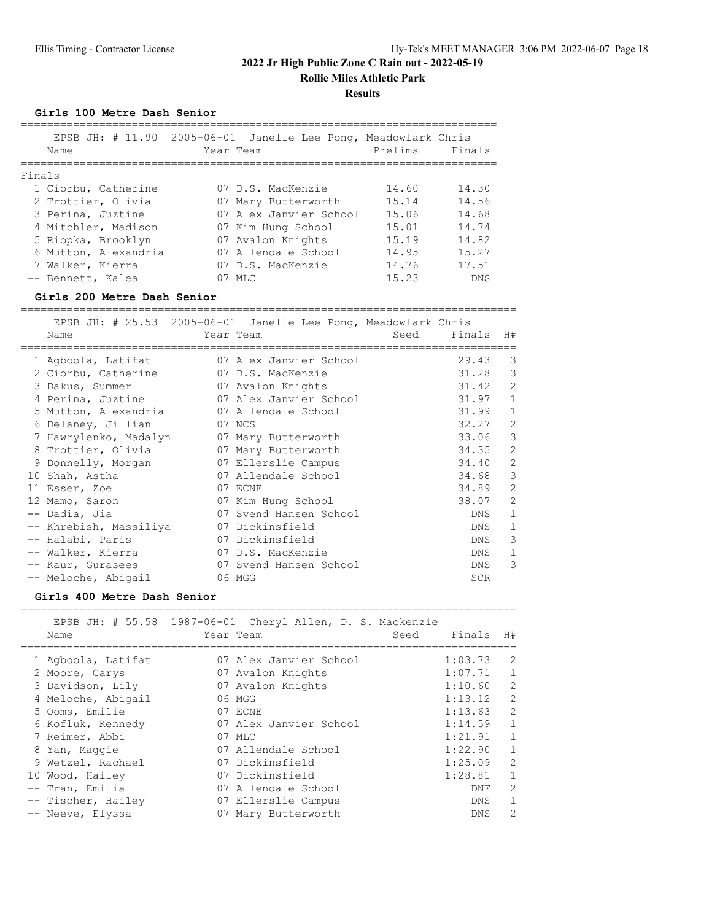**Rollie Miles Athletic Park**

#### **Results**

**Girls 100 Metre Dash Senior**

|        | Name                 | EPSB JH: # 11.90 2005-06-01 Janelle Lee Pong, Meadowlark Chris<br>Year Team | Prelims Finals |            |
|--------|----------------------|-----------------------------------------------------------------------------|----------------|------------|
| Finals |                      |                                                                             |                |            |
|        | 1 Ciorbu, Catherine  | 07 D.S. MacKenzie                                                           | 14.60          | 14.30      |
|        | 2 Trottier, Olivia   | 07 Mary Butterworth                                                         | 15.14          | 14.56      |
|        | 3 Perina, Juztine    | 07 Alex Janvier School                                                      | 15.06          | 14.68      |
|        | 4 Mitchler, Madison  | 07 Kim Hung School                                                          | 15.01          | 14.74      |
|        | 5 Riopka, Brooklyn   | 07 Avalon Knights                                                           | 15.19          | 14.82      |
|        | 6 Mutton, Alexandria | 07 Allendale School                                                         | 14.95          | 15.27      |
|        | 7 Walker, Kierra     | 07 D.S. MacKenzie                                                           | 14.76          | 17.51      |
|        | -- Bennett, Kalea    | $07$ MT.C.                                                                  | 15.23          | <b>DNS</b> |

#### **Girls 200 Metre Dash Senior**

============================================================================ EPSB JH: # 25.53 2005-06-01 Janelle Lee Pong, Meadowlark Chris

| FROD ON: # 20.00 ZUUSTUDTUI URHEITE HEE ROHO, MEAGOWIALK CHILIS |                        |      |            |                |
|-----------------------------------------------------------------|------------------------|------|------------|----------------|
| Name                                                            | Year Team              | Seed | Finals     | H#             |
| 1 Aqboola, Latifat                                              | 07 Alex Janvier School |      | 29.43      | 3              |
| 2 Ciorbu, Catherine                                             | 07 D.S. MacKenzie      |      | 31.28      | 3              |
| 3 Dakus, Summer                                                 | 07 Avalon Knights      |      | 31.42      | 2              |
| 4 Perina, Juztine                                               | 07 Alex Janvier School |      | 31.97      | $\mathbf{1}$   |
| 5 Mutton, Alexandria                                            | 07 Allendale School    |      | 31.99      | $\mathbf{1}$   |
| 6 Delaney, Jillian                                              | 07 NCS                 |      | 32.27      | $\overline{2}$ |
| 7 Hawrylenko, Madalyn 67 Mary Butterworth                       |                        |      | 33.06      | 3              |
| 8 Trottier, Olivia 67 Mary Butterworth                          |                        |      | 34.35      | 2              |
| 9 Donnelly, Morgan                                              | 07 Ellerslie Campus    |      | 34.40      | 2              |
| 10 Shah, Astha                                                  | 07 Allendale School    |      | 34.68      | 3              |
| 11 Esser, Zoe                                                   | 07 ECNE                |      | 34.89      | $\overline{2}$ |
| 12 Mamo, Saron                                                  | 07 Kim Hung School     |      | 38.07      | $\overline{2}$ |
| -- Dadia, Jia                                                   | 07 Svend Hansen School |      | DNS        | $\mathbf{1}$   |
| -- Khrebish, Massiliya                                          | 07 Dickinsfield        |      | DNS        | $\mathbf 1$    |
| -- Halabi, Paris                                                | 07 Dickinsfield        |      | DNS        | 3              |
| -- Walker, Kierra                                               | 07 D.S. MacKenzie      |      | DNS        | $\mathbf{1}$   |
| -- Kaur, Gurasees                                               | 07 Svend Hansen School |      | DNS        | 3              |
| -- Meloche, Abigail                                             | 06 MGG                 |      | <b>SCR</b> |                |

### **Girls 400 Metre Dash Senior**

 EPSB JH: # 55.58 1987-06-01 Cheryl Allen, D. S. Mackenzie Name Seed Finals H# ============================================================================ 1 Agboola, Latifat  $1.03.73$  2 2 Moore, Carys 07 Avalon Knights 1:07.71 1 3 Davidson, Lily 07 Avalon Knights 1:10.60 2 4 Meloche, Abigail 06 MGG 1:13.12 2 5 Ooms, Emilie 07 ECNE 1:13.63 2 6 Kofluk, Kennedy 07 Alex Janvier School 1:14.59 1 7 Reimer, Abbi 07 MLC 1:21.91 1 8 Yan, Maggie 07 Allendale School 1:22.90 1 9 Wetzel, Rachael 07 Dickinsfield 1:25.09 2 10 Wood, Hailey 07 Dickinsfield 1:28.81 1 -- Tran, Emilia 07 Allendale School DNF 2 -- Tischer, Hailey 07 Ellerslie Campus DNS 1 -- Neeve, Elyssa 07 Mary Butterworth DNS 2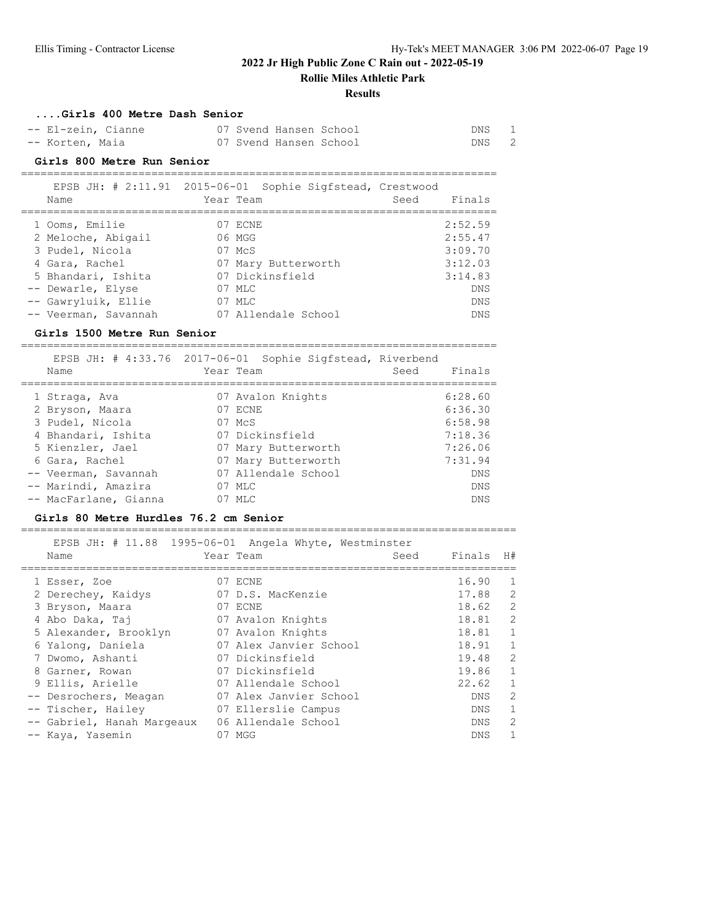**Rollie Miles Athletic Park**

#### **Results**

#### **....Girls 400 Metre Dash Senior**

| -- El-zein, Cianne | 07 Svend Hansen School | DNS |  |
|--------------------|------------------------|-----|--|
| -- Korten, Maia    | 07 Svend Hansen School | DNS |  |

## **Girls 800 Metre Run Senior**

========================================================================= EPSB JH: # 2:11.91 2015-06-01 Sophie Sigfstead, Crestwood

| Name                 | LPSB JH: # Z:II.91 ZUIJ-00-01 SOPNIE SIGISTEAU, CIESLWOOU<br>Year Team | Finals<br>Seed |
|----------------------|------------------------------------------------------------------------|----------------|
| 1 Ooms, Emilie       | 07 ECNE                                                                | 2:52.59        |
| 2 Meloche, Abigail   | 06 MGG                                                                 | 2:55.47        |
| 3 Pudel, Nicola      | 07 McS                                                                 | 3:09.70        |
| 4 Gara, Rachel       | 07 Mary Butterworth                                                    | 3:12.03        |
| 5 Bhandari, Ishita   | 07 Dickinsfield                                                        | 3:14.83        |
| -- Dewarle, Elyse    | 07 MLC                                                                 | DNS            |
| -- Gawryluik, Ellie  | 07 MLC                                                                 | <b>DNS</b>     |
| -- Veerman, Savannah | 07 Allendale School                                                    | <b>DNS</b>     |

#### **Girls 1500 Metre Run Senior**

=========================================================================

|                       | EPSB JH: # 4:33.76 2017-06-01 Sophie Sigfstead, Riverbend |                |
|-----------------------|-----------------------------------------------------------|----------------|
| Name                  | Year Team                                                 | Finals<br>Seed |
| 1 Straga, Ava         | 07 Avalon Knights                                         | 6:28.60        |
| 2 Bryson, Maara       | 07 ECNE                                                   | 6:36.30        |
| 3 Pudel, Nicola       | 07 McS                                                    | 6:58.98        |
| 4 Bhandari, Ishita    | 07 Dickinsfield                                           | 7:18.36        |
| 5 Kienzler, Jael      | 07 Mary Butterworth                                       | 7:26.06        |
| 6 Gara, Rachel        | 07 Mary Butterworth                                       | 7:31.94        |
| -- Veerman, Savannah  | 07 Allendale School                                       | <b>DNS</b>     |
| -- Marindi, Amazira   | 07 MLC                                                    | <b>DNS</b>     |
| -- MacFarlane, Gianna | MLC                                                       | <b>DNS</b>     |

#### **Girls 80 Metre Hurdles 76.2 cm Senior**

 EPSB JH: # 11.88 1995-06-01 Angela Whyte, Westminster Name Seed Finals H# ============================================================================ 1 Esser, Zoe 07 ECNE 16.90 1 2 Derechey, Kaidys 07 D.S. MacKenzie 17.88 2 3 Bryson, Maara 07 ECNE 18.62 2 4 Abo Daka, Taj 07 Avalon Knights 18.81 2 5 Alexander, Brooklyn 07 Avalon Knights 18.81 1 6 Yalong, Daniela 07 Alex Janvier School 18.91 1 7 Dwomo, Ashanti 07 Dickinsfield 19.48 2 8 Garner, Rowan 07 Dickinsfield 19.86 1 9 Ellis, Arielle 07 Allendale School 22.62 1 -- Desrochers, Meagan 07 Alex Janvier School DNS 2 -- Tischer, Hailey 07 Ellerslie Campus DNS 1 -- Gabriel, Hanah Margeaux 06 Allendale School CDNS 2 -- Kaya, Yasemin 07 MGG data to the DNS 1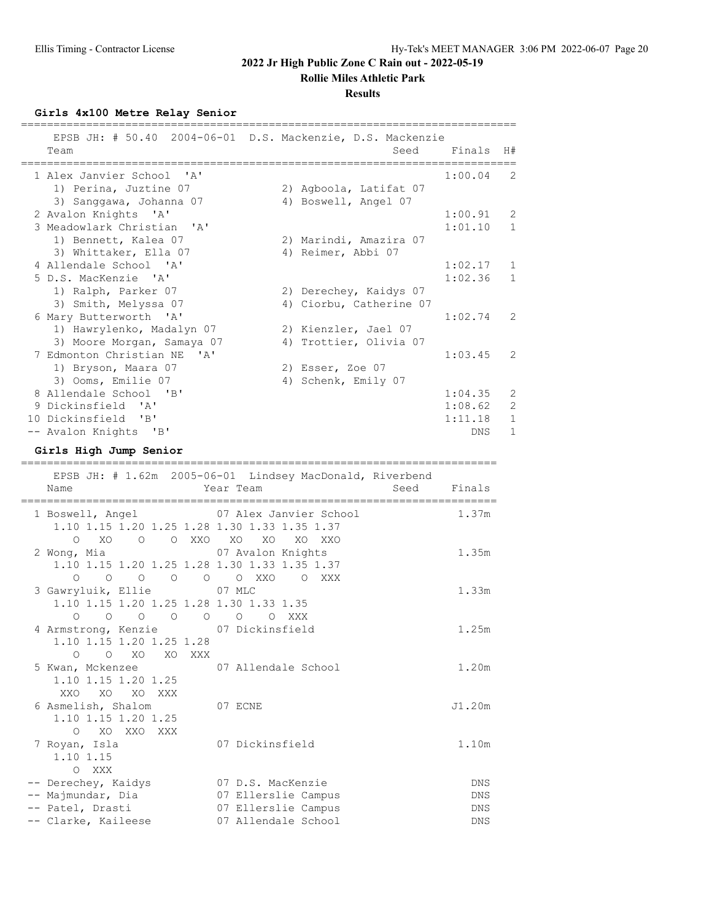#### **Rollie Miles Athletic Park**

#### **Results**

**Girls 4x100 Metre Relay Senior**

============================================================================ EPSB JH: # 50.40 2004-06-01 D.S. Mackenzie, D.S. Mackenzie Team Seed Finals H# ============================================================================ 1 Alex Janvier School 'A' 1) Perina, Juztine 07 2) Agboola, Latifat 07 3) Sanggawa, Johanna 07 (4) Boswell, Angel 07 2 Avalon Knights 'A' 1:00.91 2 3 Meadowlark Christian 'A' 1) Bennett, Kalea 07 2) Marindi, Amazira 07 3) Whittaker, Ella 07 (4) Reimer, Abbi 07 4 Allendale School 'A' 1:02.17 1 5 D.S. MacKenzie 'A' 1:02.36 1 1) Ralph, Parker 07 2) Derechey, Kaidys 07 3) Smith, Melyssa 07 4) Ciorbu, Catherine 07 6 Mary Butterworth 'A' 1:02.74 2 1) Hawrylenko, Madalyn 07 2) Kienzler, Jael 07 3) Moore Morgan, Samaya 07 4) Trottier, Olivia 07 7 Edmonton Christian NE 'A' 1:03.45 2 1) Bryson, Maara 07 (2) 29 Esser, Zoe 07 3) Ooms, Emilie 07 (4) Schenk, Emily 07 8 Allendale School 'B' 1:04.35 2 9 Dickinsfield 'A' 1:08.62 2 10 Dickinsfield 'B' -- Avalon Knights 'B' DNS 1

#### **Girls High Jump Senior**

========================================================================= EPSB JH: # 1.62m 2005-06-01 Lindsey MacDonald, Riverbend

| Name<br>===================================== | EPSB JH: # I.62M ZUUS-U6-UI LINGSEY MACDONAIG, RIVEIDENG<br>Year Team<br>================================ | Seed Finals |            |
|-----------------------------------------------|-----------------------------------------------------------------------------------------------------------|-------------|------------|
| 1 Boswell, Angel 07 Alex Janvier School       |                                                                                                           |             | 1.37m      |
| 1.10 1.15 1.20 1.25 1.28 1.30 1.33 1.35 1.37  |                                                                                                           |             |            |
| 0 XO O O XXO XO XO                            | XO XXO                                                                                                    |             |            |
| 2 Wong, Mia                                   | 07 Avalon Knights                                                                                         |             | 1.35m      |
| 1.10 1.15 1.20 1.25 1.28 1.30 1.33 1.35 1.37  |                                                                                                           |             |            |
| 0 0 0 0 0 0 XXO 0 XXX                         |                                                                                                           |             |            |
| 3 Gawryluik, Ellie 67 MLC                     |                                                                                                           |             | 1.33m      |
| 1.10 1.15 1.20 1.25 1.28 1.30 1.33 1.35       |                                                                                                           |             |            |
| $\begin{matrix} 0 & 0 & 0 & 0 \end{matrix}$   | O O O XXX                                                                                                 |             |            |
| 4 Armstrong, Kenzie 67 Dickinsfield           |                                                                                                           |             | 1.25m      |
| 1.10 1.15 1.20 1.25 1.28                      |                                                                                                           |             |            |
| O XO<br>XO<br>$\circ$<br>XXX                  |                                                                                                           |             |            |
| 5 Kwan, Mckenzee 67 Allendale School          |                                                                                                           |             | 1.20m      |
| 1.10 1.15 1.20 1.25                           |                                                                                                           |             |            |
| XXO XO<br>XO XXX                              |                                                                                                           |             |            |
| 6 Asmelish, Shalom                            | 07 ECNE                                                                                                   |             | J1.20m     |
| 1.10 1.15 1.20 1.25                           |                                                                                                           |             |            |
| O XO XXO XXX                                  |                                                                                                           |             |            |
| 7 Royan, Isla                                 | 07 Dickinsfield                                                                                           |             | 1.10m      |
| 1.10 1.15                                     |                                                                                                           |             |            |
| O XXX                                         |                                                                                                           |             |            |
| -- Derechey, Kaidys                           | 07 D.S. MacKenzie                                                                                         |             | <b>DNS</b> |
| -- Majmundar, Dia                             | 07 Ellerslie Campus                                                                                       |             | <b>DNS</b> |
| -- Patel, Drasti                              | 07 Ellerslie Campus                                                                                       |             | <b>DNS</b> |
| -- Clarke, Kaileese                           | 07 Allendale School                                                                                       |             | DNS        |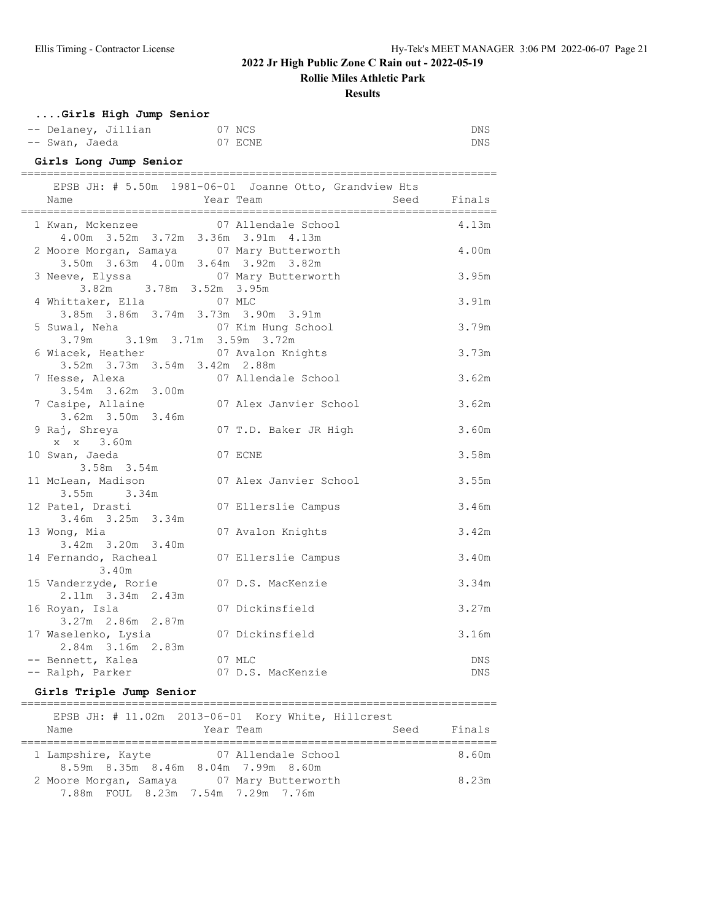**Rollie Miles Athletic Park**

#### **Results**

| Girls High Jump Senior<br>-- Delaney, Jillian 07 NCS<br>07 ECNE<br>-- Swan, Jaeda<br>Girls Long Jump Senior |          |                                                        |      | DNS<br>DNS                         |
|-------------------------------------------------------------------------------------------------------------|----------|--------------------------------------------------------|------|------------------------------------|
|                                                                                                             |          | EPSB JH: # 5.50m 1981-06-01 Joanne Otto, Grandview Hts |      |                                    |
| Name                                                                                                        |          | Year Team                                              | Seed | Finals                             |
| 1 Kwan, Mckenzee<br>4.00m 3.52m 3.72m 3.36m 3.91m 4.13m                                                     |          | 07 Allendale School                                    |      | 4.13m                              |
| 2 Moore Morgan, Samaya 07 Mary Butterworth<br>3.50m 3.63m 4.00m 3.64m 3.92m 3.82m                           |          |                                                        |      | 4.00m                              |
| 3 Neeve, Elyssa 67 Mary Butterworth<br>3.82m 3.78m 3.52m 3.95m                                              |          |                                                        |      | 3.95m                              |
| 4 Whittaker, Ella 67 MLC<br>3.85m 3.86m 3.74m 3.73m 3.90m 3.91m                                             |          |                                                        |      | 3.91 <sub>m</sub>                  |
| 5 Suwal, Neha 67 Kim Hung School<br>3.79m 3.19m 3.71m 3.59m 3.72m                                           |          |                                                        |      | 3.79m                              |
| 6 Wiacek, Heather 67 Avalon Knights<br>3.52m 3.73m 3.54m 3.42m 2.88m                                        |          |                                                        |      | 3.73m                              |
| 7 Hesse, Alexa<br>3.54m 3.62m 3.00m                                                                         |          | 07 Allendale School                                    |      | 3.62m                              |
| 7 Casipe, Allaine<br>3.62m 3.50m 3.46m                                                                      |          | 07 Alex Janvier School                                 |      | 3.62m                              |
| 9 Raj, Shreya<br>x x 3.60m                                                                                  |          | 07 T.D. Baker JR High                                  |      | 3.60m                              |
| 10 Swan, Jaeda<br>3.58m 3.54m                                                                               |          | 07 ECNE                                                |      | 3.58m                              |
| 11 McLean, Madison<br>3.55m 3.34m                                                                           |          | 07 Alex Janvier School                                 |      | 3.55m                              |
| 12 Patel, Drasti<br>3.46m 3.25m 3.34m                                                                       |          | 07 Ellerslie Campus                                    |      | 3.46m                              |
| 13 Wong, Mia<br>3.42m 3.20m 3.40m                                                                           |          | 07 Avalon Knights                                      |      | 3.42m                              |
| 14 Fernando, Racheal<br>3.40m                                                                               |          | 07 Ellerslie Campus                                    |      | 3.40m                              |
| 15 Vanderzyde, Rorie<br>2.11m 3.34m 2.43m                                                                   |          | 07 D.S. MacKenzie                                      |      | 3.34m                              |
| 16 Royan, Isla<br>3.27m 2.86m 2.87m                                                                         |          | 07 Dickinsfield                                        |      | 3.27m                              |
| 17 Waselenko, Lysia<br>2.84m 3.16m<br>2.83m                                                                 |          | 07 Dickinsfield                                        |      | 3.16m                              |
| -- Bennett, Kalea<br>-- Ralph, Parker                                                                       |          | 07 MLC<br>07 D.S. MacKenzie                            |      | DNS.<br>DNS.                       |
| Girls Triple Jump Senior<br>===========================                                                     | -------- | ----------------------------------                     |      |                                    |
|                                                                                                             |          | EPSB JH: # 11.02m 2013-06-01 Kory White, Hillcrest     |      |                                    |
| Name                                                                                                        |          | Year Team<br>--------------------                      | Seed | Finals<br>======================== |
| 1 Lampshire, Kayte                                                                                          |          | 07 Allendale School                                    |      | 8.60m                              |

2 Moore Morgan, Samaya 07 Mary Butterworth 8.23m

8.59m 8.35m 8.46m 8.04m 7.99m 8.60m

7.88m FOUL 8.23m 7.54m 7.29m 7.76m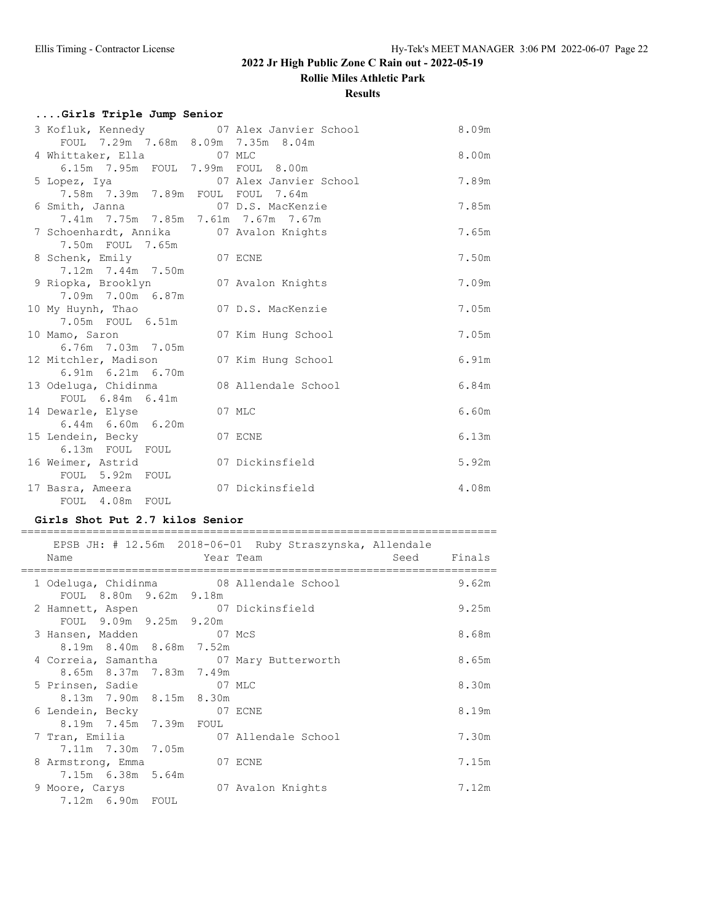**Rollie Miles Athletic Park**

### **Results**

# **....Girls Triple Jump Senior**

|                                                                          | 3 Kofluk, Kennedy 67 Alex Janvier School | 8.09m |
|--------------------------------------------------------------------------|------------------------------------------|-------|
| FOUL 7.29m 7.68m 8.09m 7.35m 8.04m                                       |                                          |       |
| 4 Whittaker, Ella 67 MLC                                                 |                                          | 8.00m |
| 6.15m 7.95m FOUL 7.99m FOUL 8.00m                                        |                                          |       |
|                                                                          |                                          | 7.89m |
| 5 Lopez, Iya 67 Alex Janvier School<br>7.58m 7.39m 7.89m FOUL FOUL 7.64m |                                          |       |
| 6 Smith, Janna 67 D.S. MacKenzie                                         |                                          | 7.85m |
| 7.41m 7.75m 7.85m 7.61m 7.67m 7.67m                                      |                                          |       |
| 7 Schoenhardt, Annika 07 Avalon Knights                                  |                                          | 7.65m |
| 7.50m FOUL 7.65m                                                         |                                          |       |
| 8 Schenk, Emily 07 ECNE                                                  |                                          | 7.50m |
| 7.12m 7.44m 7.50m                                                        |                                          |       |
| 9 Riopka, Brooklyn 67 Avalon Knights                                     |                                          | 7.09m |
| 7.09m 7.00m 6.87m                                                        |                                          |       |
| 10 My Huynh, Thao                                                        | 07 D.S. MacKenzie                        | 7.05m |
| 7.05m FOUL 6.51m                                                         |                                          |       |
| 10 Mamo, Saron                                                           | 07 Kim Hung School                       | 7.05m |
| 6.76m 7.03m 7.05m                                                        |                                          |       |
| 12 Mitchler, Madison 07 Kim Hung School                                  |                                          | 6.91m |
| $6.91m$ $6.21m$ $6.70m$                                                  |                                          |       |
| 13 Odeluga, Chidinma 68 Allendale School                                 |                                          | 6.84m |
|                                                                          |                                          |       |
| FOUL 6.84m 6.41m                                                         |                                          |       |
| 14 Dewarle, Elyse                                                        | 07 MLC                                   | 6.60m |
| $6.44m$ $6.60m$ $6.20m$                                                  |                                          |       |
| 15 Lendein, Becky                                                        | 07 ECNE                                  | 6.13m |
| 6.13m FOUL FOUL                                                          |                                          |       |
| 16 Weimer, Astrid                                                        | 07 Dickinsfield                          | 5.92m |
| FOUL 5.92m FOUL                                                          |                                          |       |
| 17 Basra, Ameera                                                         | 07 Dickinsfield                          | 4.08m |
| FOUL 4.08m FOUL                                                          |                                          |       |

### **Girls Shot Put 2.7 kilos Senior**

| Name                      |                        | Year Team               | EPSB JH: # 12.56m 2018-06-01 Ruby Straszynska, Allendale | Seed Finals |       |
|---------------------------|------------------------|-------------------------|----------------------------------------------------------|-------------|-------|
|                           |                        |                         |                                                          |             |       |
|                           |                        |                         | 1 Odeluga, Chidinma 68 Allendale School                  |             | 9.62m |
|                           | FOUL 8.80m 9.62m 9.18m |                         |                                                          |             |       |
|                           |                        |                         | 2 Hamnett, Aspen 67 Dickinsfield                         |             | 9.25m |
|                           | FOUL 9.09m 9.25m 9.20m |                         |                                                          |             |       |
|                           |                        |                         |                                                          |             |       |
| 3 Hansen, Madden 67 McS   |                        |                         |                                                          |             | 8.68m |
|                           |                        | 8.19m 8.40m 8.68m 7.52m |                                                          |             |       |
|                           |                        |                         | 4 Correia, Samantha 07 Mary Butterworth                  |             | 8.65m |
|                           |                        | 8.65m 8.37m 7.83m 7.49m |                                                          |             |       |
| 5 Prinsen, Sadie 67 MLC   |                        |                         |                                                          |             | 8.30m |
|                           |                        | 8.13m 7.90m 8.15m 8.30m |                                                          |             |       |
| 6 Lendein, Becky 07 ECNE  |                        |                         |                                                          |             | 8.19m |
|                           | 8.19m 7.45m 7.39m FOUL |                         |                                                          |             |       |
|                           |                        |                         | 7 Tran, Emilia 67 Allendale School                       |             |       |
|                           |                        |                         |                                                          |             | 7.30m |
|                           | 7.11m 7.30m 7.05m      |                         |                                                          |             |       |
| 8 Armstrong, Emma 67 ECNE |                        |                         |                                                          |             | 7.15m |
|                           | 7.15m 6.38m 5.64m      |                         |                                                          |             |       |
| 9 Moore, Carys            |                        |                         | 07 Avalon Knights                                        |             | 7.12m |
| 7.12m 6.90m FOUL          |                        |                         |                                                          |             |       |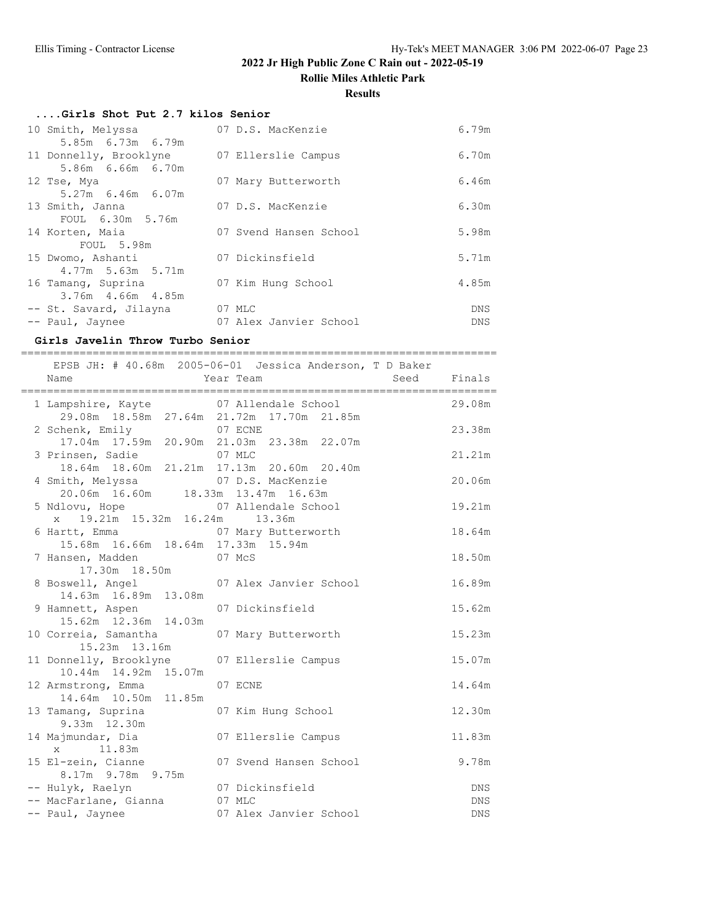**Rollie Miles Athletic Park**

#### **Results**

## **....Girls Shot Put 2.7 kilos Senior**

| 10 Smith, Melyssa<br>5.85m 6.73m 6.79m                          | 07 D.S. MacKenzie                | 6.79m                    |
|-----------------------------------------------------------------|----------------------------------|--------------------------|
| 11 Donnelly, Brooklyne 07 Ellerslie Campus<br>5.86m 6.66m 6.70m |                                  | 6.70m                    |
| 12 Tse, Mya<br>$5.27m$ 6.46m 6.07m                              | 07 Mary Butterworth              | 6.46m                    |
| 13 Smith, Janna<br>FOUL 6.30m 5.76m                             | 07 D.S. MacKenzie                | 6.30m                    |
| 14 Korten, Maia<br>FOUL 5.98m                                   | 07 Svend Hansen School           | 5.98m                    |
| 15 Dwomo, Ashanti<br>$4.77m$ 5.63m 5.71m                        | 07 Dickinsfield                  | 5.71m                    |
| 16 Tamang, Suprina<br>3.76m 4.66m 4.85m                         | 07 Kim Hung School               | 4.85m                    |
| -- St. Savard, Jilayna<br>-- Paul, Jaynee                       | 07 MLC<br>07 Alex Janvier School | <b>DNS</b><br><b>DNS</b> |

#### **Girls Javelin Throw Turbo Senior**

| Name                                                                      | EPSB JH: # 40.68m 2005-06-01 Jessica Anderson, T D Baker<br>Year Team | Seed Finals |
|---------------------------------------------------------------------------|-----------------------------------------------------------------------|-------------|
| 29.08m 18.58m 27.64m 21.72m 17.70m 21.85m                                 | 1 Lampshire, Kayte 67 Allendale School                                | 29.08m      |
| 2 Schenk, Emily 07 ECNE<br>17.04m  17.59m  20.90m  21.03m  23.38m  22.07m |                                                                       | 23.38m      |
| 3 Prinsen, Sadie<br>07 MLC                                                |                                                                       | 21.21m      |
| 18.64m 18.60m 21.21m 17.13m 20.60m 20.40m<br>4 Smith, Melyssa             | 07 D.S. MacKenzie                                                     | 20.06m      |
| 20.06m 16.60m 18.33m 13.47m 16.63m<br>5 Ndlovu, Hope                      | 07 Allendale School                                                   | 19.21m      |
| x 19.21m 15.32m 16.24m 13.36m<br>6 Hartt, Emma                            | 07 Mary Butterworth                                                   | 18.64m      |
| 15.68m  16.66m  18.64m  17.33m  15.94m<br>7 Hansen, Madden                | 07 McS                                                                | 18.50m      |
| 17.30m  18.50m<br>8 Boswell, Angel                                        | 07 Alex Janvier School                                                | 16.89m      |
| 14.63m  16.89m  13.08m                                                    |                                                                       |             |
| 9 Hamnett, Aspen 07 Dickinsfield<br>15.62m  12.36m  14.03m                |                                                                       | 15.62m      |
| 10 Correia, Samantha 67 Mary Butterworth<br>15.23m  13.16m                |                                                                       | 15.23m      |
| 11 Donnelly, Brooklyne 07 Ellerslie Campus<br>10.44m  14.92m  15.07m      |                                                                       | 15.07m      |
| 12 Armstrong, Emma<br>14.64m  10.50m  11.85m                              | 07 ECNE                                                               | 14.64m      |
| 13 Tamang, Suprina<br>$9.33m$ $12.30m$                                    | 07 Kim Hung School                                                    | 12.30m      |
| 14 Majmundar, Dia                                                         | 07 Ellerslie Campus                                                   | 11.83m      |
| x 11.83m<br>15 El-zein, Cianne                                            | 07 Svend Hansen School                                                | 9.78m       |
| 8.17m 9.78m 9.75m<br>-- Hulyk, Raelyn                                     | 07 Dickinsfield                                                       | <b>DNS</b>  |
| -- MacFarlane, Gianna                                                     | 07 MLC                                                                | <b>DNS</b>  |
| -- Paul, Jaynee                                                           | 07 Alex Janvier School                                                | DNS         |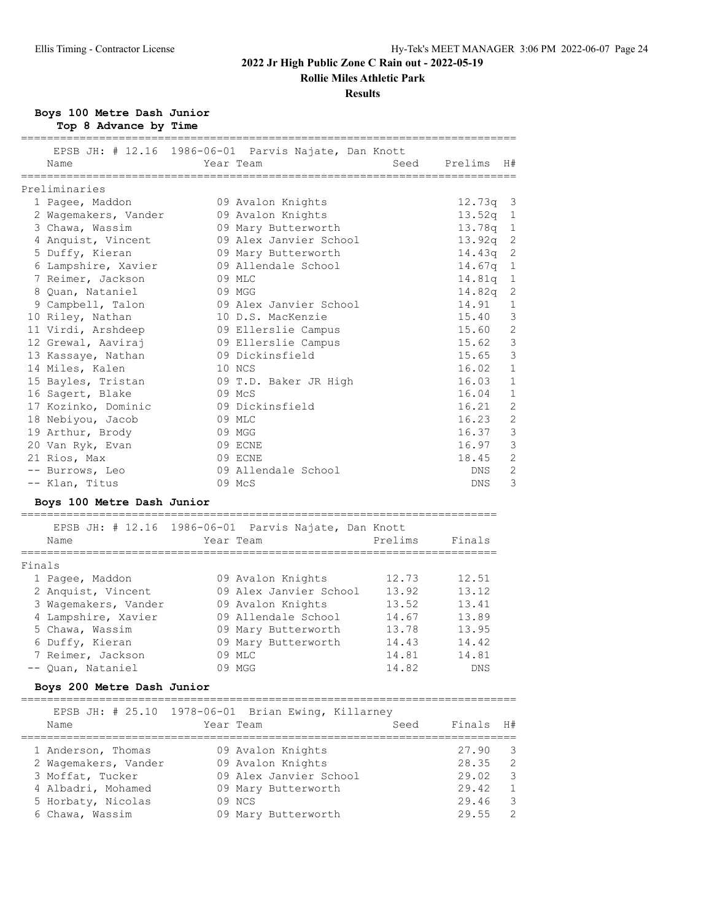**Rollie Miles Athletic Park**

#### **Results**

#### **Boys 100 Metre Dash Junior**

**Top 8 Advance by Time**

|                            | EPSB JH: # 12.16 1986-06-01 Parvis Najate, Dan Knott |                                    |
|----------------------------|------------------------------------------------------|------------------------------------|
| Name                       | Year Team<br>Seed                                    | Prelims<br>H#                      |
| Preliminaries              |                                                      |                                    |
| 1 Pagee, Maddon            | 09 Avalon Knights                                    | $12.73q$ 3                         |
|                            |                                                      |                                    |
| 2 Waqemakers, Vander       | 09 Avalon Knights                                    | $13.52q$ 1                         |
| 3 Chawa, Wassim            | 09 Mary Butterworth                                  | 13.78 <sub>q</sub><br>$\mathbf{1}$ |
| 4 Anquist, Vincent         | 09 Alex Janvier School                               | $13.92q$ 2                         |
| 5 Duffy, Kieran            | 09 Mary Butterworth                                  | 2<br>14.43q                        |
| 6 Lampshire, Xavier        | 09 Allendale School                                  | $14.67q$ 1                         |
| 7 Reimer, Jackson          | 09 MLC                                               | 14.81a<br>1                        |
| 8 Ouan, Nataniel           | 09 MGG                                               | 14.82q<br>2                        |
| 9 Campbell, Talon          | 09 Alex Janvier School                               | 14.91<br>$\mathbf{1}$              |
| 10 Riley, Nathan           | 10 D.S. MacKenzie                                    | 3<br>15.40                         |
| 11 Virdi, Arshdeep         | 09 Ellerslie Campus                                  | $\overline{2}$<br>15.60            |
| 12 Grewal, Aaviraj         | 09 Ellerslie Campus                                  | 3<br>15.62                         |
| 13 Kassaye, Nathan         | 09 Dickinsfield                                      | $\mathbf{3}$<br>15.65              |
| 14 Miles, Kalen            | 10 NCS                                               | $\mathbf{1}$<br>16.02              |
| 15 Bayles, Tristan         | 09 T.D. Baker JR High                                | 16.03<br>$\mathbf{1}$              |
| 16 Sagert, Blake           | 09 McS                                               | 16.04<br>$\mathbf{1}$              |
| 17 Kozinko, Dominic        | 09 Dickinsfield                                      | 16.21<br>$\overline{2}$            |
| 18 Nebiyou, Jacob          | 09 MLC                                               | 2<br>16.23                         |
| 19 Arthur, Brody           | 09 MGG                                               | 3<br>16.37                         |
| 20 Van Ryk, Evan           | 09 ECNE                                              | 3<br>16.97                         |
| 21 Rios, Max               | 09 ECNE                                              | $\overline{2}$<br>18.45            |
| -- Burrows, Leo            | 09 Allendale School                                  | $\overline{2}$<br>DNS              |
| -- Klan, Titus             | 09 McS                                               | 3<br>DNS                           |
| Boys 100 Metre Dash Junior |                                                      |                                    |
|                            |                                                      |                                    |

### EPSB JH: # 12.16 1986-06-01 Parvis Najate, Dan Knott Name **The Year Team** Prelims Finals ========================================================================= Finals 1 Pagee, Maddon 09 Avalon Knights 12.73 12.51 2 Anquist, Vincent 09 Alex Janvier School 13.92 13.12 3 Wagemakers, Vander 09 Avalon Knights 13.52 13.41 4 Lampshire, Xavier 09 Allendale School 14.67 13.89 5 Chawa, Wassim 09 Mary Butterworth 13.78 13.95 6 Duffy, Kieran 09 Mary Butterworth 14.43 14.42 7 Reimer, Jackson 09 MLC 14.81 14.81 -- Quan, Nataniel 09 MGG 14.82 DNS

#### **Boys 200 Metre Dash Junior**

| EPSB JH: # 25.10 1978-06-01 Brian Ewing, Killarney |           |                         |
|----------------------------------------------------|-----------|-------------------------|
| Year Team<br>Seed<br>Name                          | Finals H# |                         |
|                                                    |           |                         |
| 09 Avalon Knights<br>1 Anderson, Thomas            | 27.90     | $\overline{\mathbf{3}}$ |
| 09 Avalon Knights<br>2 Waqemakers, Vander          | 28.35     | - 2                     |
| 09 Alex Janvier School<br>3 Moffat, Tucker         | 29.02     | $\overline{\mathbf{3}}$ |
| 4 Albadri, Mohamed<br>09 Mary Butterworth          | 29.42     | $\overline{1}$          |
| 09 NCS<br>5 Horbaty, Nicolas                       | 29.46     | $\overline{3}$          |
| 6 Chawa, Wassim<br>09 Mary Butterworth             | 29.55     | $\overline{2}$          |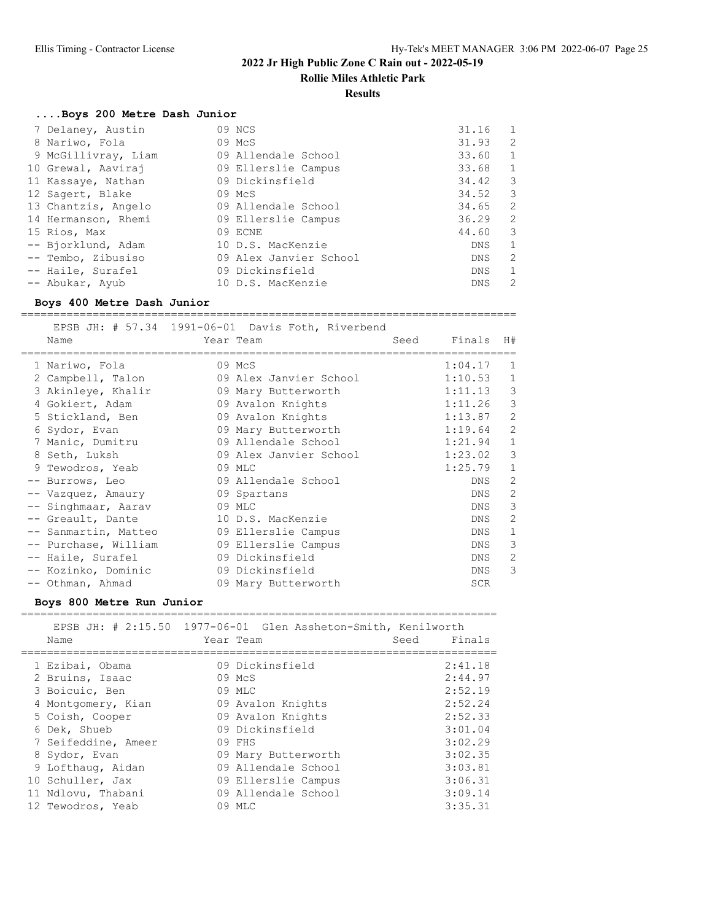**Rollie Miles Athletic Park**

#### **Results**

#### **....Boys 200 Metre Dash Junior**

| 7 Delaney, Austin   | 09 NCS                 | 31.16 |               |
|---------------------|------------------------|-------|---------------|
| 8 Nariwo, Fola      | 09 McS                 | 31.93 | 2             |
| 9 McGillivray, Liam | 09 Allendale School    | 33.60 | 1             |
| 10 Grewal, Aaviraj  | 09 Ellerslie Campus    | 33.68 | 1             |
| 11 Kassaye, Nathan  | 09 Dickinsfield        | 34.42 | -3            |
| 12 Sagert, Blake    | 09 McS                 | 34.52 | -3            |
| 13 Chantzis, Angelo | 09 Allendale School    | 34.65 | 2             |
| 14 Hermanson, Rhemi | 09 Ellerslie Campus    | 36.29 | 2             |
| 15 Rios, Max        | 09 ECNE                | 44.60 | -3            |
| -- Bjorklund, Adam  | 10 D.S. MacKenzie      | DNS   | -1            |
| -- Tembo, Zibusiso  | 09 Alex Janvier School | DNS   | 2             |
| -- Haile, Surafel   | 09 Dickinsfield        | DNS   | -1            |
| -- Abukar, Ayub     | 10 D.S. MacKenzie      | DNS   | $\mathcal{L}$ |

#### **Boys 400 Metre Dash Junior**

============================================================================ EPSB JH: # 57.34 1991-06-01 Davis Foth, Riverbend Name Year Team Seed Finals H# ============================================================================ 1 Nariwo, Fola 09 McS 1:04.17 1 2 Campbell, Talon 09 Alex Janvier School 1:10.53 1 3 Akinleye, Khalir 09 Mary Butterworth 1:11.13 3 4 Gokiert, Adam 09 Avalon Knights 1:11.26 3 5 Stickland, Ben 09 Avalon Knights 1:13.87 2 6 Sydor, Evan 09 Mary Butterworth 1:19.64 2 7 Manic, Dumitru 09 Allendale School 1:21.94 1 8 Seth, Luksh 09 Alex Janvier School 1:23.02 3 9 Tewodros, Yeab 09 MLC 1:25.79 1 -- Burrows, Leo 09 Allendale School DNS 2 -- Vazquez, Amaury 09 Spartans DNS 2 -- Singhmaar, Aarav 09 MLC DNS 3 -- Greault, Dante 10 D.S. MacKenzie DNS 2 -- Sanmartin, Matteo  $109$  Ellerslie Campus DNS 1 -- Purchase, William 09 Ellerslie Campus DNS 3 -- Haile, Surafel 09 Dickinsfield DNS 2 -- Kozinko, Dominic 09 Dickinsfield DNS 3 -- Othman, Ahmad 09 Mary Butterworth SCR

### **Boys 800 Metre Run Junior**

========================================================================= EPSB JH: # 2:15.50 1977-06-01 Glen Assheton-Smith, Kenilworth

|                     | TILOD ON: # 4:10:00 TOTT OU OI OICN ASSNOCON SMITCH! NONIITMOICH |      |         |
|---------------------|------------------------------------------------------------------|------|---------|
| Name                | Year Team                                                        | Seed | Finals  |
|                     |                                                                  |      |         |
| 1 Ezibai, Obama     | 09 Dickinsfield                                                  |      | 2:41.18 |
| 2 Bruins, Isaac     | 09 McS                                                           |      | 2:44.97 |
| 3 Boicuic, Ben      | 09 MLC                                                           |      | 2:52.19 |
| 4 Montgomery, Kian  | 09 Avalon Knights                                                |      | 2:52.24 |
| 5 Coish, Cooper     | 09 Avalon Knights                                                |      | 2:52.33 |
| 6 Dek, Shueb        | 09 Dickinsfield                                                  |      | 3:01.04 |
| 7 Seifeddine, Ameer | 09 FHS                                                           |      | 3:02.29 |
| 8 Sydor, Evan       | 09 Mary Butterworth                                              |      | 3:02.35 |
| 9 Lofthaug, Aidan   | 09 Allendale School                                              |      | 3:03.81 |
| 10 Schuller, Jax    | 09 Ellerslie Campus                                              |      | 3:06.31 |
| 11 Ndlovu, Thabani  | 09 Allendale School                                              |      | 3:09.14 |
| 12 Tewodros, Yeab   | 09 MLC                                                           |      | 3:35.31 |
|                     |                                                                  |      |         |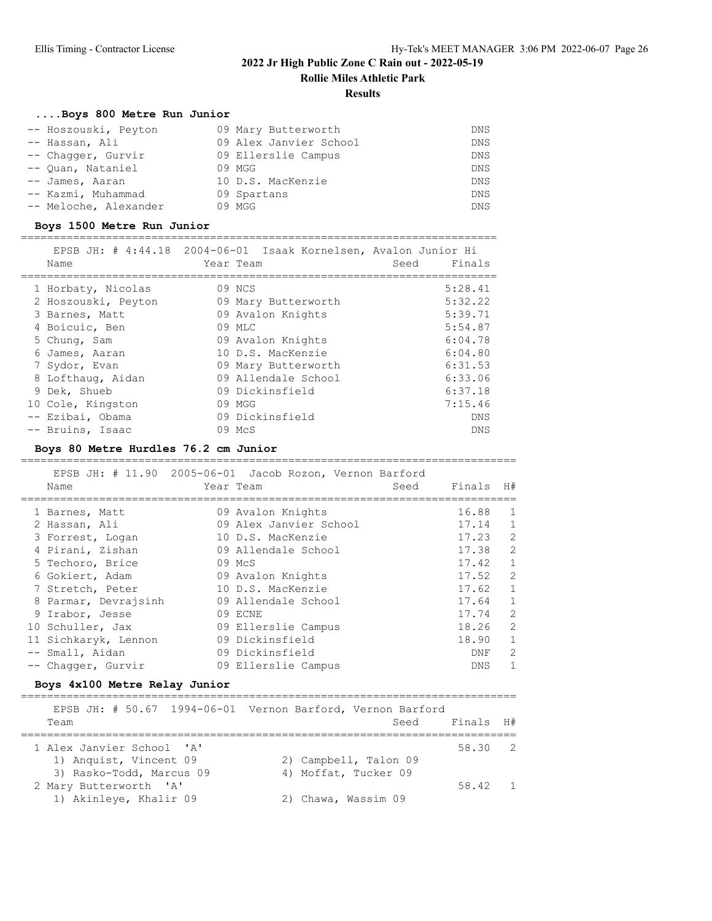**Rollie Miles Athletic Park**

#### **Results**

# **....Boys 800 Metre Run Junior**

| -- Hoszouski, Peyton  | 09 Mary Butterworth    | DNS.       |
|-----------------------|------------------------|------------|
| -- Hassan, Ali        | 09 Alex Janvier School | DNS.       |
| -- Chaqqer, Gurvir    | 09 Ellerslie Campus    | DNS.       |
| -- Quan, Nataniel     | 09 MGG                 | <b>DNS</b> |
| -- James, Aaran       | 10 D.S. MacKenzie      | <b>DNS</b> |
| -- Kazmi, Muhammad    | 09 Spartans            | <b>DNS</b> |
| -- Meloche, Alexander | 09 MGG                 | DNS.       |

#### **Boys 1500 Metre Run Junior**

=========================================================================

|                     | EPSB JH: # 4:44.18 2004-06-01 Isaak Kornelsen, Avalon Junior Hi |                |
|---------------------|-----------------------------------------------------------------|----------------|
| Name                | Year Team                                                       | Finals<br>Seed |
|                     |                                                                 |                |
| 1 Horbaty, Nicolas  | 09 NCS                                                          | 5:28.41        |
| 2 Hoszouski, Peyton | 09 Mary Butterworth                                             | 5:32.22        |
| 3 Barnes, Matt      | 09 Avalon Knights                                               | 5:39.71        |
| 4 Boicuic, Ben      | $09$ MLC                                                        | 5:54.87        |
| 5 Chung, Sam        | 09 Avalon Knights                                               | 6:04.78        |
| 6 James, Aaran      | 10 D.S. MacKenzie                                               | 6:04.80        |
| 7 Sydor, Evan       | 09 Mary Butterworth                                             | 6:31.53        |
| 8 Lofthaug, Aidan   | 09 Allendale School                                             | 6:33.06        |
| 9 Dek, Shueb        | 09 Dickinsfield                                                 | 6:37.18        |
| 10 Cole, Kingston   | 09 MGG                                                          | 7:15.46        |
| -- Ezibai, Obama    | 09 Dickinsfield                                                 | <b>DNS</b>     |
| -- Bruins, Isaac    | 09 McS                                                          | <b>DNS</b>     |

#### **Boys 80 Metre Hurdles 76.2 cm Junior**

|                      | EPSB JH: # 11.90 2005-06-01 Jacob Rozon, Vernon Barford |      |            |                |
|----------------------|---------------------------------------------------------|------|------------|----------------|
| Name                 | Year Team                                               | Seed | Finals     | H#             |
|                      |                                                         |      |            |                |
| 1 Barnes, Matt       | 09 Avalon Knights                                       |      | 16.88      | 1              |
| 2 Hassan, Ali        | 09 Alex Janvier School                                  |      | 17.14      | 1              |
| 3 Forrest, Logan     | 10 D.S. MacKenzie                                       |      | 17.23      | 2              |
| 4 Pirani, Zishan     | 09 Allendale School                                     |      | 17.38      | 2              |
| 5 Techoro, Brice     | 09 McS                                                  |      | 17.42      | $\overline{1}$ |
| 6 Gokiert, Adam      | 09 Avalon Knights                                       |      | 17.52      | 2              |
| 7 Stretch, Peter     | 10 D.S. MacKenzie                                       |      | 17.62      | $\overline{1}$ |
| 8 Parmar, Devrajsinh | 09 Allendale School                                     |      | 17.64      | $\overline{1}$ |
| 9 Irabor, Jesse      | 09 ECNE                                                 |      | 17.74      | 2              |
| 10 Schuller, Jax     | 09 Ellerslie Campus                                     |      | 18.26      | 2              |
| 11 Sichkaryk, Lennon | 09 Dickinsfield                                         |      | 18.90      | 1              |
| -- Small, Aidan      | 09 Dickinsfield                                         |      | <b>DNF</b> | 2              |
| -- Chaqqer, Gurvir   | 09 Ellerslie Campus                                     |      | <b>DNS</b> | $\mathbf{1}$   |

============================================================================

## **Boys 4x100 Metre Relay Junior**

| Team                                                | EPSB JH: # 50.67 1994-06-01 Vernon Barford, Vernon Barford<br>Seed Finals H# |         |                |
|-----------------------------------------------------|------------------------------------------------------------------------------|---------|----------------|
| 1 Alex Janvier School 'A'<br>1) Anquist, Vincent 09 | 2) Campbell, Talon 09                                                        | 58.30 2 |                |
| 3) Rasko-Todd, Marcus 09<br>2 Mary Butterworth 'A'  | 4) Moffat, Tucker 09                                                         | 58.42   | $\overline{1}$ |
| 1) Akinleye, Khalir 09                              | 2) Chawa, Wassim 09                                                          |         |                |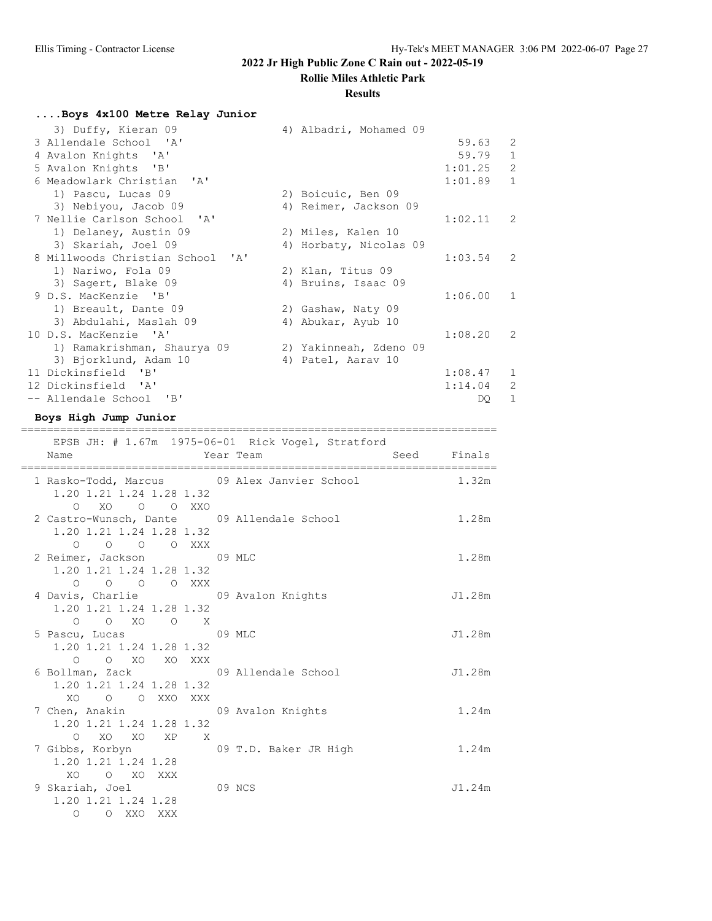**Rollie Miles Athletic Park**

#### **Results**

#### **....Boys 4x100 Metre Relay Junior**

| 3) Duffy, Kieran 09              | 4) Albadri, Mohamed 09 |             |                |
|----------------------------------|------------------------|-------------|----------------|
| 3 Allendale School 'A'           |                        | 59.63       | $\mathcal{L}$  |
| 4 Avalon Knights 'A'             |                        | 59.79       | $\mathbf{1}$   |
| 5 Avalon Knights 'B'             |                        | 1:01.25     | 2              |
| 6 Meadowlark Christian 'A'       |                        | 1:01.89     | $\mathbf{1}$   |
| 1) Pascu, Lucas 09               | 2) Boicuic, Ben 09     |             |                |
| 3) Nebiyou, Jacob 09             | 4) Reimer, Jackson 09  |             |                |
| 7 Nellie Carlson School 'A'      |                        | $1:02.11$ 2 |                |
| 1) Delaney, Austin 09            | 2) Miles, Kalen 10     |             |                |
| 3) Skariah, Joel 09              | 4) Horbaty, Nicolas 09 |             |                |
| 8 Millwoods Christian School 'A' |                        | 1:03.54     | 2              |
| 1) Nariwo, Fola 09               | 2) Klan, Titus 09      |             |                |
| 3) Sagert, Blake 09              | 4) Bruins, Isaac 09    |             |                |
| 9 D.S. MacKenzie 'B'             |                        | 1:06.00     | 1              |
| 1) Breault, Dante 09             | 2) Gashaw, Naty 09     |             |                |
| 3) Abdulahi, Maslah 09           | 4) Abukar, Ayub 10     |             |                |
| 10 D.S. MacKenzie 'A'            |                        | 1:08.20     | $\overline{2}$ |
| 1) Ramakrishman, Shaurya 09      | 2) Yakinneah, Zdeno 09 |             |                |
| 3) Bjorklund, Adam 10            | 4) Patel, Aarav 10     |             |                |
| 11 Dickinsfield 'B'              |                        | 1:08.47     | $\mathbf{1}$   |
| 12 Dickinsfield 'A'              |                        | 1:14.04     | 2              |
| -- Allendale School 'B'          |                        | DO.         | $\mathbf{1}$   |

**Boys High Jump Junior** ========================================================================= EPSB JH: # 1.67m 1975-06-01 Rick Vogel, Stratford Name **Year Team** Seed Finals ========================================================================= 1 Rasko-Todd, Marcus 09 Alex Janvier School 1.32m 1.20 1.21 1.24 1.28 1.32 O XO O O XXO 2 Castro-Wunsch, Dante 09 Allendale School 1.28m 1.20 1.21 1.24 1.28 1.32 O O O O XXX 2 Reimer, Jackson 09 MLC 1.28m 1.20 1.21 1.24 1.28 1.32 O O O O XXX 4 Davis, Charlie 09 Avalon Knights J1.28m 1.20 1.21 1.24 1.28 1.32 O O XO O X 5 Pascu, Lucas 09 MLC J1.28m 1.20 1.21 1.24 1.28 1.32 O O XO XO XXX 6 Bollman, Zack 09 Allendale School J1.28m 1.20 1.21 1.24 1.28 1.32 XO O O XXO XXX 7 Chen, Anakin 09 Avalon Knights 1.24m 1.20 1.21 1.24 1.28 1.32 O XO XO XP X<br>7 Gibbs, Korbyn 09 T.D. Baker JR High 1.24m 1.20 1.21 1.24 1.28 XO O XO XXX 9 Skariah, Joel 09 NCS 31.24m 1.20 1.21 1.24 1.28 O O XXO XXX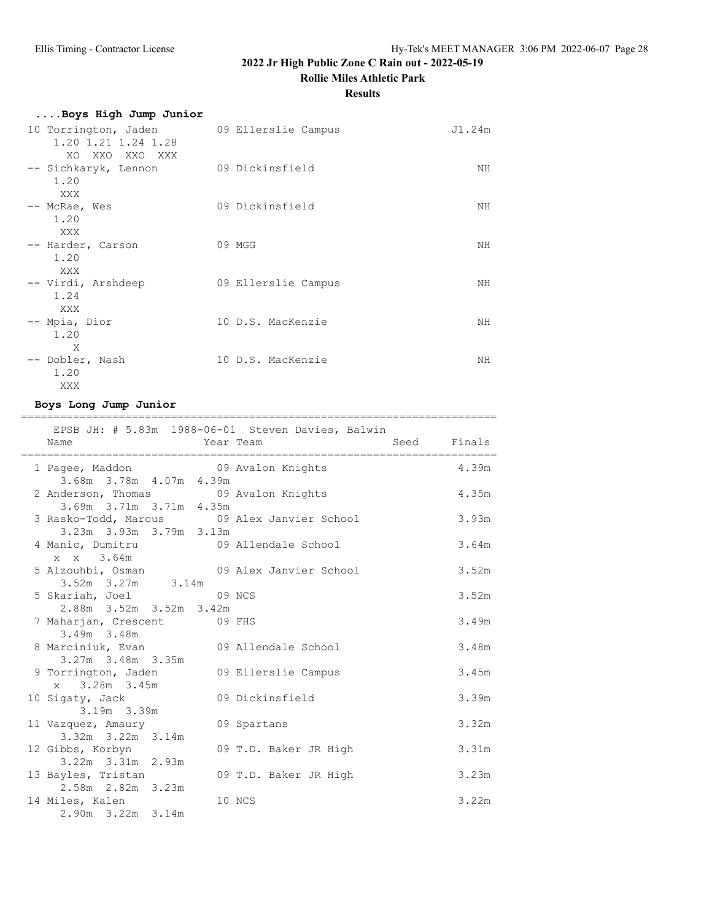**Rollie Miles Athletic Park**

#### **Results**

| Boys High Jump Junior                                         |                     |        |
|---------------------------------------------------------------|---------------------|--------|
| 10 Torrington, Jaden<br>1.20 1.21 1.24 1.28<br>XO XXO XXO XXX | 09 Ellerslie Campus | J1.24m |
| -- Sichkaryk, Lennon<br>1.20<br>XXX                           | 09 Dickinsfield     | NH     |
| -- McRae, Wes<br>1.20<br>XXX                                  | 09 Dickinsfield     | NH     |
| -- Harder, Carson<br>1.20<br>XXX                              | 09 MGG              | NH     |
| -- Virdi, Arshdeep<br>1.24<br>XXX                             | 09 Ellerslie Campus | NH     |
| -- Mpia, Dior<br>1.20<br>X                                    | 10 D.S. MacKenzie   | NH     |
| -- Dobler, Nash<br>1.20<br>XXX                                | 10 D.S. MacKenzie   | NН     |

**Boys Long Jump Junior**

========================================================================= EPSB JH: # 5.83m 1988-06-01 Steven Davies, Balwin Name Year Team Seed Finals ========================================================================= 1 Pagee, Maddon 09 Avalon Knights 4.39m 3.68m 3.78m 4.07m 4.39m 2 Anderson, Thomas 09 Avalon Knights 4.35m 3.69m 3.71m 3.71m 4.35m 3 Rasko-Todd, Marcus 09 Alex Janvier School 3.93m 3.23m 3.93m 3.79m 3.13m 4 Manic, Dumitru 09 Allendale School 3.64m<br>
x x 3.64m x x 3.64m 5 Alzouhbi, Osman 09 Alex Janvier School 3.52m 3.52m 3.27m 3.14m 5 Skariah, Joel 09 NCS 3.52m 2.88m 3.52m 3.52m 3.42m 7 Maharjan, Crescent 09 FHS 3.49m 3.49m 3.48m 8 Marciniuk, Evan 1.40 09 Allendale School 3.48m 3.27m 3.48m 3.35m 9 Torrington, Jaden 09 Ellerslie Campus 3.45m x 3.28m 3.45m 10 Sigaty, Jack 09 Dickinsfield 3.39m 3.19m 3.39m 11 Vazquez, Amaury 09 Spartans 3.32m 3.32m 3.22m 3.14m<br>12 Gibbs, Korbyn 09 T.D. Baker JR High 3.31m 3.22m 3.31m 2.93m 13 Bayles, Tristan 09 T.D. Baker JR High 3.23m 2.58m 2.82m 3.23m 14 Miles, Kalen 10 NCS 3.22m 2.90m 3.22m 3.14m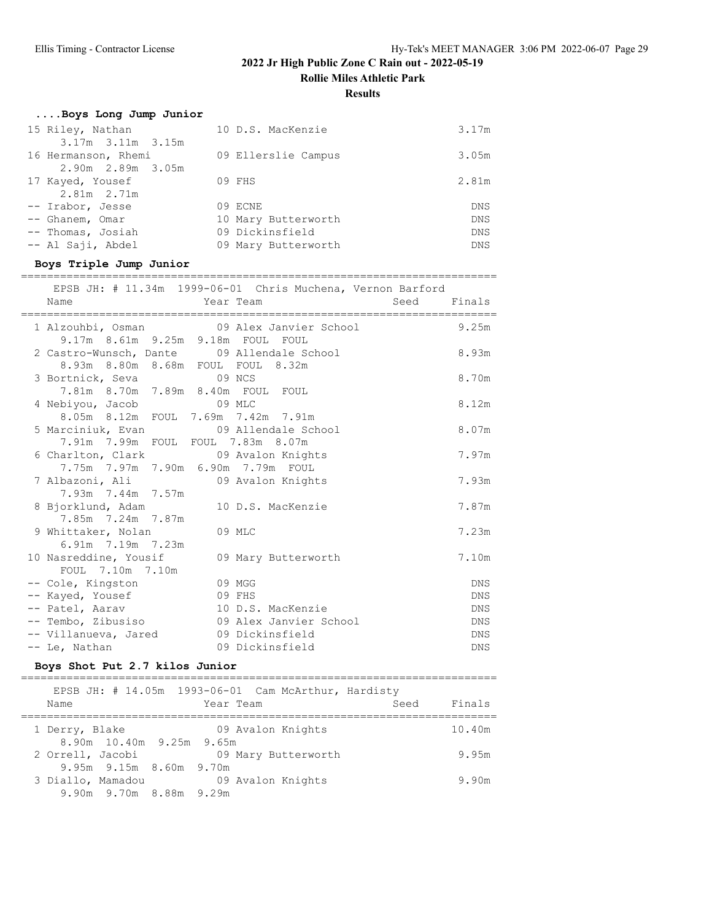**Rollie Miles Athletic Park**

#### **Results**

# **....Boys Long Jump Junior**

| 10 D.S. MacKenzie   | 3.17m      |
|---------------------|------------|
|                     |            |
| 09 Ellerslie Campus | 3.05m      |
|                     |            |
| 09 FHS              | 2.81m      |
|                     |            |
| 09 ECNE             | <b>DNS</b> |
| 10 Mary Butterworth | <b>DNS</b> |
| 09 Dickinsfield     | <b>DNS</b> |
| 09 Mary Butterworth | <b>DNS</b> |
|                     |            |

### **Boys Triple Jump Junior**

=========================================================================

| Name                                  | EPSB JH: # 11.34m 1999-06-01 Chris Muchena, Vernon Barford<br>Seed<br>Year Team | Finals     |
|---------------------------------------|---------------------------------------------------------------------------------|------------|
|                                       | 1 Alzouhbi, Osman 69 Alex Janvier School                                        | 9.25m      |
| 9.17m 8.61m 9.25m 9.18m FOUL FOUL     |                                                                                 |            |
|                                       | 2 Castro-Wunsch, Dante 09 Allendale School                                      | 8.93m      |
| 8.93m 8.80m 8.68m FOUL FOUL 8.32m     |                                                                                 |            |
| 3 Bortnick, Seva 09 NCS               |                                                                                 | 8.70m      |
| 7.81m 8.70m 7.89m 8.40m FOUL FOUL     |                                                                                 |            |
| 4 Nebiyou, Jacob 09 MLC               |                                                                                 | 8.12m      |
| 8.05m 8.12m FOUL 7.69m 7.42m 7.91m    |                                                                                 |            |
|                                       | 5 Marciniuk, Evan 69 Allendale School                                           | 8.07m      |
| 7.91m 7.99m FOUL FOUL 7.83m 8.07m     |                                                                                 |            |
| 6 Charlton, Clark 6 09 Avalon Knights |                                                                                 | 7.97m      |
| 7.75m 7.97m 7.90m 6.90m 7.79m FOUL    |                                                                                 |            |
| 7 Albazoni, Ali                       | 09 Avalon Knights                                                               | 7.93m      |
| 7.93m 7.44m 7.57m                     |                                                                                 |            |
| 8 Bjorklund, Adam 10 D.S. MacKenzie   |                                                                                 | 7.87m      |
| 7.85m 7.24m 7.87m                     |                                                                                 |            |
| 9 Whittaker, Nolan 09 MLC             |                                                                                 | 7.23m      |
| 6.91m 7.19m 7.23m                     |                                                                                 |            |
| 10 Nasreddine, Yousif                 | 09 Mary Butterworth                                                             | 7.10m      |
| FOUL 7.10m 7.10m                      |                                                                                 |            |
| -- Cole, Kingston                     | MGG MGG NGG 2009                                                                | <b>DNS</b> |
| -- Kayed, Yousef                      | 09 FHS                                                                          | DNS        |
| -- Patel, Aarav 10 D.S. MacKenzie     |                                                                                 | <b>DNS</b> |
|                                       | -- Tembo, Zibusiso 69 Alex Janvier School                                       | <b>DNS</b> |
| -- Villanueva, Jared 09 Dickinsfield  |                                                                                 | <b>DNS</b> |
| -- Le, Nathan                         | 09 Dickinsfield                                                                 | <b>DNS</b> |

## **Boys Shot Put 2.7 kilos Junior**

|                          | EPSB JH: # 14.05m 1993-06-01 Cam McArthur, Hardisty |      |        |
|--------------------------|-----------------------------------------------------|------|--------|
| Name                     | Year Team                                           | Seed | Finals |
| 1 Derry, Blake           | 09 Avalon Knights                                   |      | 10.40m |
| 8.90m 10.40m 9.25m 9.65m |                                                     |      |        |
|                          |                                                     |      |        |
| 2 Orrell, Jacobi         | 09 Mary Butterworth                                 |      | 9.95m  |
| 9.95m 9.15m 8.60m 9.70m  |                                                     |      |        |
| 3 Diallo, Mamadou        | 09 Avalon Knights                                   |      | 9.90m  |
| 9.90m 9.70m 8.88m 9.29m  |                                                     |      |        |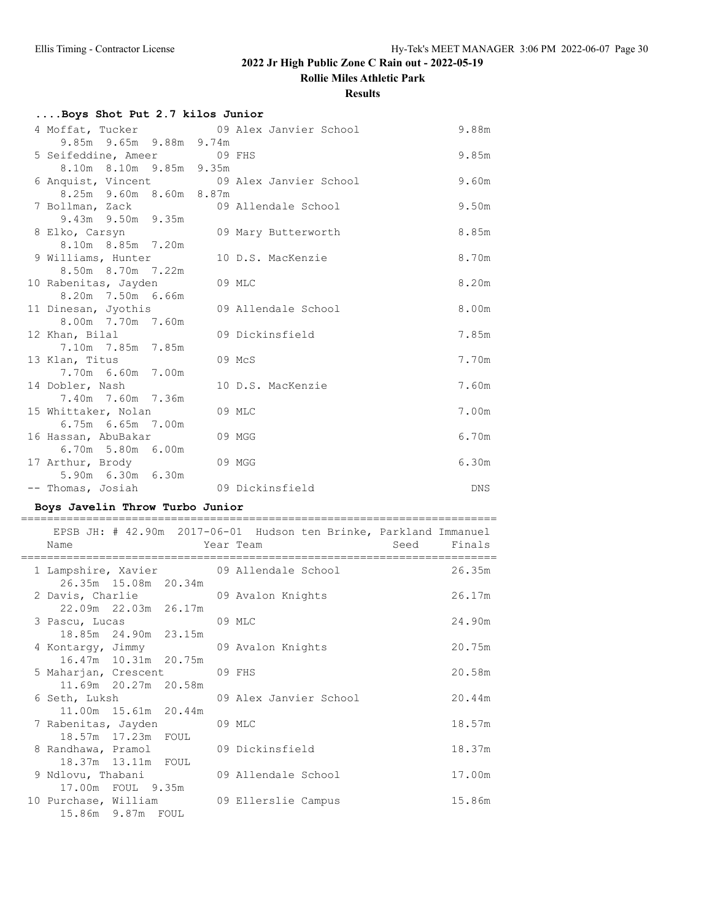**Rollie Miles Athletic Park**

#### **Results**

# **....Boys Shot Put 2.7 kilos Junior**

|                             | 4 Moffat, Tucker 09 Alex Janvier School   | 9.88m |
|-----------------------------|-------------------------------------------|-------|
| 9.85m 9.65m 9.88m 9.74m     |                                           |       |
| 5 Seifeddine, Ameer 09 FHS  |                                           | 9.85m |
| 8.10m 8.10m 9.85m 9.35m     |                                           |       |
|                             | 6 Anquist, Vincent 69 Alex Janvier School | 9.60m |
| 8.25m 9.60m 8.60m 8.87m     |                                           |       |
|                             | 7 Bollman, Zack 69 Allendale School       | 9.50m |
| 9.43m 9.50m 9.35m           |                                           |       |
| 8 Elko, Carsyn              | 09 Mary Butterworth                       | 8.85m |
| 8.10m 8.85m 7.20m           |                                           |       |
| 9 Williams, Hunter          | 10 D.S. MacKenzie                         | 8.70m |
| 8.50m 8.70m 7.22m           |                                           |       |
| 10 Rabenitas, Jayden 69 MLC |                                           | 8.20m |
| 8.20m 7.50m 6.66m           |                                           |       |
| 11 Dinesan, Jyothis         | 09 Allendale School                       | 8.00m |
| 8.00m 7.70m 7.60m           |                                           |       |
| 12 Khan, Bilal              | 09 Dickinsfield                           | 7.85m |
| 7.10m 7.85m 7.85m           |                                           |       |
| 13 Klan, Titus              | 09 McS                                    | 7.70m |
| 7.70m 6.60m 7.00m           |                                           |       |
| 14 Dobler, Nash             | 10 D.S. MacKenzie                         | 7.60m |
| 7.40m 7.60m 7.36m           |                                           |       |
| 15 Whittaker, Nolan         | 09 MLC                                    | 7.00m |
| 6.75m 6.65m 7.00m           |                                           |       |
| 16 Hassan, AbuBakar         | 09 MGG                                    | 6.70m |
| 6.70m 5.80m 6.00m           |                                           |       |
| 17 Arthur, Brody            | 09 MGG                                    | 6.30m |
| 5.90m 6.30m 6.30m           |                                           |       |
| -- Thomas, Josiah           | 09 Dickinsfield                           | DNS   |

#### **Boys Javelin Throw Turbo Junior**

========================================================================= EPSB JH: # 42.90m 2017-06-01 Hudson ten Brinke, Parkland Immanuel

| Name                        |                        |  | LPSD UN, # 42,90ML ZUI/TU0TUI   NUUSUN LEN DIINKE, PAIKIANU IMMANUEI<br>Year Team | Seed | Finals |
|-----------------------------|------------------------|--|-----------------------------------------------------------------------------------|------|--------|
|                             | 26.35m 15.08m 20.34m   |  | 1 Lampshire, Xavier 09 Allendale School                                           |      | 26.35m |
|                             | 22.09m 22.03m 26.17m   |  | 2 Davis, Charlie 69 Avalon Knights                                                |      | 26.17m |
| 3 Pascu, Lucas              | 18.85m 24.90m 23.15m   |  | 09 MLC                                                                            |      | 24.90m |
|                             |                        |  | 4 Kontargy, Jimmy 69 Avalon Knights                                               |      | 20.75m |
| 5 Maharjan, Crescent 09 FHS | 16.47m  10.31m  20.75m |  |                                                                                   |      | 20.58m |
| 6 Seth, Luksh               | 11.69m 20.27m 20.58m   |  | 09 Alex Janvier School                                                            |      | 20.44m |
| 7 Rabenitas, Jayden 69 MLC  | 11.00m 15.61m 20.44m   |  |                                                                                   |      | 18.57m |
|                             | 18.57m  17.23m  FOUL   |  | 8 Randhawa, Pramol 69 Dickinsfield                                                |      | 18.37m |
| 9 Ndlovu, Thabani           | 18.37m 13.11m FOUL     |  | 09 Allendale School                                                               |      | 17.00m |
|                             | 17.00m FOUL 9.35m      |  | 10 Purchase, William 69 Ellerslie Campus                                          |      | 15.86m |
|                             | 15.86m 9.87m FOUL      |  |                                                                                   |      |        |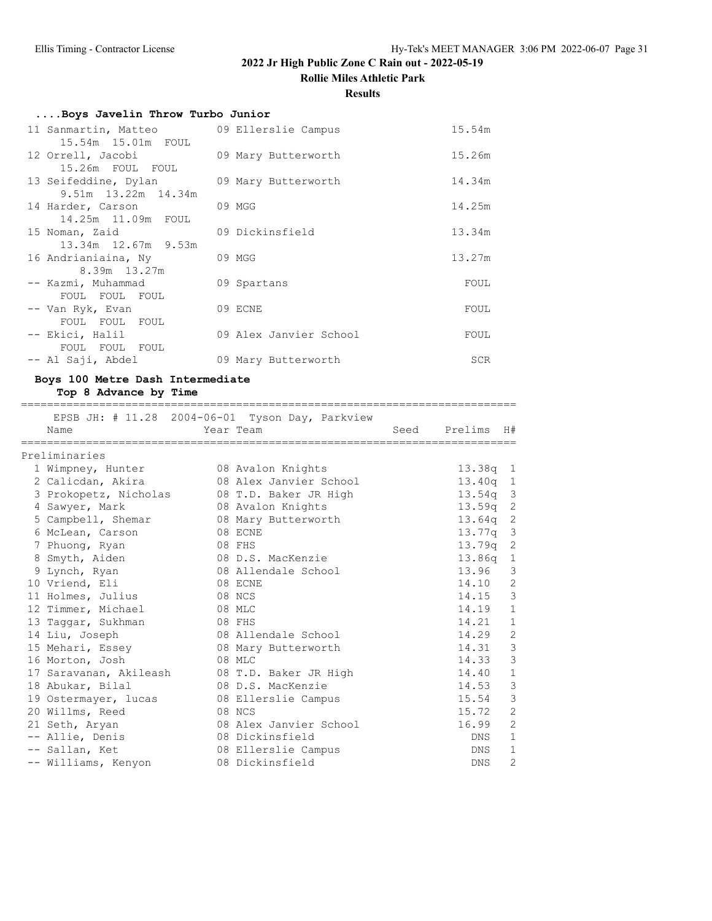**Rollie Miles Athletic Park**

#### **Results**

| Boys Javelin Throw Turbo Junior |  |  |  |  |
|---------------------------------|--|--|--|--|
|---------------------------------|--|--|--|--|

| 11 Sanmartin, Matteo                                        | 09 Ellerslie Campus    | 15.54m |
|-------------------------------------------------------------|------------------------|--------|
| 15.54m 15.01m FOUL<br>12 Orrell, Jacobi<br>15.26m FOUL FOUL | 09 Mary Butterworth    | 15.26m |
| 13 Seifeddine, Dylan<br>9.51m 13.22m 14.34m                 | 09 Mary Butterworth    | 14.34m |
| 14 Harder, Carson                                           | 09 MGG                 | 14.25m |
| 14.25m 11.09m FOUL<br>15 Noman, Zaid                        | 09 Dickinsfield        | 13.34m |
| 13.34m 12.67m 9.53m                                         |                        |        |
| 16 Andrianiaina, Ny<br>8.39m 13.27m                         | 09 MGG                 | 13.27m |
| -- Kazmi, Muhammad<br>FOUL FOUL FOUL                        | 09 Spartans            | FOUL   |
| -- Van Ryk, Evan                                            | 09 ECNE                | FOUL   |
| FOUL FOUL FOUL                                              |                        |        |
| -- Ekici, Halil                                             | 09 Alex Janvier School | FOUL   |
| FOUL FOUL FOUL<br>-- Al Saji, Abdel                         | 09 Mary Butterworth    | SCR    |

## **Boys 100 Metre Dash Intermediate**

**Top 8 Advance by Time**

| EPSB JH: $#$ 11.28 2004-06-01 Tyson Day, Parkview |        |                        |      |            |                |
|---------------------------------------------------|--------|------------------------|------|------------|----------------|
| Name                                              |        | Year Team              | Seed | Prelims    | H#             |
| Preliminaries                                     |        |                        |      |            |                |
| 1 Wimpney, Hunter                                 |        | 08 Avalon Knights      |      | $13.38q$ 1 |                |
| 2 Calicdan, Akira                                 |        | 08 Alex Janvier School |      | $13.40q$ 1 |                |
| 3 Prokopetz, Nicholas                             |        | 08 T.D. Baker JR High  |      | $13.54q$ 3 |                |
| 4 Sawyer, Mark                                    |        | 08 Avalon Knights      |      | 13.59q 2   |                |
| 5 Campbell, Shemar                                |        | 08 Mary Butterworth    |      | 13.64q 2   |                |
| 6 McLean, Carson                                  |        | 08 ECNE                |      | $13.77q$ 3 |                |
| 7 Phuong, Ryan                                    |        | 08 FHS                 |      | 13.79q 2   |                |
| 8 Smyth, Aiden                                    |        | 08 D.S. MacKenzie      |      | 13.86q 1   |                |
| 9 Lynch, Ryan                                     |        | 08 Allendale School    |      | 13.96 3    |                |
| 10 Vriend, Eli                                    |        | 08 ECNE                |      | 14.10      | $\overline{c}$ |
| 11 Holmes, Julius                                 | 08 NCS |                        |      | 14.15      | $\mathcal{S}$  |
| 12 Timmer, Michael                                |        | 08 MLC                 |      | 14.19 1    |                |
| 13 Taqqar, Sukhman                                |        | 08 FHS                 |      | 14.21      | $\,1\,$        |
| 14 Liu, Joseph                                    |        | 08 Allendale School    |      | 14.29      | 2              |
| 15 Mehari, Essey                                  |        | 08 Mary Butterworth    |      | 14.31 3    |                |
| 16 Morton, Josh                                   |        | 08 MLC                 |      | 14.33      | $\mathcal{S}$  |
| 17 Saravanan, Akileash                            |        | 08 T.D. Baker JR High  |      | 14.40      | $\mathbf{1}$   |
| 18 Abukar, Bilal                                  |        | 08 D.S. MacKenzie      |      | 14.53 3    |                |
| 19 Ostermayer, lucas                              |        | 08 Ellerslie Campus    |      | 15.54      | $\mathcal{S}$  |
| 20 Willms, Reed                                   |        | 08 NCS                 |      | 15.72      | 2              |
| 21 Seth, Aryan                                    |        | 08 Alex Janvier School |      | 16.99      | $\mathbf{2}$   |
| -- Allie, Denis                                   |        | 08 Dickinsfield        |      | DNS        | $\mathbf{1}$   |
| -- Sallan, Ket                                    |        | 08 Ellerslie Campus    |      | DNS        | $\mathbf{1}$   |
| -- Williams, Kenyon                               |        | 08 Dickinsfield        |      | <b>DNS</b> | $\overline{2}$ |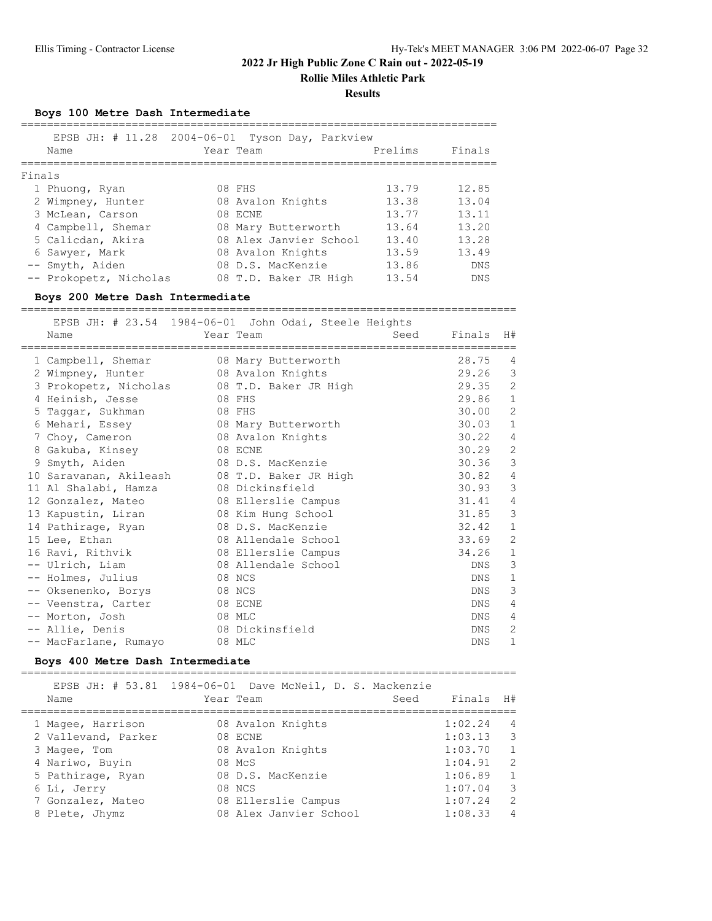**Rollie Miles Athletic Park**

#### **Results**

**Boys 100 Metre Dash Intermediate**

| Name                   | EPSB JH: # 11.28 2004-06-01 Tyson Day, Parkview<br>Year Team | Prelims | Finals     |
|------------------------|--------------------------------------------------------------|---------|------------|
| Finals                 |                                                              |         |            |
| 1 Phuong, Ryan         | 08 FHS                                                       | 13.79   | 12.85      |
| 2 Wimpney, Hunter      | 08 Avalon Knights                                            | 13.38   | 13.04      |
| 3 McLean, Carson       | 08 ECNE                                                      | 13.77   | 13.11      |
| 4 Campbell, Shemar     | 08 Mary Butterworth                                          | 13.64   | 13.20      |
| 5 Calicdan, Akira      | 08 Alex Janvier School                                       | 13.40   | 13.28      |
| 6 Sawyer, Mark         | 08 Avalon Knights                                            | 13.59   | 13.49      |
| -- Smyth, Aiden        | 08 D.S. MacKenzie                                            | 13.86   | <b>DNS</b> |
| -- Prokopetz, Nicholas | 08 T.D. Baker JR High                                        | 13.54   | <b>DNS</b> |
|                        |                                                              |         |            |

#### **Boys 200 Metre Dash Intermediate**

============================================================================  $FPTB$  JH:  $\#$  23.54 1984-06-01 John Odai, Steele Height

| EPSB JH: # 23.54 $\pm$ 984-06-01 John Odai, Steele Heights<br>Name<br>:==================== | Year Team             | Seed | Finals<br>============================= | H#             |
|---------------------------------------------------------------------------------------------|-----------------------|------|-----------------------------------------|----------------|
| 1 Campbell, Shemar                                                                          | 08 Mary Butterworth   |      | 28.75                                   | 4              |
| 2 Wimpney, Hunter                                                                           | 08 Avalon Knights     |      | 29.26                                   | $\mathfrak{Z}$ |
| 3 Prokopetz, Nicholas                                                                       | 08 T.D. Baker JR High |      | 29.35                                   | 2              |
| 4 Heinish, Jesse                                                                            | 08 FHS                |      | 29.86                                   | $\mathbf{1}$   |
| 5 Taggar, Sukhman                                                                           | 08 FHS                |      | 30.00                                   | 2              |
| 6 Mehari, Essey                                                                             | 08 Mary Butterworth   |      | 30.03                                   | $\mathbf{1}$   |
| 7 Choy, Cameron                                                                             | 08 Avalon Knights     |      | 30.22                                   | 4              |
| 8 Gakuba, Kinsey                                                                            | 08 ECNE               |      | 30.29                                   | 2              |
| 9 Smyth, Aiden                                                                              | 08 D.S. MacKenzie     |      | 30.36                                   | $\mathsf 3$    |
| 10 Saravanan, Akileash                                                                      | 08 T.D. Baker JR High |      | 30.82                                   | 4              |
| 11 Al Shalabi, Hamza                                                                        | 08 Dickinsfield       |      | 30.93                                   | $\mathcal{S}$  |
| 12 Gonzalez, Mateo                                                                          | 08 Ellerslie Campus   |      | 31.41                                   | 4              |
| 13 Kapustin, Liran                                                                          | 08 Kim Hung School    |      | 31.85                                   | $\mathsf 3$    |
| 14 Pathirage, Ryan                                                                          | 08 D.S. MacKenzie     |      | 32.42                                   | $\mathbf{1}$   |
| 15 Lee, Ethan                                                                               | 08 Allendale School   |      | 33.69                                   | $\sqrt{2}$     |
| 16 Ravi, Rithvik                                                                            | 08 Ellerslie Campus   |      | 34.26                                   | $\mathbf{1}$   |
| -- Ulrich, Liam                                                                             | 08 Allendale School   |      | DNS                                     | 3              |
| -- Holmes, Julius                                                                           | 08 NCS                |      | DNS.                                    | $\mathbf{1}$   |
| -- Oksenenko, Borys                                                                         | 08 NCS                |      | DNS                                     | 3              |
| -- Veenstra, Carter                                                                         | 08 ECNE               |      | <b>DNS</b>                              | 4              |
| -- Morton, Josh                                                                             | 08 MLC                |      | DNS                                     | 4              |
| -- Allie, Denis                                                                             | 08 Dickinsfield       |      | DNS.                                    | 2              |
| -- MacFarlane, Rumayo                                                                       | 08 MLC                |      | DNS.                                    | $\mathbf{1}$   |

#### **Boys 400 Metre Dash Intermediate**

| EPSB JH: # 53.81 1984-06-01 Dave McNeil, D. S. Mackenzie<br>Year Team<br>Name | Finals<br>Seed | H#                       |
|-------------------------------------------------------------------------------|----------------|--------------------------|
| 1 Magee, Harrison<br>08 Avalon Knights                                        | 1:02.24        | $\overline{4}$           |
| 2 Vallevand, Parker<br>08 ECNE                                                | 1:03.13        | $\overline{\phantom{a}}$ |
| 08 Avalon Knights<br>3 Magee, Tom                                             | 1:03.70        | $\mathbf{1}$             |
| 4 Nariwo, Buyin<br>08 McS                                                     | 1:04.91        | 2                        |
| 5 Pathirage, Ryan<br>08 D.S. MacKenzie                                        | 1:06.89        | $\mathbf{1}$             |
| 08 NCS<br>6 Li, Jerry                                                         | 1:07.04        | $\mathcal{E}$            |
| 7 Gonzalez, Mateo<br>08 Ellerslie Campus                                      | 1:07.24        | 2                        |
| 08 Alex Janvier School<br>8 Plete, Jhymz                                      | 1:08.33        | $\overline{4}$           |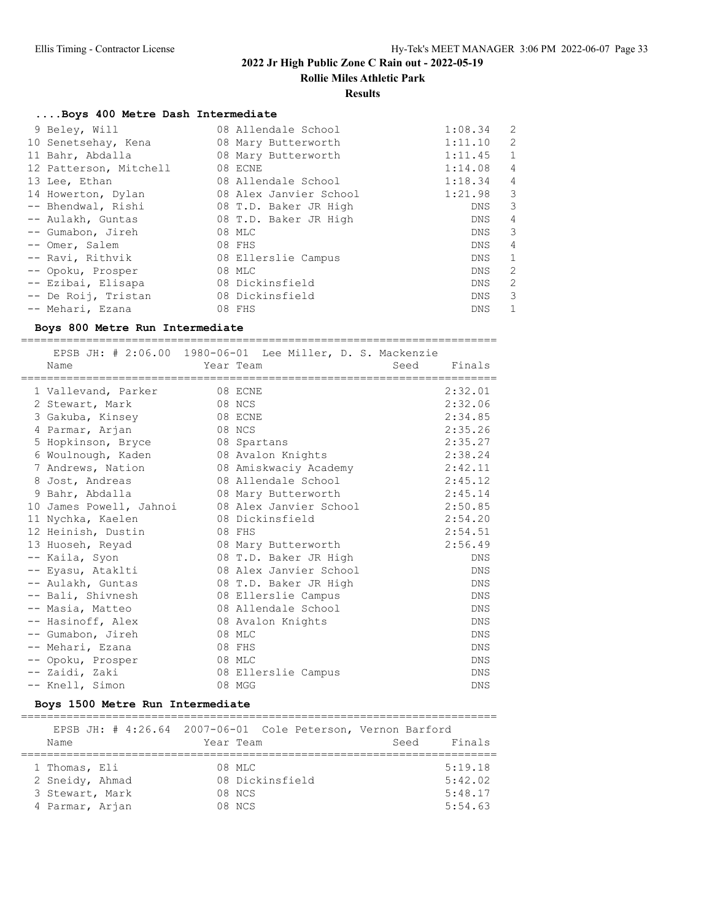**Rollie Miles Athletic Park**

#### **Results**

## **....Boys 400 Metre Dash Intermediate**

| 9 Beley, Will          | 08 Allendale School    | 1:08.34    | 2              |
|------------------------|------------------------|------------|----------------|
| 10 Senetsehay, Kena    | 08 Mary Butterworth    | 1:11.10    | 2              |
| 11 Bahr, Abdalla       | 08 Mary Butterworth    | 1:11.45    | 1              |
| 12 Patterson, Mitchell | 08 ECNE                | 1:14.08    | $\overline{4}$ |
| 13 Lee, Ethan          | 08 Allendale School    | 1:18.34    | $\overline{4}$ |
| 14 Howerton, Dylan     | 08 Alex Janvier School | 1:21.98    | 3              |
| -- Bhendwal, Rishi     | 08 T.D. Baker JR High  | DNS        | 3              |
| -- Aulakh, Guntas      | 08 T.D. Baker JR High  | DNS        | 4              |
| -- Gumabon, Jireh      | 08 MLC                 | DNS        | 3              |
| -- Omer, Salem         | 08 FHS                 | DNS        | 4              |
| -- Ravi, Rithvik       | 08 Ellerslie Campus    | DNS        | 1              |
| -- Opoku, Prosper      | 08 MLC                 | DNS        | 2              |
| -- Ezibai, Elisapa     | 08 Dickinsfield        | DNS        | 2              |
| -- De Roij, Tristan    | 08 Dickinsfield        | DNS.       | 3              |
| -- Mehari, Ezana       | $08$ FHS               | <b>DNS</b> |                |

#### **Boys 800 Metre Run Intermediate**

=========================================================================

| EPSB JH: # 2:06.00 1980-06-01 Lee Miller, D. S. Mackenzie |                        |      |            |
|-----------------------------------------------------------|------------------------|------|------------|
| Name                                                      | Year Team              | Seed | Finals     |
|                                                           |                        |      |            |
| 1 Vallevand, Parker                                       | 08 ECNE                |      | 2:32.01    |
| 2 Stewart, Mark                                           | 08 NCS                 |      | 2:32.06    |
| 3 Gakuba, Kinsey                                          | 08 ECNE                |      | 2:34.85    |
| 4 Parmar, Arjan                                           | 08 NCS                 |      | 2:35.26    |
| 5 Hopkinson, Bryce                                        | 08 Spartans            |      | 2:35.27    |
| 6 Woulnough, Kaden                                        | 08 Avalon Knights      |      | 2:38.24    |
| 7 Andrews, Nation                                         | 08 Amiskwaciy Academy  |      | 2:42.11    |
| 8 Jost, Andreas                                           | 08 Allendale School    |      | 2:45.12    |
| 9 Bahr, Abdalla                                           | 08 Mary Butterworth    |      | 2:45.14    |
| 10 James Powell, Jahnoi                                   | 08 Alex Janvier School |      | 2:50.85    |
| 11 Nychka, Kaelen                                         | 08 Dickinsfield        |      | 2:54.20    |
| 12 Heinish, Dustin                                        | 08 FHS                 |      | 2:54.51    |
| 13 Huoseh, Reyad                                          | 08 Mary Butterworth    |      | 2:56.49    |
| -- Kaila, Syon                                            | 08 T.D. Baker JR High  |      | <b>DNS</b> |
| -- Eyasu, Ataklti                                         | 08 Alex Janvier School |      | <b>DNS</b> |
| -- Aulakh, Guntas                                         | 08 T.D. Baker JR High  |      | <b>DNS</b> |
| -- Bali, Shivnesh                                         | 08 Ellerslie Campus    |      | <b>DNS</b> |
| -- Masia, Matteo                                          | 08 Allendale School    |      | <b>DNS</b> |
| -- Hasinoff, Alex                                         | 08 Avalon Knights      |      | <b>DNS</b> |
| -- Gumabon, Jireh                                         | 08 MLC                 |      | <b>DNS</b> |
| -- Mehari, Ezana                                          | 08 FHS                 |      | <b>DNS</b> |
| -- Opoku, Prosper                                         | 08 MLC                 |      | <b>DNS</b> |
| -- Zaidi, Zaki                                            | 08 Ellerslie Campus    |      | DNS        |
| -- Knell, Simon                                           | 08 MGG                 |      | <b>DNS</b> |

#### **Boys 1500 Metre Run Intermediate**

|                 | EPSB JH: # 4:26.64 2007-06-01 Cole Peterson, Vernon Barford |                |
|-----------------|-------------------------------------------------------------|----------------|
| Name            | Year Team                                                   | Finals<br>Seed |
|                 |                                                             |                |
| 1 Thomas, Eli   | 08 MLC                                                      | 5:19.18        |
| 2 Sneidy, Ahmad | 08 Dickinsfield                                             | 5:42.02        |
| 3 Stewart, Mark | 08 NCS                                                      | 5:48.17        |
| 4 Parmar, Arjan | 08 NCS                                                      | 5:54.63        |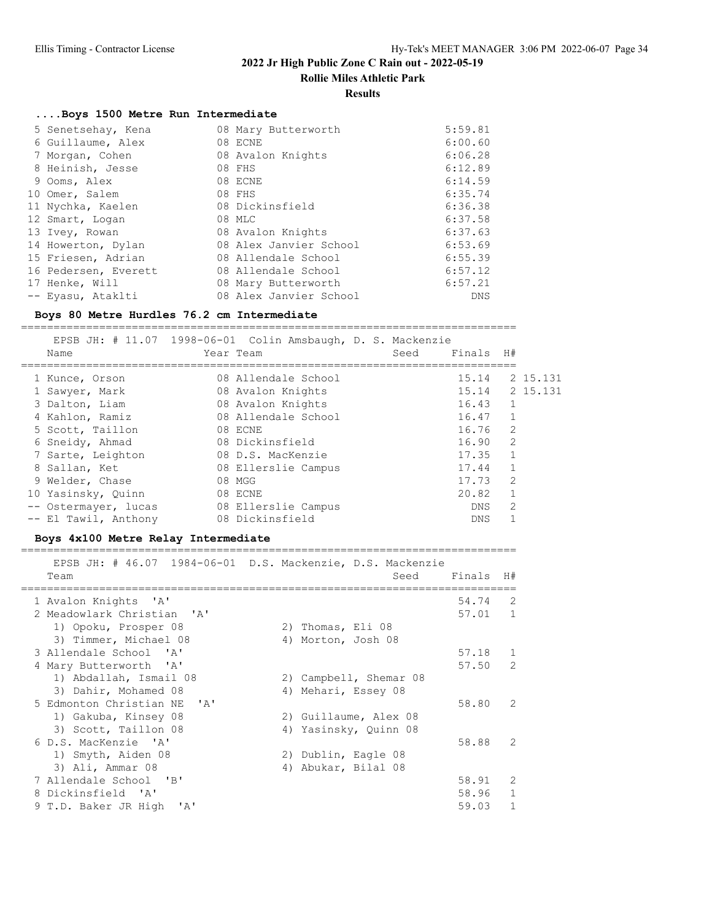**Rollie Miles Athletic Park**

#### **Results**

## **....Boys 1500 Metre Run Intermediate**

| 5 Senetsehay, Kena   | 08 Mary Butterworth    | 5:59.81 |
|----------------------|------------------------|---------|
| 6 Guillaume, Alex    | 08 ECNE                | 6:00.60 |
| 7 Morgan, Cohen      | 08 Avalon Knights      | 6:06.28 |
| 8 Heinish, Jesse     | 08 FHS                 | 6:12.89 |
| 9 Ooms, Alex         | 08 ECNE                | 6:14.59 |
| 10 Omer, Salem       | 08 FHS                 | 6:35.74 |
| 11 Nychka, Kaelen    | 08 Dickinsfield        | 6:36.38 |
| 12 Smart, Logan      | 08 MLC                 | 6:37.58 |
| 13 Ivey, Rowan       | 08 Avalon Knights      | 6:37.63 |
| 14 Howerton, Dylan   | 08 Alex Janvier School | 6:53.69 |
| 15 Friesen, Adrian   | 08 Allendale School    | 6:55.39 |
| 16 Pedersen, Everett | 08 Allendale School    | 6:57.12 |
| 17 Henke, Will       | 08 Mary Butterworth    | 6:57.21 |
| -- Eyasu, Ataklti    | 08 Alex Janvier School | DNS     |

### **Boys 80 Metre Hurdles 76.2 cm Intermediate**

============================================================================

|       | EPSB JH: # 11.07 1998-06-01 Colin Amsbaugh, D. S. Mackenzie |                     |      |           |                |          |
|-------|-------------------------------------------------------------|---------------------|------|-----------|----------------|----------|
|       | Name                                                        | Year Team           | Seed | Finals H# |                |          |
|       |                                                             |                     |      |           |                |          |
|       | 1 Kunce, Orson                                              | 08 Allendale School |      | 15.14     |                | 2 15.131 |
|       | 1 Sawyer, Mark                                              | 08 Avalon Knights   |      | 15.14     |                | 2 15.131 |
|       | 3 Dalton, Liam                                              | 08 Avalon Knights   |      | 16.43     | 1              |          |
|       | 4 Kahlon, Ramiz                                             | 08 Allendale School |      | 16.47     | $\mathbf{1}$   |          |
|       | 5 Scott, Taillon                                            | 08 ECNE             |      | 16.76     | 2              |          |
|       | 6 Sneidy, Ahmad                                             | 08 Dickinsfield     |      | 16.90     | 2              |          |
|       | 7 Sarte, Leighton                                           | 08 D.S. MacKenzie   |      | 17.35     | $\mathbf{1}$   |          |
|       | 8 Sallan, Ket                                               | 08 Ellerslie Campus |      | 17.44     | $\mathbf{1}$   |          |
|       | 9 Welder, Chase                                             | 08 MGG              |      | 17.73     | 2              |          |
|       | 10 Yasinsky, Quinn                                          | 08 ECNE             |      | 20.82     | $\mathbf{1}$   |          |
| $- -$ | Ostermayer, lucas                                           | 08 Ellerslie Campus |      | DNS.      | $\mathfrak{D}$ |          |
|       | -- El Tawil, Anthony                                        | 08 Dickinsfield     |      | DNS       |                |          |
|       |                                                             |                     |      |           |                |          |

## **Boys 4x100 Metre Relay Intermediate**

#### ============================================================================ EPSB JH: # 46.07 1984-06-01 D.S. Mackenzie, D.S. Mackenzie

| EPSB JH: # 46.07 1984-06-01 D.S. Mackenzie, D.S. Mackenzie<br>Team |                        | Seed | Finals    | H#           |
|--------------------------------------------------------------------|------------------------|------|-----------|--------------|
| 1 Avalon Knights 'A'                                               |                        |      | 54.74     | 2            |
| 2 Meadowlark Christian 'A'                                         |                        |      | $57.01$ 1 |              |
| 1) Opoku, Prosper 08                                               | 2) Thomas, Eli 08      |      |           |              |
| 3) Timmer, Michael 08                                              | 4) Morton, Josh 08     |      |           |              |
| 3 Allendale School 'A'                                             |                        |      | 57.18     | $\mathbf{1}$ |
| 4 Mary Butterworth 'A'                                             |                        |      | 57.50     | 2            |
| 1) Abdallah, Ismail 08                                             | 2) Campbell, Shemar 08 |      |           |              |
| 3) Dahir, Mohamed 08                                               | 4) Mehari, Essey 08    |      |           |              |
| 5 Edmonton Christian NE 'A'                                        |                        |      | 58.80     | 2            |
| 1) Gakuba, Kinsey 08                                               | 2) Guillaume, Alex 08  |      |           |              |
| 3) Scott, Taillon 08                                               | 4) Yasinsky, Quinn 08  |      |           |              |
| 6 D.S. MacKenzie 'A'                                               |                        |      | 58.88     | 2            |
| 1) Smyth, Aiden 08                                                 | 2) Dublin, Eagle 08    |      |           |              |
| 3) Ali, Ammar 08                                                   | 4) Abukar, Bilal 08    |      |           |              |
| 7 Allendale School 'B'                                             |                        |      | 58.91     | 2            |
| 8 Dickinsfield 'A'                                                 |                        |      | 58.96     | $\mathbf{1}$ |
| 9 T.D. Baker JR High 'A'                                           |                        |      | 59.03     | $\mathbf{1}$ |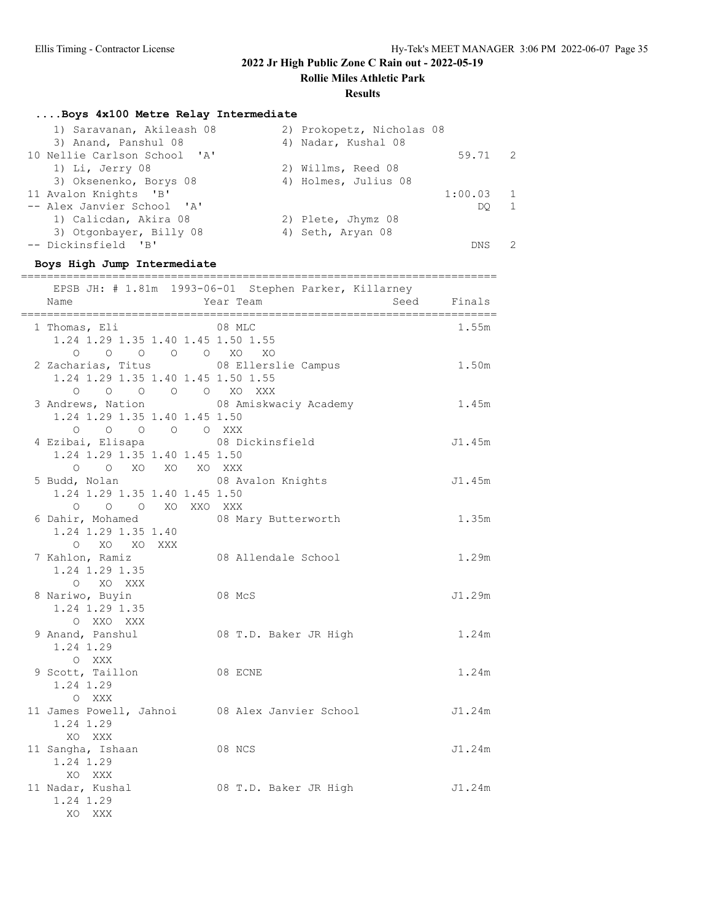**Rollie Miles Athletic Park**

#### **Results**

#### **....Boys 4x100 Metre Relay Intermediate**

| 1) Saravanan, Akileash 08    | 2) Prokopetz, Nicholas 08 |
|------------------------------|---------------------------|
| 3) Anand, Panshul 08         | 4) Nadar, Kushal 08       |
| 10 Nellie Carlson School 'A' | 59.71 2                   |
| 1) Li, Jerry 08              | 2) Willms, Reed 08        |
| 3) Oksenenko, Borys 08       | 4) Holmes, Julius 08      |
| 11 Avalon Knights 'B'        | 1:00.03                   |
| -- Alex Janvier School 'A'   | DO                        |
| 1) Calicdan, Akira 08        | 2) Plete, Jhymz 08        |
| 3) Otgonbayer, Billy 08      | 4) Seth, Aryan 08         |
| -- Dickinsfield 'B'          | <b>DNS</b>                |

 -- Dickinsfield 'B' DNS 2 **Boys High Jump Intermediate** ========================================================================= EPSB JH: # 1.81m 1993-06-01 Stephen Parker, Killarney Name Year Team Seed Finals ========================================================================= 1 Thomas, Eli 08 MLC 1.55m 1.24 1.29 1.35 1.40 1.45 1.50 1.55 O O O O O XO XO 2 Zacharias, Titus 08 Ellerslie Campus 1.50m 1.24 1.29 1.35 1.40 1.45 1.50 1.55 O O O O O XO XXX<br>3 Andrews, Nation 08 Amiskwa 08 Amiskwaciy Academy 1.45m 1.24 1.29 1.35 1.40 1.45 1.50 O O O O O XXX 4 Ezibai, Elisapa 08 Dickinsfield J1.45m 1.24 1.29 1.35 1.40 1.45 1.50 O O XO XO XO XXX 5 Budd, Nolan 08 Avalon Knights J1.45m 1.24 1.29 1.35 1.40 1.45 1.50 O O O XO XXO XXX 6 Dahir, Mohamed 08 Mary Butterworth 1.35m 1.24 1.29 1.35 1.40 O XO XO XXX<br>7 Kahlon, Ramiz  $\begin{array}{cccc}\n & \text{if} & \text{if} & \text{if} & \text{if} & \text{if} & \text{if} & \text{if} & \text{if} & \text{if} & \text{if} & \text{if} & \text{if} & \text{if} & \text{if} & \text{if} & \text{if} & \text{if} & \text{if} & \text{if} & \text{if} & \text{if} & \text{if} & \text{if} & \text{if} & \text{if} & \text{if} & \text{if} & \text{if} & \text{if} & \text{if} & \text{if} & \text{if} & \text{if} & \text{if} & \text{if} & \text$  1.24 1.29 1.35 O XO XXX 8 Nariwo, Buyin 08 McS J1.29m 1.24 1.29 1.35 O XXO XXX 9 Anand, Panshul 08 T.D. Baker JR High 1.24m 1.24 1.29 O XXX 9 Scott, Taillon 68 ECNE 1.24m 1.24 1.29 O XXX 11 James Powell, Jahnoi 08 Alex Janvier School J1.24m 1.24 1.29 XO XXX 11 Sangha, Ishaan 68 NCS 31.24m 1.24 1.29

 XO XXX 11 Nadar, Kushal 08 T.D. Baker JR High J1.24m 1.24 1.29 XO XXX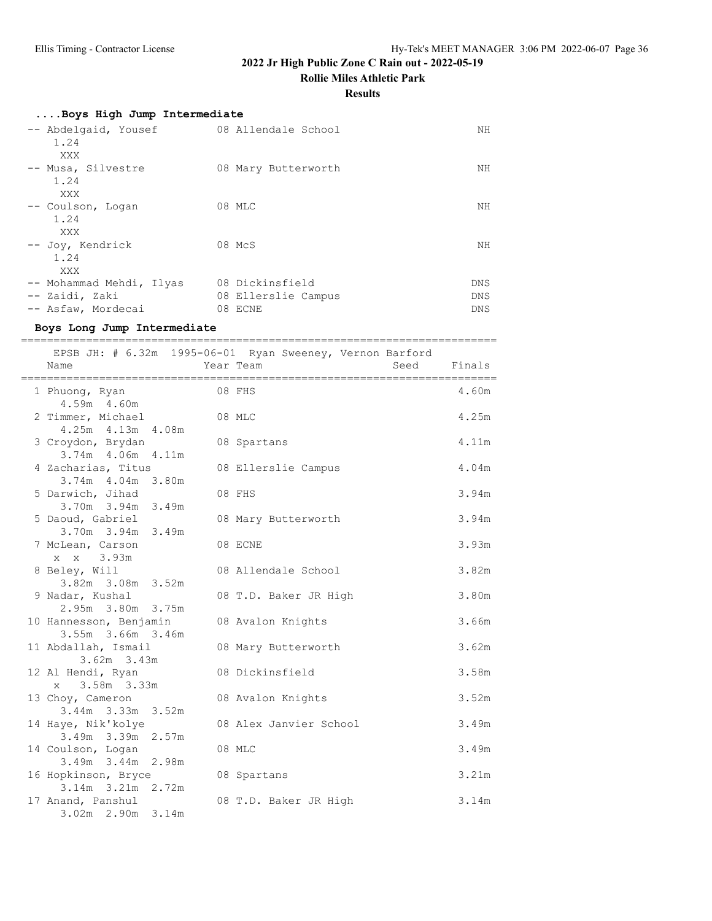**Rollie Miles Athletic Park**

#### **Results**

| Boys High Jump Intermediate                                      |                                                   |                                        |
|------------------------------------------------------------------|---------------------------------------------------|----------------------------------------|
| -- Abdelgaid, Yousef<br>1.24<br>XXX                              | 08 Allendale School                               | ΝH                                     |
| -- Musa, Silvestre<br>1.24<br>XXX                                | 08 Mary Butterworth                               | NΗ                                     |
| -- Coulson, Logan<br>1.24<br>XXX                                 | 08 MLC                                            | ΝH                                     |
| -- Joy, Kendrick<br>1.24<br>XXX                                  | 08 McS                                            | NΗ                                     |
| -- Mohammad Mehdi, Ilyas<br>-- Zaidi, Zaki<br>-- Asfaw, Mordecai | 08 Dickinsfield<br>08 Ellerslie Campus<br>08 ECNE | <b>DNS</b><br><b>DNS</b><br><b>DNS</b> |

#### **Boys Long Jump Intermediate**

| Name                                        | EPSB JH: # 6.32m 1995-06-01 Ryan Sweeney, Vernon Barford<br>Year Team<br>Seed | Finals |
|---------------------------------------------|-------------------------------------------------------------------------------|--------|
| 1 Phuong, Ryan<br>08 FHS<br>4.59m 4.60m     |                                                                               | 4.60m  |
| 2 Timmer, Michael<br>4.25m  4.13m  4.08m    | 08 MLC                                                                        | 4.25m  |
| 3 Croydon, Brydan<br>3.74m 4.06m 4.11m      | 08 Spartans                                                                   | 4.11m  |
| 4 Zacharias, Titus<br>3.74m  4.04m  3.80m   | 08 Ellerslie Campus                                                           | 4.04m  |
| 5 Darwich, Jihad<br>3.70m 3.94m 3.49m       | 08 FHS                                                                        | 3.94m  |
| 5 Daoud, Gabriel<br>3.70m 3.94m 3.49m       | 08 Mary Butterworth                                                           | 3.94m  |
| 7 McLean, Carson<br>x x 3.93m               | 08 ECNE                                                                       | 3.93m  |
| 8 Beley, Will<br>3.82m 3.08m 3.52m          | 08 Allendale School                                                           | 3.82m  |
| 9 Nadar, Kushal<br>2.95m 3.80m 3.75m        | 08 T.D. Baker JR High                                                         | 3.80m  |
| 10 Hannesson, Benjamin<br>3.55m 3.66m 3.46m | 08 Avalon Knights                                                             | 3.66m  |
| 11 Abdallah, Ismail<br>$3.62m$ $3.43m$      | 08 Mary Butterworth                                                           | 3.62m  |
| 12 Al Hendi, Ryan<br>x 3.58m 3.33m          | 08 Dickinsfield                                                               | 3.58m  |
| 13 Choy, Cameron<br>3.44m 3.33m 3.52m       | 08 Avalon Knights                                                             | 3.52m  |
| 14 Haye, Nik'kolye<br>3.49m 3.39m 2.57m     | 08 Alex Janvier School                                                        | 3.49m  |
| 14 Coulson, Logan<br>3.49m 3.44m 2.98m      | 08 MLC                                                                        | 3.49m  |
| 16 Hopkinson, Bryce<br>3.14m 3.21m 2.72m    | 08 Spartans                                                                   | 3.21m  |
| 17 Anand, Panshul<br>3.02m 2.90m 3.14m      | 08 T.D. Baker JR High                                                         | 3.14m  |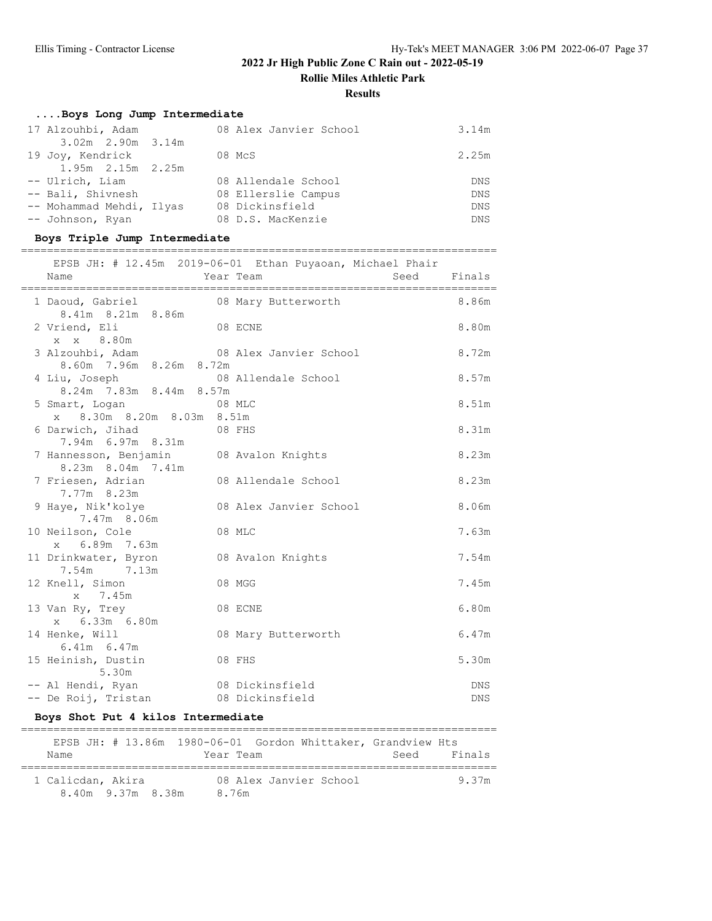**Rollie Miles Athletic Park**

#### **Results**

# **....Boys Long Jump Intermediate**

| 17 Alzouhbi, Adam        | 08 Alex Janvier School | 3.14m      |
|--------------------------|------------------------|------------|
| $3.02m$ $2.90m$ $3.14m$  |                        |            |
| 19 Joy, Kendrick         | 08 McS                 | 2.25m      |
| $1.95m$ $2.15m$ $2.25m$  |                        |            |
| -- Ulrich, Liam          | 08 Allendale School    | DNS        |
| -- Bali, Shivnesh        | 08 Ellerslie Campus    | <b>DNS</b> |
| -- Mohammad Mehdi, Ilyas | 08 Dickinsfield        | DNS        |
| -- Johnson, Ryan         | 08 D.S. MacKenzie      | <b>DNS</b> |

### **Boys Triple Jump Intermediate**

=========================================================================

|                                            | EPSB JH: # 12.45m 2019-06-01 Ethan Puyaoan, Michael Phair |            |
|--------------------------------------------|-----------------------------------------------------------|------------|
| Name                                       | Year Team<br>Seed Finals                                  |            |
|                                            |                                                           |            |
| 1 Daoud, Gabriel 68 Mary Butterworth       |                                                           | 8.86m      |
| 8.41m 8.21m 8.86m                          |                                                           |            |
| 2 Vriend, Eli                              | 08 ECNE                                                   | 8.80m      |
| x x 8.80m                                  |                                                           |            |
| 3 Alzouhbi, Adam                           | 08 Alex Janvier School                                    | 8.72m      |
| 8.60m 7.96m 8.26m 8.72m                    |                                                           |            |
| 4 Liu, Joseph 68 Allendale School          |                                                           | 8.57m      |
| 8.24m 7.83m 8.44m 8.57m                    |                                                           |            |
| 5 Smart, Logan 08 MLC                      |                                                           | 8.51m      |
| x 8.30m 8.20m 8.03m 8.51m                  |                                                           |            |
| 6 Darwich, Jihad<br><b>EXECUTE:</b> 08 FHS |                                                           | 8.31m      |
| 7.94m 6.97m 8.31m                          |                                                           |            |
| 7 Hannesson, Benjamin 08 Avalon Knights    |                                                           | 8.23m      |
| 8.23m 8.04m 7.41m                          |                                                           |            |
| 7 Friesen, Adrian                          | 08 Allendale School                                       | 8.23m      |
| 7.77m 8.23m                                |                                                           |            |
| 9 Haye, Nik'kolye                          | 08 Alex Janvier School                                    | 8.06m      |
| 7.47m 8.06m                                |                                                           |            |
| 10 Neilson, Cole                           | 08 MLC                                                    | 7.63m      |
| x 6.89m 7.63m                              |                                                           |            |
| 11 Drinkwater, Byron                       | 08 Avalon Knights                                         | 7.54m      |
| 7.54m 7.13m                                |                                                           |            |
| 12 Knell, Simon                            | 08 MGG                                                    | 7.45m      |
| 7.45m<br>$\mathbf{x}$                      |                                                           |            |
| 13 Van Ry, Trey                            | 08 ECNE                                                   | 6.80m      |
| x 6.33m 6.80m                              |                                                           |            |
| 14 Henke, Will                             | 08 Mary Butterworth                                       | 6.47m      |
| $6.41m$ $6.47m$                            |                                                           |            |
| 15 Heinish, Dustin                         | 08 FHS                                                    | 5.30m      |
| 5.30m                                      |                                                           |            |
| -- Al Hendi, Ryan                          | 08 Dickinsfield                                           | DNS        |
| -- De Roij, Tristan                        | 08 Dickinsfield                                           | <b>DNS</b> |
|                                            |                                                           |            |

### **Boys Shot Put 4 kilos Intermediate**

|                   |                   |           | EPSB JH: # 13.86m 1980-06-01 Gordon Whittaker, Grandview Hts |      |        |
|-------------------|-------------------|-----------|--------------------------------------------------------------|------|--------|
| Name              |                   | Year Team |                                                              | Seed | Finals |
| 1 Calicdan, Akira | 8.40m 9.37m 8.38m | 8.76m     | 08 Alex Janvier School                                       |      | 9.37m  |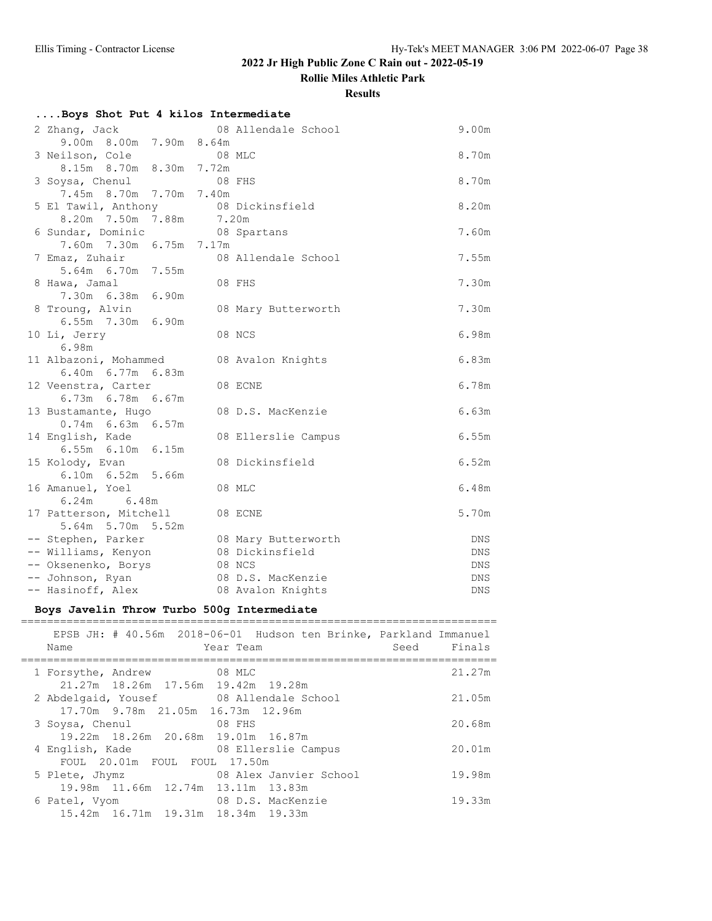**Rollie Miles Athletic Park**

**Results**

| Boys Shot Put 4 kilos Intermediate                                                            |                                                                   |        |
|-----------------------------------------------------------------------------------------------|-------------------------------------------------------------------|--------|
| 2 Zhang, Jack<br>9.00m 8.00m 7.90m 8.64m                                                      | 08 Allendale School                                               | 9.00m  |
| 3 Neilson, Cole<br>8.15m 8.70m 8.30m 7.72m                                                    | $08$ MLC                                                          | 8.70m  |
| 3 Soysa, Chenul                                                                               | 08 FHS                                                            | 8.70m  |
| 7.45m 8.70m 7.70m 7.40m<br>5 El Tawil, Anthony 68 Dickinsfield                                |                                                                   | 8.20m  |
| 8.20m 7.50m 7.88m 7.20m<br>6 Sundar, Dominic                                                  | 08 Spartans                                                       | 7.60m  |
| 7.60m 7.30m 6.75m 7.17m<br>7 Emaz, Zuhair                                                     | 08 Allendale School                                               | 7.55m  |
| 5.64m 6.70m 7.55m<br>8 Hawa, Jamal                                                            | 08 FHS                                                            | 7.30m  |
| 7.30m 6.38m 6.90m<br>8 Troung, Alvin                                                          | 08 Mary Butterworth                                               | 7.30m  |
| 6.55m 7.30m 6.90m                                                                             |                                                                   |        |
| 10 Li, Jerry<br>6.98m                                                                         | 08 NCS                                                            | 6.98m  |
| 11 Albazoni, Mohammed<br>$6.40m$ $6.77m$ $6.83m$                                              | 08 Avalon Knights                                                 | 6.83m  |
| 12 Veenstra, Carter<br>6.73m 6.78m 6.67m                                                      | 08 ECNE                                                           | 6.78m  |
| 13 Bustamante, Hugo<br>$0.74m$ 6.63m 6.57m                                                    | 08 D.S. MacKenzie                                                 | 6.63m  |
| 14 English, Kade                                                                              | 08 Ellerslie Campus                                               | 6.55m  |
| 6.55m 6.10m 6.15m<br>15 Kolody, Evan                                                          | 08 Dickinsfield                                                   | 6.52m  |
| 6.10m  6.52m  5.66m<br>16 Amanuel, Yoel                                                       | 08 MLC                                                            | 6.48m  |
| 6.24m 6.48m<br>17 Patterson, Mitchell                                                         | 08 ECNE                                                           | 5.70m  |
| 5.64m 5.70m 5.52m<br>-- Stephen, Parker                                                       | 08 Mary Butterworth                                               | DNS    |
| -- Williams, Kenyon                                                                           | 08 Dickinsfield                                                   | DNS    |
| -- Oksenenko, Borys                                                                           | 08 NCS                                                            | DNS    |
| -- Johnson, Ryan 68 D.S. MacKenzie                                                            |                                                                   | DNS    |
| -- Hasinoff, Alex 08 Avalon Knights                                                           |                                                                   | DNS    |
|                                                                                               |                                                                   |        |
| Boys Javelin Throw Turbo 500g Intermediate                                                    |                                                                   |        |
|                                                                                               | EPSB JH: # 40.56m 2018-06-01 Hudson ten Brinke, Parkland Immanuel |        |
| Name                                                                                          | Seed<br>Year Team                                                 | Finals |
|                                                                                               |                                                                   |        |
| 1 Forsythe, Andrew<br>21.27m 18.26m 17.56m 19.42m 19.28m                                      | $08$ MLC                                                          | 21.27m |
| 2 Abdelgaid, Yousef 08 Allendale School                                                       |                                                                   | 21.05m |
| 17.70m 9.78m 21.05m 16.73m 12.96m<br>3 Soysa, Chenul                                          | 08 FHS                                                            | 20.68m |
| 19.22m 18.26m 20.68m 19.01m 16.87m<br>4 English, Kade<br>FOUL 20.01m FOUL FOUL 17.50m         | 08 Ellerslie Campus                                               | 20.01m |
| 5 Plete, Jhymz                                                                                | 08 Alex Janvier School                                            | 19.98m |
| 19.98m  11.66m  12.74m  13.11m  13.83m<br>6 Patel, Vyom<br>15.42m 16.71m 19.31m 18.34m 19.33m | 08 D.S. MacKenzie                                                 | 19.33m |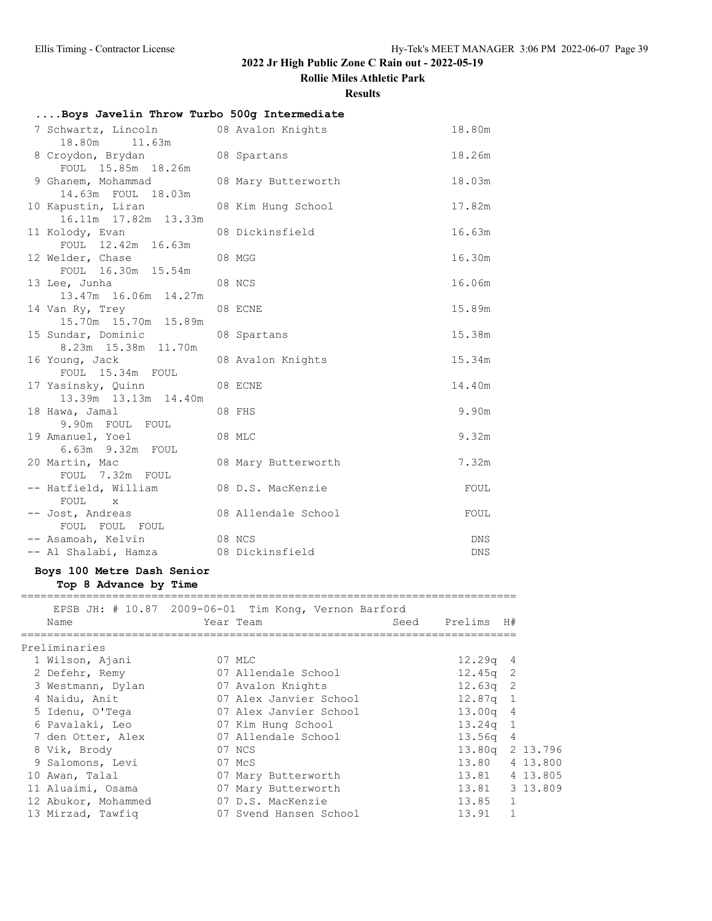**Rollie Miles Athletic Park**

**Results**

| Boys Javelin Throw Turbo 500g Intermediate                   |                        |                 |              |          |
|--------------------------------------------------------------|------------------------|-----------------|--------------|----------|
| 7 Schwartz, Lincoln                                          | 08 Avalon Knights      | 18.80m          |              |          |
| 18.80m    11.63m<br>8 Croydon, Brydan<br>FOUL 15.85m 18.26m  | 08 Spartans            | 18.26m          |              |          |
| 9 Ghanem, Mohammad<br>14.63m    FOUL    18.03m               | 08 Mary Butterworth    | 18.03m          |              |          |
| 10 Kapustin, Liran<br>16.11m  17.82m  13.33m                 | 08 Kim Hung School     | 17.82m          |              |          |
| 11 Kolody, Evan<br>FOUL 12.42m 16.63m                        | 08 Dickinsfield        | 16.63m          |              |          |
| 12 Welder, Chase<br>FOUL 16.30m 15.54m                       | 08 MGG                 | 16.30m          |              |          |
| 13 Lee, Junha<br>13.47m 16.06m 14.27m                        | 08 NCS                 | 16.06m          |              |          |
| 14 Van Ry, Trey<br>15.70m  15.70m  15.89m                    | 08 ECNE                | 15.89m          |              |          |
| 15 Sundar, Dominic<br>8.23m 15.38m 11.70m                    | 08 Spartans            | 15.38m          |              |          |
| 16 Young, Jack<br>FOUL 15.34m FOUL                           | 08 Avalon Knights      | 15.34m          |              |          |
| 17 Yasinsky, Quinn<br>13.39m 13.13m 14.40m                   | 08 ECNE                | 14.40m          |              |          |
| 18 Hawa, Jamal<br>9.90m FOUL FOUL                            | 08 FHS                 | 9.90m           |              |          |
| 19 Amanuel, Yoel<br>6.63m 9.32m FOUL                         | 08 MLC                 | 9.32m           |              |          |
| 20 Martin, Mac<br>FOUL 7.32m FOUL                            | 08 Mary Butterworth    | 7.32m           |              |          |
| -- Hatfield, William<br>FOUL<br>$\mathbf{x}$                 | 08 D.S. MacKenzie      | FOUL            |              |          |
| -- Jost, Andreas<br>FOUL FOUL FOUL                           | 08 Allendale School    | FOUL            |              |          |
| -- Asamoah, Kelvin<br>-- Al Shalabi, Hamza 08 Dickinsfield   | 08 NCS                 | DNS.<br>DNS     |              |          |
| Boys 100 Metre Dash Senior<br>Top 8 Advance by Time          |                        |                 |              |          |
| EPSB JH: # 10.87 2009-06-01 Tim Kong, Vernon Barford<br>Name | Year Team              | Seed Prelims H# |              |          |
| Preliminaries                                                |                        |                 |              |          |
| 1 Wilson, Ajani                                              | 07 MLC                 | 12.29q          | 4            |          |
| 2 Defehr, Remy                                               | 07 Allendale School    | 12.45q          | $\mathbf{2}$ |          |
| 3 Westmann, Dylan                                            | 07 Avalon Knights      | 12.63q          | $\mathbf{2}$ |          |
| 4 Naidu, Anit                                                | 07 Alex Janvier School | 12.87q          | $\mathbf{1}$ |          |
| 5 Idenu, O'Tega                                              | 07 Alex Janvier School | 13.00q          | 4            |          |
| 6 Pavalaki, Leo                                              | 07 Kim Hung School     | 13.24q          | 1            |          |
| 7 den Otter, Alex                                            | 07 Allendale School    | 13.56q          | 4            |          |
| 8 Vik, Brody                                                 | 07 NCS                 | 13.80q          |              | 2 13.796 |
| 9 Salomons, Levi                                             | 07 McS                 | 13.80           |              | 4 13.800 |
| 10 Awan, Talal                                               | 07 Mary Butterworth    | 13.81           |              | 4 13.805 |
| 11 Aluaimi, Osama                                            | 07 Mary Butterworth    | 13.81           |              | 3 13.809 |
| 12 Abukor, Mohammed                                          | 07 D.S. MacKenzie      | 13.85           | 1            |          |
|                                                              |                        |                 |              |          |

13 Mirzad, Tawfiq 07 Svend Hansen School 13.91 1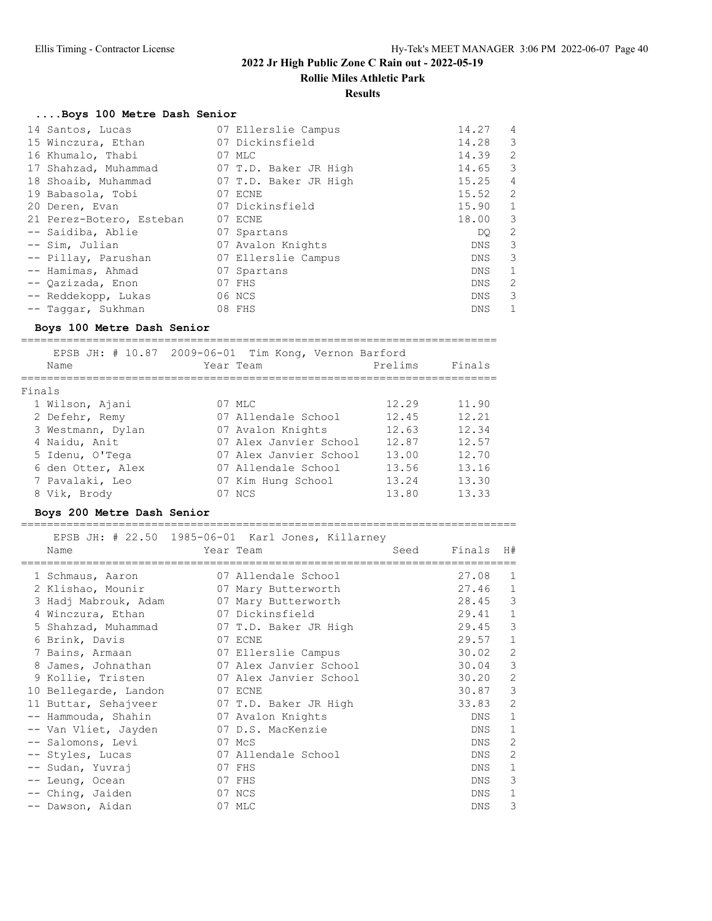**Rollie Miles Athletic Park**

#### **Results**

#### **....Boys 100 Metre Dash Senior**

| 14 Santos, Lucas         | 07 Ellerslie Campus   | 14.27      | 4             |
|--------------------------|-----------------------|------------|---------------|
| 15 Winczura, Ethan       | 07 Dickinsfield       | 14.28      | 3             |
| 16 Khumalo, Thabi        | 07 MLC                | 14.39      | 2             |
| 17 Shahzad, Muhammad     | 07 T.D. Baker JR High | 14.65      | 3             |
| 18 Shoaib, Muhammad      | 07 T.D. Baker JR High | 15.25      | 4             |
| 19 Babasola, Tobi        | 07 ECNE               | 15.52      | 2             |
| 20 Deren, Evan           | 07 Dickinsfield       | 15.90      | 1             |
| 21 Perez-Botero, Esteban | 07 ECNE               | 18.00      | $\mathcal{E}$ |
| -- Saidiba, Ablie        | 07 Spartans           | DO.        | 2             |
| -- Sim, Julian           | 07 Avalon Knights     | DNS        | 3             |
| -- Pillay, Parushan      | 07 Ellerslie Campus   | DNS        | 3             |
| -- Hamimas, Ahmad        | 07 Spartans           | DNS        | 1             |
| -- Qazizada, Enon        | 07 FHS                | DNS        | 2             |
| -- Reddekopp, Lukas      | 06 NCS                | DNS        | 3             |
| -- Taggar, Sukhman       | 08 FHS                | <b>DNS</b> |               |

#### **Boys 100 Metre Dash Senior**

========================================================================= EPSB JH: # 10.87 2009-06-01 Tim Kong, Vernon Barford Name **Name** Year Team **Prelims** Finals ========================================================================= Finals 1 Wilson, Ajani 07 MLC 12.29 11.90 2 Defehr, Remy 07 Allendale School 12.45 12.21 3 Westmann, Dylan 07 Avalon Knights 12.63 12.34 4 Naidu, Anit 07 Alex Janvier School 12.87 12.57 5 Idenu, O'Tega 07 Alex Janvier School 13.00 12.70 6 den Otter, Alex 07 Allendale School 13.56 13.16 7 Pavalaki, Leo 07 Kim Hung School 13.24 13.30 8 Vik, Brody 07 NCS 13.80 13.33

#### **Boys 200 Metre Dash Senior**

============================================================================

EPSB JH: # 22.50 1985-06-01 Karl Jones, Killarney

| Name                                      | Year Team              | Seed | Finals     | H#                      |
|-------------------------------------------|------------------------|------|------------|-------------------------|
| 1 Schmaus, Aaron                          | 07 Allendale School    |      | 27.08      | 1                       |
| 2 Klishao, Mounir                         | 07 Mary Butterworth    |      | 27.46      | $1\,$                   |
| 3 Hadj Mabrouk, Adam                      | 07 Mary Butterworth    |      | 28.45 3    |                         |
| 4 Winczura, Ethan                         | 07 Dickinsfield        |      | 29.41      | $\mathbf{1}$            |
| 5 Shahzad, Muhammad 67 T.D. Baker JR High |                        |      | 29.45 3    |                         |
| 6 Brink, Davis                            | 07 ECNE                |      | 29.57      | $\mathbf{1}$            |
| 7 Bains, Armaan                           | 07 Ellerslie Campus    |      | 30.02      | $\mathbf{2}$            |
| 8 James, Johnathan                        | 07 Alex Janvier School |      | 30.04      | $\overline{\mathbf{3}}$ |
| 9 Kollie, Tristen                         | 07 Alex Janvier School |      | 30.20      | $\mathbf{2}$            |
| 10 Bellegarde, Landon                     | 07 ECNE                |      | 30.87      | $\mathcal{E}$           |
| 11 Buttar, Sehajveer                      | 07 T.D. Baker JR High  |      | 33.83      | 2                       |
| -- Hammouda, Shahin                       | 07 Avalon Knights      |      | DNS        | $\mathbf{1}$            |
| -- Van Vliet, Jayden                      | 07 D.S. MacKenzie      |      | DNS        | $\mathbf{1}$            |
| -- Salomons, Levi                         | 07 McS                 |      | DNS        | 2                       |
| -- Styles, Lucas                          | 07 Allendale School    |      | DNS        | 2                       |
| -- Sudan, Yuvraj                          | 07 FHS                 |      | DNS        | $\mathbf{1}$            |
| -- Leung, Ocean                           | 07 FHS                 |      | DNS        | 3                       |
| -- Ching, Jaiden                          | 07 NCS                 |      | DNS        | $\mathbf{1}$            |
| -- Dawson, Aidan                          | 07 MLC                 |      | <b>DNS</b> | 3                       |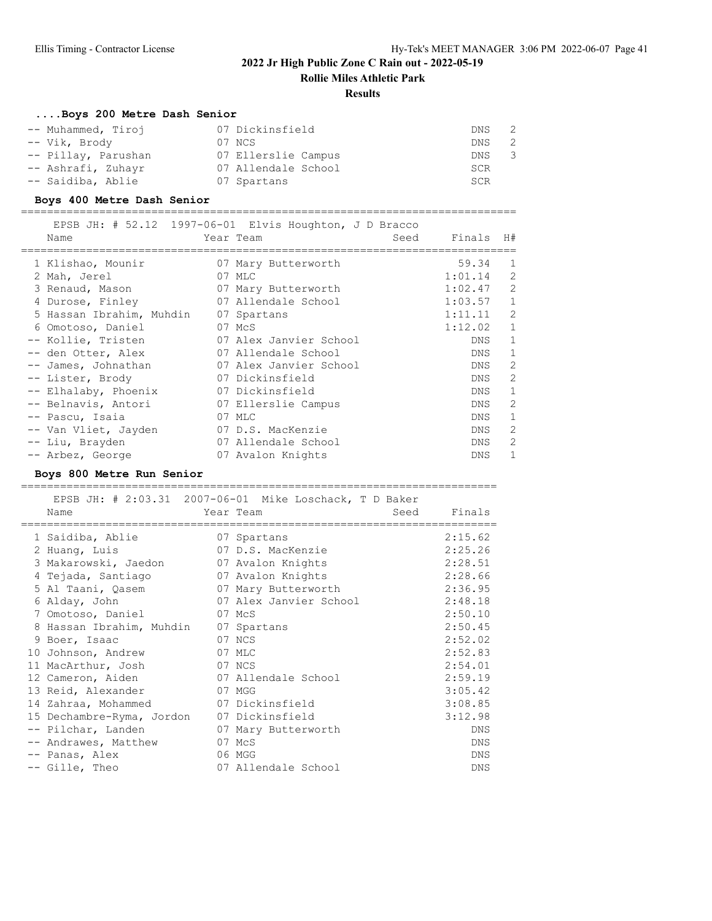**Rollie Miles Athletic Park**

#### **Results**

# **....Boys 200 Metre Dash Senior**

| -- Muhammed, Tiroj  | 07 Dickinsfield     | $\overline{2}$<br>DNS          |
|---------------------|---------------------|--------------------------------|
| -- Vik, Brody       | 07 NCS              | $\overline{2}$<br>DNS          |
| -- Pillay, Parushan | 07 Ellerslie Campus | $\overline{\mathbf{3}}$<br>DNS |
| -- Ashrafi, Zuhayr  | 07 Allendale School | SCR                            |
| -- Saidiba, Ablie   | 07 Spartans         | SCR                            |

### **Boys 400 Metre Dash Senior**

============================================================================

| Name                     | EPSB JH: # 52.12 1997-06-01 Elvis Houghton, J D Bracco<br>Year Team | Finals H#<br>Seed |              |
|--------------------------|---------------------------------------------------------------------|-------------------|--------------|
| 1 Klishao, Mounir        | 07 Mary Butterworth                                                 | 59.34             | 1            |
| 2 Mah, Jerel             | 07 MLC                                                              | 1:01.14           | 2            |
| 3 Renaud, Mason          | 07 Mary Butterworth                                                 | 1:02.47           | 2            |
| 4 Durose, Finley         | 07 Allendale School                                                 | 1:03.57           | 1            |
| 5 Hassan Ibrahim, Muhdin | 07 Spartans                                                         | 1:11.11           | 2            |
| 6 Omotoso, Daniel        | 07 McS                                                              | 1:12.02           | 1            |
| -- Kollie, Tristen       | 07 Alex Janvier School                                              | DNS               | 1            |
| -- den Otter, Alex       | 07 Allendale School                                                 | DNS               | 1            |
| -- James, Johnathan      | 07 Alex Janvier School                                              | DNS.              | 2            |
| -- Lister, Brody         | 07 Dickinsfield                                                     | DNS.              | 2            |
| -- Elhalaby, Phoenix     | 07 Dickinsfield                                                     | DNS.              | $\mathbf{1}$ |
| -- Belnavis, Antori      | 07 Ellerslie Campus                                                 | DNS.              | 2            |
| -- Pascu, Isaia          | 07 MLC                                                              | DNS.              | $\mathbf{1}$ |
| -- Van Vliet, Jayden     | 07 D.S. MacKenzie                                                   | DNS.              | 2            |
| -- Liu, Brayden          | 07 Allendale School                                                 | DNS.              | 2            |
| -- Arbez, George         | 07 Avalon Knights                                                   | DNS.              | $\mathbf{1}$ |

#### **Boys 800 Metre Run Senior**

|                                                       | EPSB JH: # 2:03.31 2007-06-01 Mike Loschack, T D Baker |            |
|-------------------------------------------------------|--------------------------------------------------------|------------|
| Name                                                  | Seed<br>Year Team                                      | Finals     |
| =================================<br>1 Saidiba, Ablie | ===============================<br>07 Spartans         | 2:15.62    |
| 2 Huang, Luis                                         | 07 D.S. MacKenzie                                      | 2:25.26    |
| 3 Makarowski, Jaedon                                  | 07 Avalon Knights                                      | 2:28.51    |
| 4 Tejada, Santiago                                    | 07 Avalon Knights                                      | 2:28.66    |
| 5 Al Taani, Qasem                                     | 07 Mary Butterworth                                    | 2:36.95    |
| 6 Alday, John                                         | 07 Alex Janvier School                                 | 2:48.18    |
| 7 Omotoso, Daniel                                     | 07 McS                                                 | 2:50.10    |
| 8 Hassan Ibrahim, Muhdin 07 Spartans                  |                                                        | 2:50.45    |
| 9 Boer, Isaac                                         | 07 NCS                                                 | 2:52.02    |
| 10 Johnson, Andrew                                    | 07 MLC                                                 | 2:52.83    |
| 11 MacArthur, Josh                                    | 07 NCS                                                 | 2:54.01    |
| 12 Cameron, Aiden                                     | 07 Allendale School                                    | 2:59.19    |
| 13 Reid, Alexander                                    | 07 MGG                                                 | 3:05.42    |
| 14 Zahraa, Mohammed 67 Dickinsfield                   |                                                        | 3:08.85    |
| 15 Dechambre-Ryma, Jordon 07 Dickinsfield             |                                                        | 3:12.98    |
| -- Pilchar, Landen 67 Mary Butterworth                |                                                        | <b>DNS</b> |
| -- Andrawes, Matthew                                  | 07 McS                                                 | <b>DNS</b> |
| -- Panas, Alex                                        | 06 MGG                                                 | <b>DNS</b> |
| -- Gille, Theo                                        | 07 Allendale School                                    | <b>DNS</b> |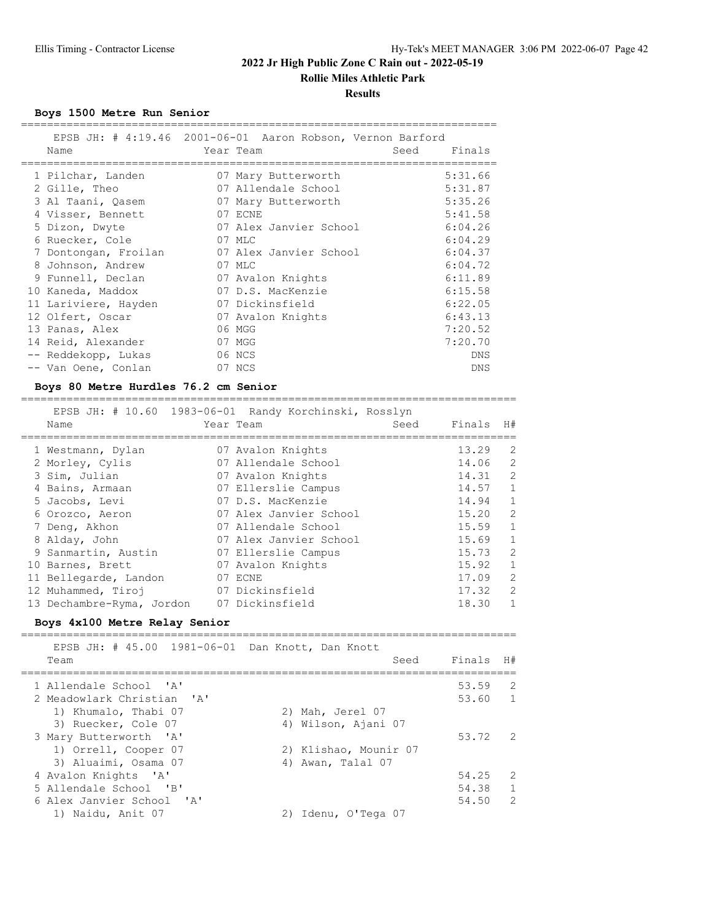**Rollie Miles Athletic Park**

#### **Results**

**Boys 1500 Metre Run Senior**

|   |                      | EPSB JH: # 4:19.46 2001-06-01 Aaron Robson, Vernon Barford |            |
|---|----------------------|------------------------------------------------------------|------------|
|   | Name                 | Seed<br>Year Team                                          | Finals     |
|   | 1 Pilchar, Landen    | 07 Mary Butterworth                                        | 5:31.66    |
|   | 2 Gille, Theo        | 07 Allendale School                                        | 5:31.87    |
|   | 3 Al Taani, Qasem    | 07 Mary Butterworth                                        | 5:35.26    |
|   | 4 Visser, Bennett    | 07 ECNE                                                    | 5:41.58    |
|   | 5 Dizon, Dwyte       | 07 Alex Janvier School                                     | 6:04.26    |
|   | 6 Ruecker, Cole      | 07 MLC                                                     | 6:04.29    |
|   | 7 Dontongan, Froilan | 07 Alex Janvier School                                     | 6:04.37    |
| 8 | Johnson, Andrew      | 07 MLC                                                     | 6:04.72    |
|   | 9 Funnell, Declan    | 07 Avalon Knights                                          | 6:11.89    |
|   | 10 Kaneda, Maddox    | 07 D.S. MacKenzie                                          | 6:15.58    |
|   | 11 Lariviere, Hayden | 07 Dickinsfield                                            | 6:22.05    |
|   | 12 Olfert, Oscar     | 07 Avalon Knights                                          | 6:43.13    |
|   | 13 Panas, Alex       | 06 MGG                                                     | 7:20.52    |
|   | 14 Reid, Alexander   | 07 MGG                                                     | 7:20.70    |
|   | -- Reddekopp, Lukas  | 06 NCS                                                     | <b>DNS</b> |
|   | -- Van Oene, Conlan  | 07 NCS                                                     | DNS        |

#### **Boys 80 Metre Hurdles 76.2 cm Senior**

============================================================================

|                           | EPSB JH: # 10.60 1983-06-01 Randy Korchinski, Rosslyn |      |           |                |
|---------------------------|-------------------------------------------------------|------|-----------|----------------|
| Name                      | Year Team                                             | Seed | Finals H# |                |
| 1 Westmann, Dylan         | 07 Avalon Knights                                     |      | 13.29     | $\overline{c}$ |
| 2 Morley, Cylis           | 07 Allendale School                                   |      | 14.06     | $\overline{2}$ |
| 3 Sim, Julian             | 07 Avalon Knights                                     |      | 14.31     | $\overline{2}$ |
| 4 Bains, Armaan           | 07 Ellerslie Campus                                   |      | 14.57     | $\mathbf{1}$   |
| 5 Jacobs, Levi            | 07 D.S. MacKenzie                                     |      | 14.94     | $\mathbf{1}$   |
| 6 Orozco, Aeron           | 07 Alex Janvier School                                |      | 15.20     | $\overline{c}$ |
| 7 Deng, Akhon             | 07 Allendale School                                   |      | 15.59     | $\mathbf{1}$   |
| 8 Alday, John             | 07 Alex Janvier School                                |      | 15.69     | $1\,$          |
| 9 Sanmartin, Austin       | 07 Ellerslie Campus                                   |      | 15.73     | $\overline{2}$ |
| 10 Barnes, Brett          | 07 Avalon Knights                                     |      | 15.92     | $\mathbf{1}$   |
| 11 Bellegarde, Landon     | 07 ECNE                                               |      | 17.09     | $\overline{c}$ |
| 12 Muhammed, Tiroj        | 07 Dickinsfield                                       |      | 17.32     | $\overline{c}$ |
| 13 Dechambre-Ryma, Jordon | 07 Dickinsfield                                       |      | 18.30     | $\mathbf{1}$   |

### **Boys 4x100 Metre Relay Senior**

============================================================================ EPSB JH:  $\#$  45.00 1981-06-01 Dan Knott, Dan Knott

| LPSD JN, # 4J.VV = 1901=00-01 = Dall NHOLL, Dall NHOLL |                       |           |    |
|--------------------------------------------------------|-----------------------|-----------|----|
| Team                                                   | Seed                  | Finals H# |    |
| 1 Allendale School 'A'                                 |                       | 53.59     | 2  |
|                                                        |                       |           |    |
| 2 Meadowlark Christian 'A'                             |                       | 53.60     | 1  |
| 1) Khumalo, Thabi 07                                   | 2) Mah, Jerel 07      |           |    |
| 3) Ruecker, Cole 07                                    | 4) Wilson, Ajani 07   |           |    |
| 3 Mary Butterworth 'A'                                 |                       | 53.72 2   |    |
| 1) Orrell, Cooper 07                                   | 2) Klishao, Mounir 07 |           |    |
| 3) Aluaimi, Osama 07                                   | 4) Awan, Talal 07     |           |    |
| 4 Avalon Knights 'A'                                   |                       | 54.25     | -2 |
| 5 Allendale School 'B'                                 |                       | 54.38     | 1  |
| 6 Alex Janvier School 'A'                              |                       | 54.50     | 2  |
| 1) Naidu, Anit 07                                      | 2) Idenu, O'Tega 07   |           |    |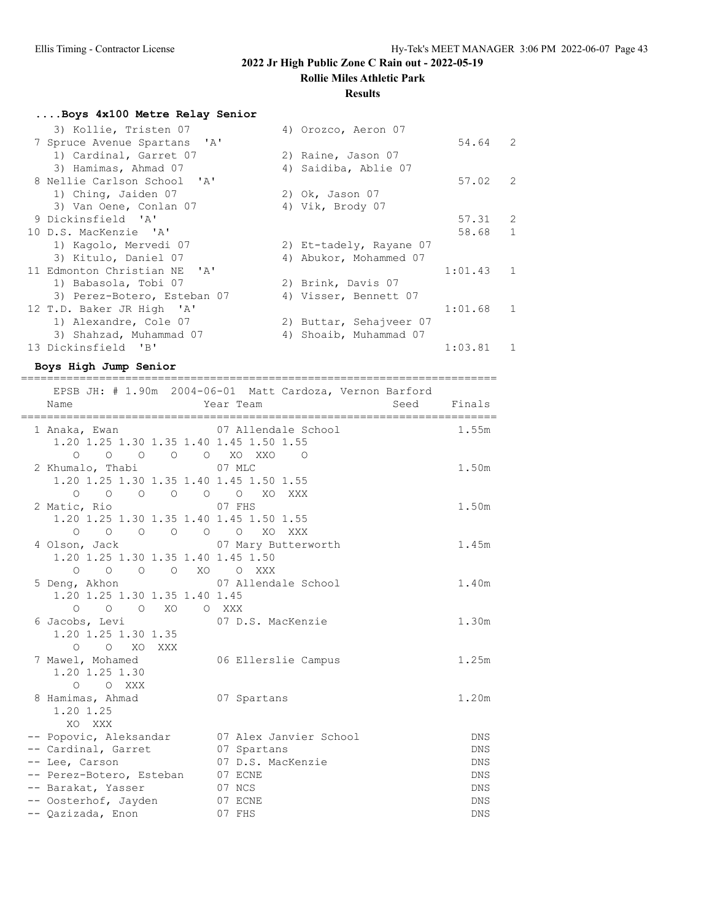**Rollie Miles Athletic Park**

#### **Results**

# **....Boys 4x100 Metre Relay Senior**

| 3) Kollie, Tristen 07        | 4) Orozco, Aeron 07     |         |               |
|------------------------------|-------------------------|---------|---------------|
| 7 Spruce Avenue Spartans 'A' |                         | 54.64 2 |               |
| 1) Cardinal, Garret 07       | 2) Raine, Jason 07      |         |               |
| 3) Hamimas, Ahmad 07         | 4) Saidiba, Ablie 07    |         |               |
| 8 Nellie Carlson School 'A'  |                         | 57.02   | $\mathcal{L}$ |
| 1) Ching, Jaiden 07          | 2) Ok, Jason 07         |         |               |
| 3) Van Oene, Conlan 07       | 4) Vik, Brody 07        |         |               |
| 9 Dickinsfield 'A'           |                         | 57.31   | 2             |
| 10 D.S. MacKenzie 'A'        |                         | 58.68   | $\mathbf{1}$  |
| 1) Kagolo, Mervedi 07        | 2) Et-tadely, Rayane 07 |         |               |
| 3) Kitulo, Daniel 07         | 4) Abukor, Mohammed 07  |         |               |
| 11 Edmonton Christian NE 'A' |                         | 1:01.43 |               |
| 1) Babasola, Tobi 07         | 2) Brink, Davis 07      |         |               |
| 3) Perez-Botero, Esteban 07  | 4) Visser, Bennett 07   |         |               |
| 12 T.D. Baker JR High 'A'    |                         | 1:01.68 | 1             |
| 1) Alexandre, Cole 07        | 2) Buttar, Sehajveer 07 |         |               |
| 3) Shahzad, Muhammad 07      | 4) Shoaib, Muhammad 07  |         |               |
| 13 Dickinsfield 'B'          |                         | 1:03.81 |               |

## **Boys High Jump Senior**

| Name<br>=====================================                                                                                              | EPSB JH: # 1.90m 2004-06-01 Matt Cardoza, Vernon Barford<br>Seed Finals<br>Year Team |            |
|--------------------------------------------------------------------------------------------------------------------------------------------|--------------------------------------------------------------------------------------|------------|
| 1 Anaka, Ewan 67 Allendale School<br>1.20 1.25 1.30 1.35 1.40 1.45 1.50 1.55                                                               |                                                                                      | 1.55m      |
| 0 0 0 0 0 XO XXO<br>2 Khumalo, Thabi 07 MLC<br>1.20 1.25 1.30 1.35 1.40 1.45 1.50 1.55                                                     | $\overline{\phantom{0}}$                                                             | 1.50m      |
| 0 0 0 0 0 0 XO XXX<br>2 Matic, Rio 67 FHS<br>1.20 1.25 1.30 1.35 1.40 1.45 1.50 1.55                                                       |                                                                                      | 1.50m      |
| $\begin{matrix}0&0&0&0&0&0&0&\text{X0} &\text{XXX}\end{matrix}$<br>4 Olson, Jack 07 Mary Butterworth<br>1.20 1.25 1.30 1.35 1.40 1.45 1.50 |                                                                                      | 1.45m      |
| 0 0 0 0 XO 0 XXX<br>5 Deng, Akhon<br>1.20 1.25 1.30 1.35 1.40 1.45                                                                         | 07 Allendale School                                                                  | 1.40m      |
| 0 0 0 XO 0 XXX<br>6 Jacobs, Levi<br>1.20 1.25 1.30 1.35                                                                                    | 07 D.S. MacKenzie                                                                    | 1.30m      |
| O O XO XXX<br>7 Mawel, Mohamed<br>1.20 1.25 1.30                                                                                           | 06 Ellerslie Campus                                                                  | 1.25m      |
| O O XXX<br>8 Hamimas, Ahmad<br>1.20 1.25                                                                                                   | 07 Spartans                                                                          | 1.20m      |
| XO XXX<br>-- Popovic, Aleksandar 07 Alex Janvier School                                                                                    |                                                                                      | DNS        |
| -- Cardinal, Garret                                                                                                                        | 07 Spartans                                                                          | <b>DNS</b> |
| -- Lee, Carson                                                                                                                             | 07 D.S. MacKenzie                                                                    | <b>DNS</b> |
| -- Perez-Botero, Esteban 07 ECNE                                                                                                           |                                                                                      | <b>DNS</b> |
| 07 NCS<br>-- Barakat, Yasser                                                                                                               |                                                                                      | DNS        |
| -- Oosterhof, Jayden 07 ECNE                                                                                                               |                                                                                      | <b>DNS</b> |
| -- Qazizada, Enon                                                                                                                          | 07 FHS                                                                               | <b>DNS</b> |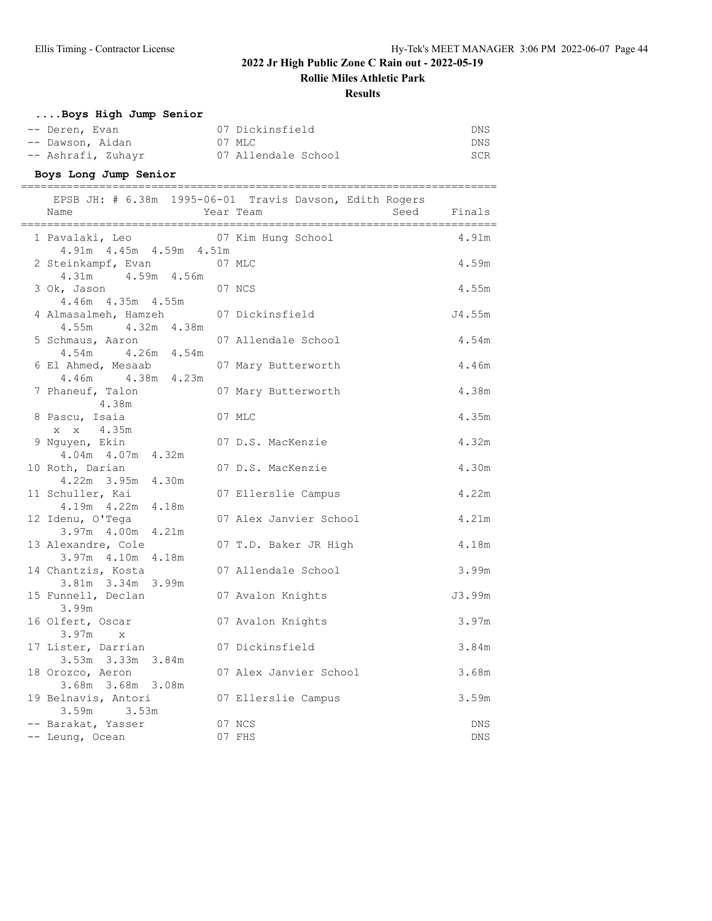**Rollie Miles Athletic Park**

### **Results**

| Boys High Jump Senior |                     |      |
|-----------------------|---------------------|------|
| -- Deren, Evan        | 07 Dickinsfield     | DNS  |
| -- Dawson, Aidan      | 07 MLC              | DNS. |
| -- Ashrafi, Zuhayr    | 07 Allendale School | SCR  |

### **Boys Long Jump Senior**

| Name                                              | EPSB JH: # 6.38m 1995-06-01 Travis Davson, Edith Rogers<br>Seed<br>Year Team | Finals            |
|---------------------------------------------------|------------------------------------------------------------------------------|-------------------|
| 1 Pavalaki, Leo<br>4.91m  4.45m  4.59m  4.51m     | 07 Kim Hung School                                                           | 4.91m             |
| 2 Steinkampf, Evan 07 MLC<br>4.59m 4.56m<br>4.31m |                                                                              | 4.59m             |
| 3 Ok, Jason<br>4.46m 4.35m 4.55m                  | 07 NCS                                                                       | 4.55m             |
| 4 Almasalmeh, Hamzeh<br>4.55m<br>$4.32m$ $4.38m$  | 07 Dickinsfield                                                              | J4.55m            |
| 5 Schmaus, Aaron<br>4.54m  4.26m  4.54m           | 07 Allendale School                                                          | 4.54m             |
| 6 El Ahmed, Mesaab<br>$4.46m$ $4.38m$ $4.23m$     | 07 Mary Butterworth                                                          | 4.46m             |
| 7 Phaneuf, Talon<br>4.38m                         | 07 Mary Butterworth                                                          | 4.38m             |
| 8 Pascu, Isaia<br>x x 4.35m                       | 07 MLC                                                                       | 4.35m             |
| 9 Nguyen, Ekin<br>4.04m 4.07m 4.32m               | 07 D.S. MacKenzie                                                            | 4.32m             |
| 10 Roth, Darian<br>4.22m 3.95m 4.30m              | 07 D.S. MacKenzie                                                            | 4.30m             |
| 11 Schuller, Kai<br>4.19m  4.22m  4.18m           | 07 Ellerslie Campus                                                          | 4.22m             |
| 12 Idenu, O'Tega<br>3.97m  4.00m  4.21m           | 07 Alex Janvier School                                                       | 4.21m             |
| 13 Alexandre, Cole<br>3.97m 4.10m 4.18m           | 07 T.D. Baker JR High                                                        | 4.18m             |
| 14 Chantzis, Kosta<br>3.81m 3.34m 3.99m           | 07 Allendale School                                                          | 3.99m             |
| 15 Funnell, Declan<br>3.99m                       | 07 Avalon Knights                                                            | J3.99m            |
| 16 Olfert, Oscar<br>$3.97m \times$                | 07 Avalon Knights                                                            | 3.97m             |
| 17 Lister, Darrian<br>3.53m 3.33m 3.84m           | 07 Dickinsfield                                                              | 3.84m             |
| 18 Orozco, Aeron<br>3.68m 3.68m 3.08m             | 07 Alex Janvier School                                                       | 3.68m             |
| 19 Belnavis, Antori<br>3.59m 3.53m                | 07 Ellerslie Campus                                                          | 3.59m             |
| -- Barakat, Yasser<br>-- Leung, Ocean             | 07 NCS<br>07 FHS                                                             | DNS<br><b>DNS</b> |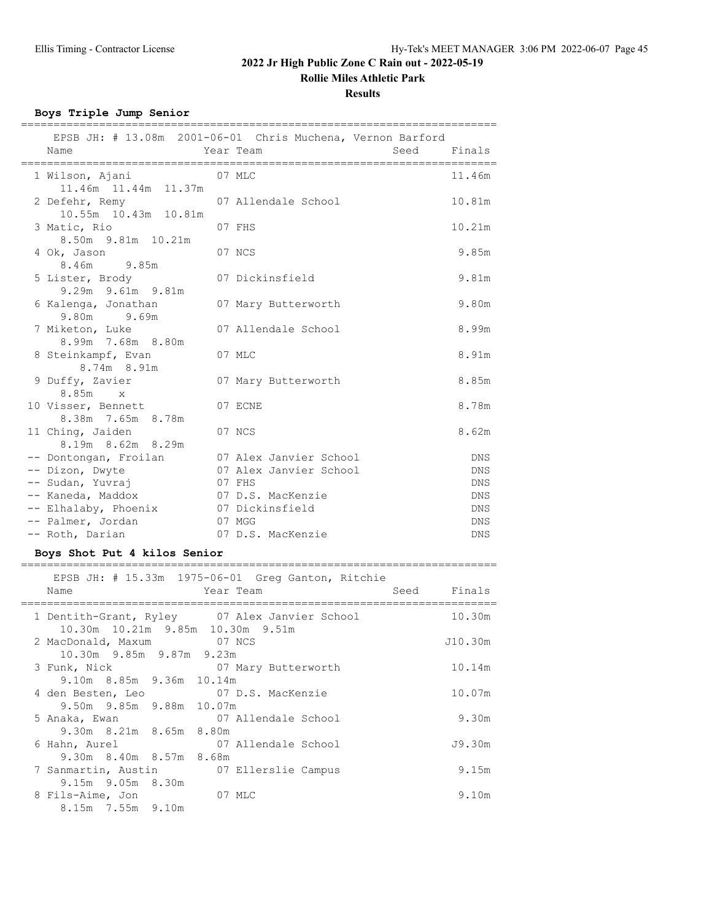**Rollie Miles Athletic Park**

**Results**

#### **Boys Triple Jump Senior**

| Name                                                                           | EPSB JH: # 13.08m 2001-06-01 Chris Muchena, Vernon Barford<br>Year Team<br>Seed | Finals                                 |
|--------------------------------------------------------------------------------|---------------------------------------------------------------------------------|----------------------------------------|
| 1 Wilson, Ajani<br>11.46m  11.44m  11.37m                                      | 07 MLC                                                                          | 11.46m                                 |
| 2 Defehr, Remy 07 Allendale School<br>10.55m 10.43m 10.81m                     |                                                                                 | 10.81m                                 |
| 3 Matic, Rio<br>8.50m 9.81m 10.21m                                             | 07 FHS                                                                          | 10.21m                                 |
| 4 Ok, Jason<br>9.85m<br>8.46m                                                  | 07 NCS                                                                          | 9.85m                                  |
| 5 Lister, Brody<br>9.29m 9.61m 9.81m                                           | 07 Dickinsfield                                                                 | 9.81m                                  |
| 6 Kalenga, Jonathan 67 Mary Butterworth<br>9.80m 9.69m                         |                                                                                 | 9.80m                                  |
| 7 Miketon, Luke<br>8.99m 7.68m 8.80m                                           | 07 Allendale School                                                             | 8.99m                                  |
| 8 Steinkampf, Evan<br>8.74m 8.91m                                              | 07 MLC                                                                          | 8.91m                                  |
| 9 Duffy, Zavier<br>8.85m<br>$\mathbf{x}$                                       | 07 Mary Butterworth                                                             | 8.85m                                  |
| 10 Visser, Bennett<br>8.38m 7.65m 8.78m                                        | 07 ECNE                                                                         | 8.78m                                  |
| 11 Ching, Jaiden<br>8.19m 8.62m 8.29m                                          | 07 NCS                                                                          | 8.62m                                  |
| -- Dontongan, Froilan<br>-- Dizon, Dwyte<br>-- Sudan, Yuvraj                   | 07 Alex Janvier School<br>07 Alex Janvier School<br>07 FHS                      | <b>DNS</b><br><b>DNS</b><br><b>DNS</b> |
| -- Kaneda, Maddox<br>-- Elhalaby, Phoenix 07 Dickinsfield<br>-- Palmer, Jordan | 07 D.S. MacKenzie<br>07 MGG                                                     | <b>DNS</b><br><b>DNS</b><br><b>DNS</b> |
| -- Roth, Darian                                                                | 07 D.S. MacKenzie                                                               | <b>DNS</b>                             |

#### **Boys Shot Put 4 kilos Senior**

 EPSB JH: # 15.33m 1975-06-01 Greg Ganton, Ritchie Name Year Team Seed Finals ========================================================================= 1 Dentith-Grant, Ryley 07 Alex Janvier School 10.30m 10.30m 10.21m 9.85m 10.30m 9.51m 2 MacDonald, Maxum 07 NCS J10.30m 10.30m 9.85m 9.87m 9.23m 3 Funk, Nick 07 Mary Butterworth 10.14m 9.10m 8.85m 9.36m 10.14m 4 den Besten, Leo 07 D.S. MacKenzie 10.07m 9.50m 9.85m 9.88m 10.07m<br>5 Anaka, Ewan 07 A 07 Allendale School 9.30m 9.30m 8.21m 8.65m 8.80m 6 Hahn, Aurel 07 Allendale School J9.30m 9.30m 8.40m 8.57m 8.68m 7 Sanmartin, Austin 07 Ellerslie Campus 9.15m 9.15m 9.05m 8.30m 8 Fils-Aime, Jon 07 MLC 9.10m 8.15m 7.55m 9.10m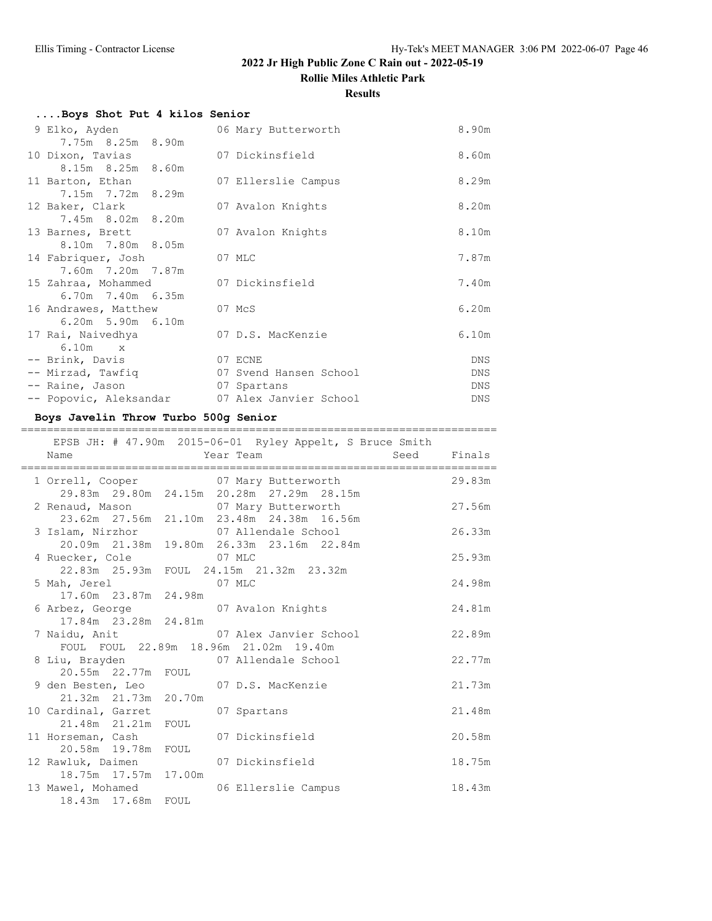**Rollie Miles Athletic Park**

#### **Results**

| Boys Shot Put 4 kilos Senior        |                        |            |
|-------------------------------------|------------------------|------------|
| 9 Elko, Ayden                       | 06 Mary Butterworth    | 8.90m      |
| 7.75m 8.25m 8.90m                   |                        |            |
| 10 Dixon, Tavias                    | 07 Dickinsfield        | 8.60m      |
| 8.15m 8.25m 8.60m                   |                        |            |
| 11 Barton, Ethan                    | 07 Ellerslie Campus    | 8.29m      |
| 7.15m 7.72m 8.29m                   |                        |            |
| 12 Baker, Clark                     | 07 Avalon Knights      | 8.20m      |
| 7.45m 8.02m 8.20m                   |                        |            |
| 13 Barnes, Brett                    | 07 Avalon Knights      | 8.10m      |
| 8.10m 7.80m 8.05m                   |                        |            |
| 14 Fabriquer, Josh                  | 07 MLC                 | 7.87m      |
| 7.60m 7.20m 7.87m                   |                        |            |
| 15 Zahraa, Mohammed 07 Dickinsfield |                        | 7.40m      |
| 6.70m 7.40m 6.35m                   |                        |            |
| 16 Andrawes, Matthew 07 McS         |                        | 6.20m      |
| 6.20m 5.90m 6.10m                   |                        |            |
| 17 Rai, Naivedhya                   | 07 D.S. MacKenzie      | 6.10m      |
| $6.10m$ $x$                         |                        |            |
| -- Brink, Davis                     | 07 ECNE                | DNS.       |
| -- Mirzad, Tawfiq                   | 07 Svend Hansen School | <b>DNS</b> |
| -- Raine, Jason                     | 07 Spartans            | <b>DNS</b> |
| -- Popovic, Aleksandar              | 07 Alex Janvier School | <b>DNS</b> |

# **Boys Javelin Throw Turbo 500g Senior**

| Name |                                                                   | EPSB JH: # 47.90m 2015-06-01 Ryley Appelt, S Bruce Smith<br>Year Team                 | Seed Finals |        |
|------|-------------------------------------------------------------------|---------------------------------------------------------------------------------------|-------------|--------|
|      |                                                                   | 1 Orrell, Cooper 07 Mary Butterworth<br>29.83m 29.80m 24.15m 20.28m 27.29m 28.15m     |             | 29.83m |
|      |                                                                   | 2 Renaud, Mason 67 Mary Butterworth<br>23.62m  27.56m  21.10m  23.48m  24.38m  16.56m |             | 27.56m |
|      |                                                                   | 3 Islam, Nirzhor 67 Allendale School<br>20.09m 21.38m 19.80m 26.33m 23.16m 22.84m     |             | 26.33m |
|      | 4 Ruecker, Cole 07 MLC                                            |                                                                                       |             | 25.93m |
|      | 5 Mah, Jerel 07 MLC<br>17.60m 23.87m 24.98m                       | 22.83m  25.93m  FOUL  24.15m  21.32m  23.32m                                          |             | 24.98m |
|      |                                                                   | 6 Arbez, George 67 Avalon Knights                                                     |             | 24.81m |
|      | 17.84m 23.28m 24.81m                                              | 7 Naidu, Anit 17 07 Alex Janvier School                                               |             | 22.89m |
|      |                                                                   | FOUL FOUL 22.89m 18.96m 21.02m 19.40m<br>8 Liu, Brayden 67 Allendale School           |             | 22.77m |
|      | 20.55m  22.77m  FOUL                                              |                                                                                       |             |        |
|      | 21.32m 21.73m 20.70m                                              | 9 den Besten, Leo 67 D.S. MacKenzie                                                   |             | 21.73m |
|      | 10 Cardinal, Garret<br>21.48m  21.21m  FOUL                       | 07 Spartans                                                                           |             | 21.48m |
|      | 20.58m 19.78m FOUL                                                | 11 Horseman, Cash 07 Dickinsfield                                                     |             | 20.58m |
|      |                                                                   | 12 Rawluk, Daimen 67 Dickinsfield                                                     |             | 18.75m |
|      | 18.75m  17.57m  17.00m<br>13 Mawel, Mohamed<br>18.43m 17.68m FOUL | 06 Ellerslie Campus                                                                   |             | 18.43m |